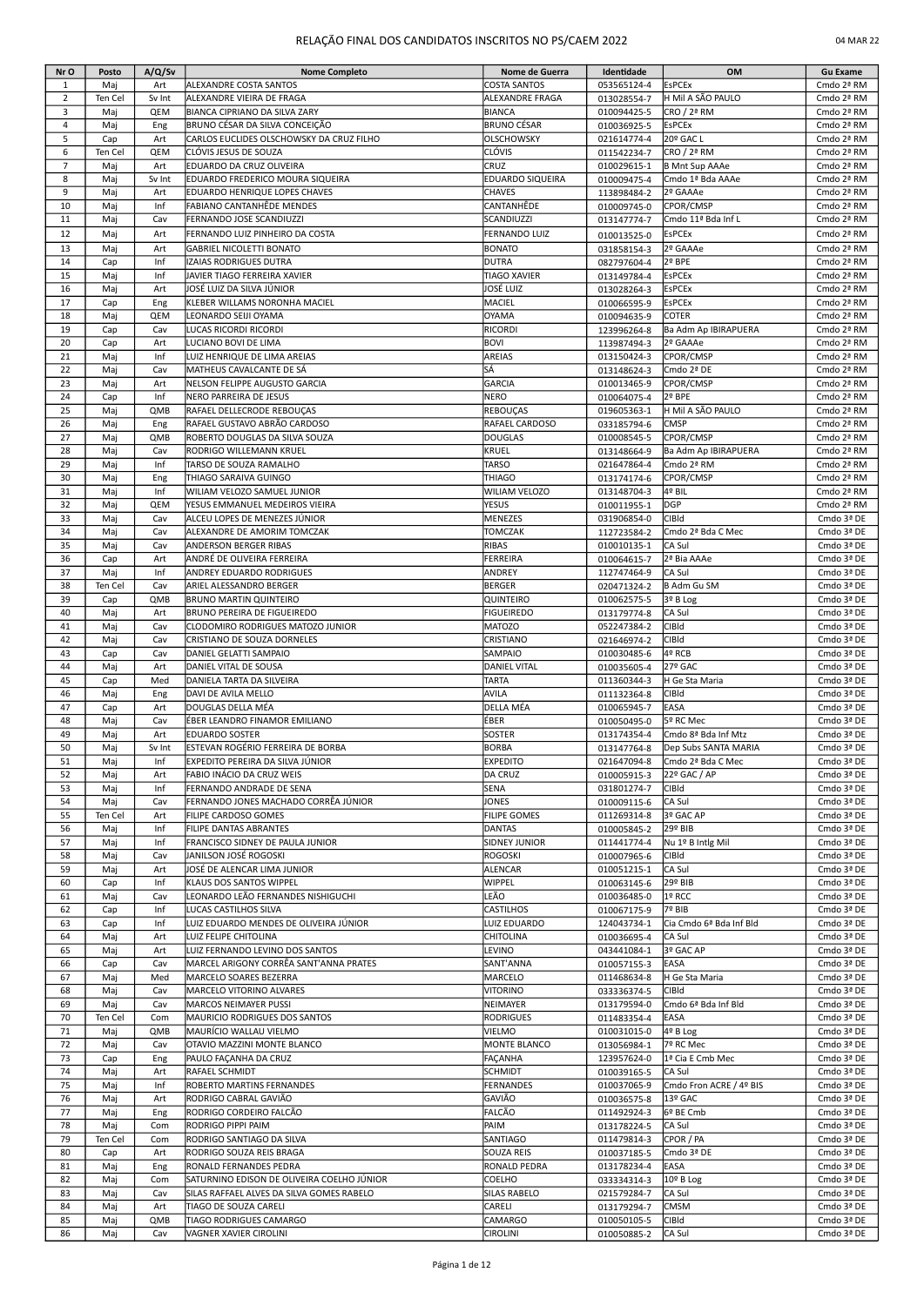### RELAÇÃO FINAL DOS CANDIDATOS INSCRITOS NO PS/CAEM 2022 **04 MAR 22 CANDIDATOS NO PS/CAEM 2022**

| 04 MAR 22 |  |  |  |
|-----------|--|--|--|
|-----------|--|--|--|

| Nr O           | Posto          | A/Q/Sv     | <b>Nome Completo</b>                                        | Nome de Guerra                | Identidade                 | OM                                  | <b>Gu Exame</b>          |
|----------------|----------------|------------|-------------------------------------------------------------|-------------------------------|----------------------------|-------------------------------------|--------------------------|
| $\mathbf{1}$   | Maj            | Art        | ALEXANDRE COSTA SANTOS                                      | <b>COSTA SANTOS</b>           | 053565124-4                | <b>EsPCEx</b>                       | Cmdo 2ª RM               |
| $\overline{2}$ | Ten Cel        | Sv Int     | ALEXANDRE VIEIRA DE FRAGA                                   | ALEXANDRE FRAGA               | 013028554-7                | H Mil A SÃO PAULO                   | Cmdo 2ª RM               |
| 3              | Maj            | QEM        | BIANCA CIPRIANO DA SILVA ZARY                               | <b>BIANCA</b>                 | 010094425-5                | CRO / 2ª RM                         | Cmdo 2ª RM               |
| $\overline{4}$ | Maj            | Eng        | BRUNO CÉSAR DA SILVA CONCEIÇÃO                              | BRUNO CÉSAR                   | 010036925-5                | <b>EsPCEx</b>                       | Cmdo 2ª RM               |
| 5              | Cap            | Art        | CARLOS EUCLIDES OLSCHOWSKY DA CRUZ FILHO                    | <b>OLSCHOWSKY</b>             | 021614774-4                | 20º GAC L                           | Cmdo 2ª RM               |
| 6              | Ten Cel        | QEM        | CLÓVIS JESUS DE SOUZA                                       | CLÓVIS                        | 011542234-7                | CRO / 2ª RM                         | Cmdo 2ª RM               |
| $\overline{7}$ | Maj            | Art        | EDUARDO DA CRUZ OLIVEIRA                                    | CRUZ                          | 010029615-1                | <b>B Mnt Sup AAAe</b>               | Cmdo 2ª RM               |
| 8              | Maj            | Sv Int     | EDUARDO FREDERICO MOURA SIQUEIRA                            | EDUARDO SIQUEIRA              | 010009475-4                | Cmdo 1ª Bda AAAe                    | Cmdo 2ª RM               |
| 9              | Maj            | Art        | EDUARDO HENRIQUE LOPES CHAVES                               | CHAVES                        | 113898484-2                | 2º GAAAe                            | Cmdo 2ª RM               |
| 10<br>11       | Maj            | Inf        | FABIANO CANTANHÊDE MENDES                                   | CANTANHÊDE<br>SCANDIUZZI      | 010009745-0                | CPOR/CMSP<br>Cmdo 11ª Bda Inf L     | Cmdo 2ª RM<br>Cmdo 2ª RM |
|                | Maj            | Cav        | FERNANDO JOSE SCANDIUZZI                                    |                               | 013147774-7                |                                     |                          |
| 12             | Maj            | Art        | FERNANDO LUIZ PINHEIRO DA COSTA                             | <b>FERNANDO LUIZ</b>          | 010013525-0                | <b>EsPCEx</b>                       | Cmdo 2ª RM               |
| 13<br>14       | Maj            | Art<br>Inf | <b>GABRIEL NICOLETTI BONATO</b><br>IZAIAS RODRIGUES DUTRA   | <b>BONATO</b><br><b>DUTRA</b> | 031858154-3                | 2º GAAAe<br>2º BPE                  | Cmdo 2ª RM<br>Cmdo 2ª RM |
| 15             | Cap<br>Maj     | Inf        | JAVIER TIAGO FERREIRA XAVIER                                | TIAGO XAVIER                  | 082797604-4                | <b>EsPCEx</b>                       | Cmdo 2ª RM               |
| 16             | Maj            | Art        | JOSÉ LUIZ DA SILVA JÚNIOR                                   | JOSÉ LUIZ                     | 013149784-4<br>013028264-3 | <b>EsPCEx</b>                       | Cmdo 2ª RM               |
| 17             | Cap            | Eng        | KLEBER WILLAMS NORONHA MACIEL                               | MACIEL                        | 010066595-9                | <b>EsPCEx</b>                       | Cmdo 2ª RM               |
| 18             | Maj            | QEM        | LEONARDO SEIJI OYAMA                                        | OYAMA                         | 010094635-9                | COTER                               | Cmdo 2ª RM               |
| 19             | Cap            | Cav        | LUCAS RICORDI RICORDI                                       | <b>RICORDI</b>                | 123996264-8                | Ba Adm Ap IBIRAPUERA                | Cmdo 2ª RM               |
| 20             | Cap            | Art        | LUCIANO BOVI DE LIMA                                        | <b>BOVI</b>                   | 113987494-3                | 2º GAAAe                            | Cmdo 2ª RM               |
| 21             | Maj            | Inf        | LUIZ HENRIQUE DE LIMA AREIAS                                | AREIAS                        | 013150424-3                | CPOR/CMSP                           | Cmdo 2ª RM               |
| 22             | Maj            | Cav        | MATHEUS CAVALCANTE DE SÁ                                    | SÁ                            | 013148624-3                | Cmdo 2ª DE                          | Cmdo 2ª RM               |
| 23             | Maj            | Art        | NELSON FELIPPE AUGUSTO GARCIA                               | <b>GARCIA</b>                 | 010013465-9                | CPOR/CMSP                           | Cmdo 2ª RM               |
| 24             | Cap            | Inf        | NERO PARREIRA DE JESUS                                      | NERO                          | 010064075-4                | 2º BPE                              | Cmdo 2ª RM               |
| 25             | Maj            | QMB        | RAFAEL DELLECRODE REBOUCAS                                  | REBOUÇAS                      | 019605363-1                | H Mil A SÃO PAULO                   | Cmdo 2ª RM               |
| 26             | Maj            | Eng        | <b>I</b> RAFAEL GUSTAVO ABRÃO CARDOSO                       | RAFAEL CARDOSO                | 033185794-6                | CMSP                                | Cmdo 2ª RM               |
| 27             | Maj            | QMB        | ROBERTO DOUGLAS DA SILVA SOUZA                              | <b>DOUGLAS</b>                | 010008545-5                | CPOR/CMSP                           | Cmdo 2ª RM               |
| 28             | Maj            | Cav        | RODRIGO WILLEMANN KRUEL                                     | KRUEL                         | 013148664-9                | Ba Adm Ap IBIRAPUERA                | Cmdo 2ª RM               |
| 29             | Maj            | Inf        | TARSO DE SOUZA RAMALHO                                      | <b>TARSO</b>                  | 021647864-4                | Cmdo 2ª RM                          | Cmdo 2ª RM               |
| 30             | Maj            | Eng        | THIAGO SARAIVA GUINGO                                       | THIAGO                        | 013174174-6                | CPOR/CMSP                           | Cmdo 2ª RM               |
| 31             | Maj            | Inf        | WILIAM VELOZO SAMUEL JUNIOR                                 | WILIAM VELOZO                 | 013148704-3                | 4º BIL                              | Cmdo 2ª RM               |
| 32             | Maj            | QEM        | YESUS EMMANUEL MEDEIROS VIEIRA                              | YESUS                         | 010011955-1                | DGP                                 | Cmdo 2ª RM               |
| 33             | Maj            | Cav        | ALCEU LOPES DE MENEZES JÚNIOR                               | MENEZES                       | 031906854-0                | CIBId                               | Cmdo 3ª DE               |
| 34<br>35       | Maj            | Cav<br>Cav | ALEXANDRE DE AMORIM TOMCZAK<br><b>ANDERSON BERGER RIBAS</b> | <b>TOMCZAK</b><br>RIBAS       | 112723584-2                | Cmdo 2ª Bda C Mec                   | Cmdo 3ª DE<br>Cmdo 3ª DE |
| 36             | Maj<br>Cap     | Art        | ANDRÉ DE OLIVEIRA FERREIRA                                  | FERREIRA                      | 010010135-1                | CA Sul<br>2ª Bia AAAe               | Cmdo 3ª DE               |
| 37             | Maj            | Inf        | <b>ANDREY EDUARDO RODRIGUES</b>                             | ANDREY                        | 010064615-7<br>112747464-9 | CA Sul                              | Cmdo 3ª DE               |
| 38             | Ten Cel        | Cav        | <b>ARIEL ALESSANDRO BERGER</b>                              | <b>BERGER</b>                 | 020471324-2                | <b>B Adm Gu SM</b>                  | Cmdo 3ª DE               |
| 39             | Cap            | QMB        | <b>BRUNO MARTIN QUINTEIRO</b>                               | QUINTEIRO                     | 010062575-5                | 3º B Log                            | Cmdo 3ª DE               |
| 40             | Maj            | Art        | <b>BRUNO PEREIRA DE FIGUEIREDO</b>                          | <b>FIGUEIREDO</b>             | 013179774-8                | CA Sul                              | Cmdo 3ª DE               |
| 41             | Maj            | Cav        | CLODOMIRO RODRIGUES MATOZO JUNIOR                           | <b>MATOZO</b>                 | 052247384-2                | <b>CIBId</b>                        | Cmdo 3ª DE               |
| 42             | Maj            | Cav        | CRISTIANO DE SOUZA DORNELES                                 | CRISTIANO                     | 021646974-2                | CIBId                               | Cmdo 3ª DE               |
| 43             | Cap            | Cav        | DANIEL GELATTI SAMPAIO                                      | SAMPAIO                       | 010030485-6                | 4º RCB                              | Cmdo 3ª DE               |
| 44             | Maj            | Art        | DANIEL VITAL DE SOUSA                                       | <b>DANIEL VITAL</b>           | 010035605-4                | 27º GAC                             | Cmdo 3ª DE               |
| 45             | Cap            | Med        | DANIELA TARTA DA SILVEIRA                                   | <b>TARTA</b>                  | 011360344-3                | H Ge Sta Maria                      | Cmdo 3ª DE               |
| 46             | Maj            | Eng        | DAVI DE AVILA MELLO                                         | AVILA                         | 011132364-8                | <b>CIBId</b>                        | Cmdo 3ª DE               |
| 47             | Cap            | Art        | DOUGLAS DELLA MÉA                                           | DELLA MÉA                     | 010065945-7                | EASA                                | Cmdo 3ª DE               |
| 48             | Maj            | Cav        | ÉBER LEANDRO FINAMOR EMILIANO                               | ÉBER                          | 010050495-0                | 5º RC Mec                           | Cmdo 3ª DE               |
| 49             | Maj            | Art        | <b>EDUARDO SOSTER</b>                                       | SOSTER                        | 013174354-4                | Cmdo 8ª Bda Inf Mtz                 | Cmdo 3ª DE               |
| 50             | Maj            | Sv Int     | ESTEVAN ROGÉRIO FERREIRA DE BORBA                           | <b>BORBA</b>                  | 013147764-8                | Dep Subs SANTA MARIA                | Cmdo 3ª DE               |
| 51<br>52       | Maj            | Inf        | EXPEDITO PEREIRA DA SILVA JÚNIOR                            | <b>EXPEDITO</b>               | 021647094-8                | Cmdo 2ª Bda C Mec<br>22º GAC / AP   | Cmdo 3ª DE<br>Cmdo 3ª DE |
| 53             | Maj<br>Maj     | Art<br>Inf | FABIO INÁCIO DA CRUZ WEIS<br>FERNANDO ANDRADE DE SENA       | DA CRUZ<br>SENA               | 010005915-3                | <b>CIBId</b>                        | Cmdo 3ª DE               |
| 54             | Maj            | Cav        | FERNANDO JONES MACHADO CORRÊA JÚNIOR                        | JONES                         | 031801274-7<br>010009115-6 | CA Sul                              | Cmdo 3ª DE               |
| 55             | Ten Cel        | Art        | FILIPE CARDOSO GOMES                                        | FILIPE GOMES                  | 011269314-8                | 3º GAC AP                           | Cmdo 3ª DE               |
| 56             | Maj            | Inf        | FILIPE DANTAS ABRANTES                                      | DANTAS                        | 010005845-2                | 29º BIB                             | Cmdo 3ª DE               |
| 57             | Maj            | Inf        | FRANCISCO SIDNEY DE PAULA JUNIOR                            | <b>SIDNEY JUNIOR</b>          | 011441774-4                | Nu 1º B Intlg Mil                   | Cmdo 3ª DE               |
| 58             | Maj            | Cav        | JANILSON JOSÉ ROGOSKI                                       | ROGOSKI                       | 010007965-6                | CIBId                               | Cmdo 3ª DE               |
| 59             | Maj            | Art        | JOSÉ DE ALENCAR LIMA JUNIOR                                 | ALENCAR                       | 010051215-1                | CA Sul                              | Cmdo 3ª DE               |
| 60             | Cap            | Inf        | KLAUS DOS SANTOS WIPPEL                                     | WIPPEL                        | 010063145-6                | 29º BIB                             | Cmdo 3ª DE               |
| 61             | Maj            | Cav        | LEONARDO LEÃO FERNANDES NISHIGUCHI                          | LEÃO                          | 010036485-0                | 1º RCC                              | Cmdo 3ª DE               |
| 62             | Cap            | Inf        | LUCAS CASTILHOS SILVA                                       | CASTILHOS                     | 010067175-9                | 7º BIB                              | Cmdo 3ª DE               |
| 63             | Cap            | Inf        | LUIZ EDUARDO MENDES DE OLIVEIRA JÚNIOR                      | LUIZ EDUARDO                  | 124043734-1                | Cia Cmdo 6ª Bda Inf Bld             | Cmdo 3ª DE               |
| 64             | Maj            | Art        | LUIZ FELIPE CHITOLINA                                       | CHITOLINA                     | 010036695-4                | CA Sul                              | Cmdo 3ª DE               |
| 65             | Maj            | Art        | LUIZ FERNANDO LEVINO DOS SANTOS                             | LEVINO                        | 043441084-1                | 3º GAC AP                           | Cmdo 3ª DE               |
| 66             | Cap            | Cav        | MARCEL ARIGONY CORRÊA SANT'ANNA PRATES                      | SANT'ANNA                     | 010057155-3                | EASA                                | Cmdo 3ª DE               |
| 67             | Maj            | Med        | MARCELO SOARES BEZERRA                                      | MARCELO                       | 011468634-8                | H Ge Sta Maria                      | Cmdo 3ª DE               |
| 68<br>69       | Maj            | Cav<br>Cav | MARCELO VITORINO ALVARES<br>MARCOS NEIMAYER PUSSI           | <b>VITORINO</b><br>NEIMAYER   | 033336374-5<br>013179594-0 | <b>CIBId</b><br>Cmdo 6ª Bda Inf Bld | Cmdo 3ª DE<br>Cmdo 3ª DE |
| 70             | Maj<br>Ten Cel | Com        | MAURICIO RODRIGUES DOS SANTOS                               | RODRIGUES                     | 011483354-4                | EASA                                | Cmdo 3ª DE               |
| 71             | Maj            | QMB        | MAURÍCIO WALLAU VIELMO                                      | VIELMO                        | 010031015-0                | 4º B Log                            | Cmdo 3ª DE               |
| 72             | Maj            | Cav        | OTAVIO MAZZINI MONTE BLANCO                                 | MONTE BLANCO                  | 013056984-1                | 7º RC Mec                           | Cmdo 3ª DE               |
| 73             | Cap            | Eng        | PAULO FAÇANHA DA CRUZ                                       | FAÇANHA                       | 123957624-0                | 1ª Cia E Cmb Mec                    | Cmdo 3ª DE               |
| 74             | Maj            | Art        | RAFAEL SCHMIDT                                              | <b>SCHMIDT</b>                | 010039165-5                | CA Sul                              | Cmdo 3ª DE               |
| 75             | Maj            | Inf        | ROBERTO MARTINS FERNANDES                                   | FERNANDES                     | 010037065-9                | Cmdo Fron ACRE / 4º BIS             | Cmdo 3ª DE               |
| 76             | Maj            | Art        | RODRIGO CABRAL GAVIÃO                                       | GAVIÃO                        | 010036575-8                | 13º GAC                             | Cmdo 3ª DE               |
| 77             | Maj            | Eng        | RODRIGO CORDEIRO FALCÃO                                     | FALCÃO                        | 011492924-3                | 6º BE Cmb                           | Cmdo 3ª DE               |
| 78             | Maj            | Com        | RODRIGO PIPPI PAIM                                          | PAIM                          | 013178224-5                | CA Sul                              | Cmdo 3ª DE               |
| 79             | Ten Cel        | Com        | RODRIGO SANTIAGO DA SILVA                                   | SANTIAGO                      | 011479814-3                | CPOR / PA                           | Cmdo 3ª DE               |
| 80             | Cap            | Art        | RODRIGO SOUZA REIS BRAGA                                    | SOUZA REIS                    | 010037185-5                | Cmdo 3ª DE                          | Cmdo 3ª DE               |
| 81             | Maj            | Eng        | RONALD FERNANDES PEDRA                                      | RONALD PEDRA                  | 013178234-4                | EASA                                | Cmdo 3ª DE               |
| 82             | Maj            | Com        | SATURNINO EDISON DE OLIVEIRA COELHO JÚNIOR                  | COELHO                        | 033334314-3                | 10º B Log                           | Cmdo 3ª DE               |
| 83             | Maj            | Cav        | SILAS RAFFAEL ALVES DA SILVA GOMES RABELO                   | SILAS RABELO                  | 021579284-7                | CA Sul                              | Cmdo 3ª DE               |
| 84             | Maj            | Art        | TIAGO DE SOUZA CARELI                                       | CARELI                        | 013179294-7                | <b>CMSM</b>                         | Cmdo 3ª DE               |
| 85             | Maj            | QMB        | TIAGO RODRIGUES CAMARGO                                     | CAMARGO                       | 010050105-5                | CIBId                               | Cmdo 3ª DE               |
| 86             | Maj            | Cav        | VAGNER XAVIER CIROLINI                                      | <b>CIROLINI</b>               | 010050885-2                | CA Sul                              | Cmdo 3ª DE               |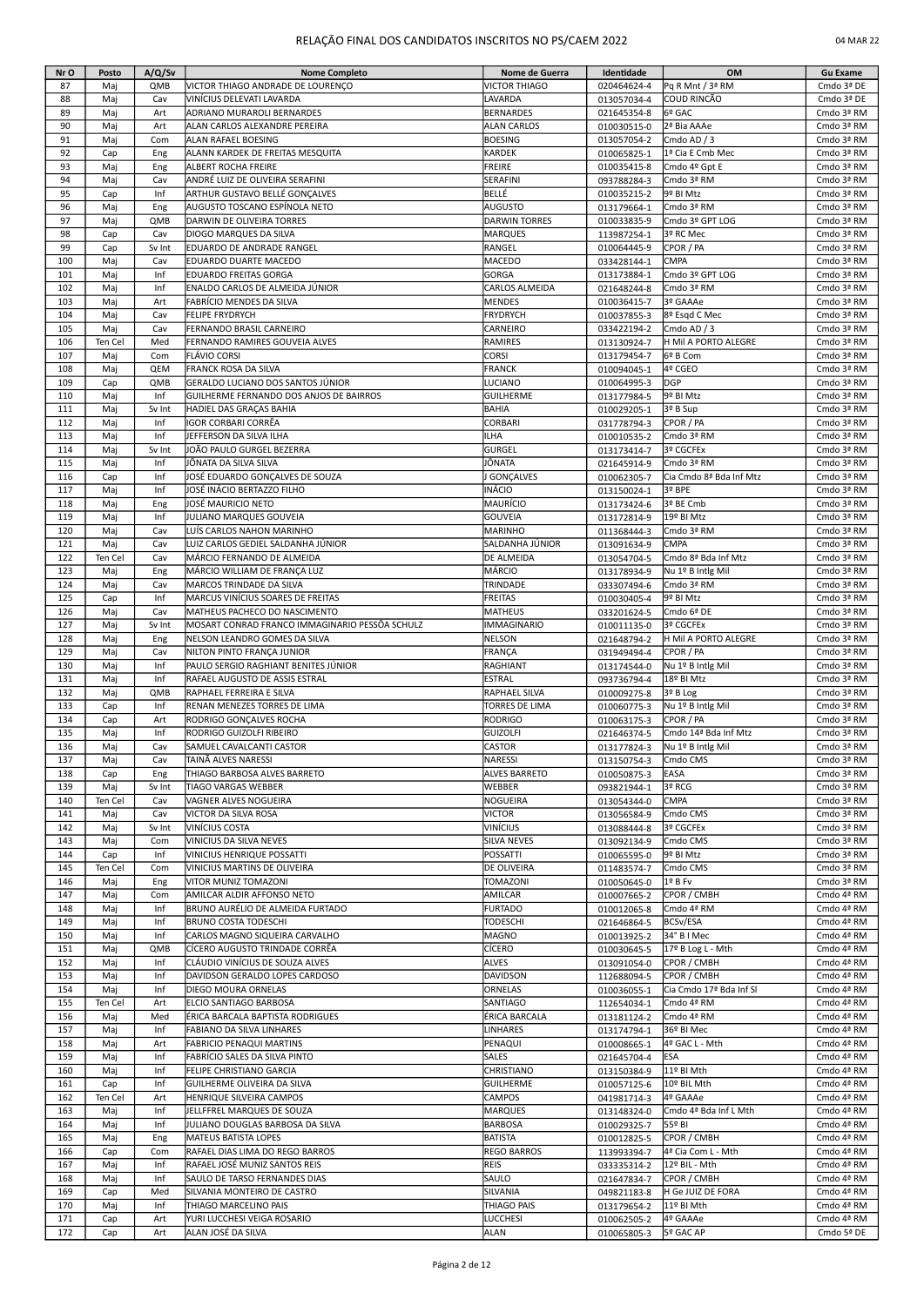| Nr O       | Posto      | A/Q/Sv     | <b>Nome Completo</b>                                             | Nome de Guerra                         | Identidade                 | OM                                | <b>Gu Exame</b>          |
|------------|------------|------------|------------------------------------------------------------------|----------------------------------------|----------------------------|-----------------------------------|--------------------------|
| 87         | Maj        | QMB        | VICTOR THIAGO ANDRADE DE LOURENÇO                                | <b>VICTOR THIAGO</b>                   | 020464624-4                | Pq R Mnt / 3ª RM                  | Cmdo 3ª DE               |
| 88         | Maj        | Cav        | VINÍCIUS DELEVATI LAVARDA                                        | LAVARDA                                | 013057034-4                | COUD RINCÃO                       | Cmdo 3ª DE               |
| 89         | Maj        | Art        | ADRIANO MURAROLI BERNARDES                                       | <b>BERNARDES</b>                       | 021645354-8                | 6º GAC                            | Cmdo 3ª RM               |
| 90         | Maj        | Art        | ALAN CARLOS ALEXANDRE PEREIRA                                    | <b>ALAN CARLOS</b>                     | 010030515-0                | 2ª Bia AAAe                       | Cmdo 3ª RM               |
| 91         | Maj        | Com        | ALAN RAFAEL BOESING                                              | <b>BOESING</b>                         | 013057054-2                | Cmdo AD / 3                       | Cmdo 3ª RM               |
| 92         | Cap        | Eng        | ALANN KARDEK DE FREITAS MESQUITA                                 | KARDEK                                 | 010065825-1                | 1ª Cia E Cmb Mec                  | Cmdo 3ª RM               |
| 93         | Maj        | Eng        | ALBERT ROCHA FREIRE                                              | <b>FREIRE</b>                          | 010035415-8                | Cmdo 4º Gpt E                     | Cmdo 3ª RM               |
| 94         | Maj        | Cav        | ANDRÉ LUIZ DE OLIVEIRA SERAFINI                                  | SERAFINI                               | 093788284-3                | Cmdo 3ª RM                        | Cmdo 3ª RM               |
| 95         | Cap        | Inf        | ARTHUR GUSTAVO BELLÉ GONÇALVES                                   | BELLÉ                                  | 010035215-2                | 9º BI Mtz                         | Cmdo 3ª RM               |
| 96<br>97   | Maj<br>Maj | Eng<br>QMB | AUGUSTO TOSCANO ESPÍNOLA NETO<br>DARWIN DE OLIVEIRA TORRES       | <b>AUGUSTO</b><br><b>DARWIN TORRES</b> | 013179664-1                | Cmdo 3ª RM<br>Cmdo 3º GPT LOG     | Cmdo 3ª RM<br>Cmdo 3ª RM |
| 98         | Cap        | Cav        | DIOGO MARQUES DA SILVA                                           | <b>MARQUES</b>                         | 010033835-9<br>113987254-1 | 3º RC Mec                         | Cmdo 3ª RM               |
| 99         | Cap        | Sv Int     | EDUARDO DE ANDRADE RANGEL                                        | RANGEL                                 | 010064445-9                | CPOR / PA                         | Cmdo 3ª RM               |
| 100        | Maj        | Cav        | EDUARDO DUARTE MACEDO                                            | <b>MACEDO</b>                          | 033428144-1                | <b>CMPA</b>                       | Cmdo 3ª RM               |
| 101        | Maj        | Inf        | <b>EDUARDO FREITAS GORGA</b>                                     | <b>GORGA</b>                           | 013173884-1                | Cmdo 3º GPT LOG                   | Cmdo 3ª RM               |
| 102        | Maj        | Inf        | ENALDO CARLOS DE ALMEIDA JÚNIOR                                  | <b>CARLOS ALMEIDA</b>                  | 021648244-8                | Cmdo 3ª RM                        | Cmdo 3ª RM               |
| 103        | Maj        | Art        | FABRÍCIO MENDES DA SILVA                                         | <b>MENDES</b>                          | 010036415-7                | 3º GAAAe                          | Cmdo 3ª RM               |
| 104        | Maj        | Cav        | <b>FELIPE FRYDRYCH</b>                                           | <b>FRYDRYCH</b>                        | 010037855-3                | 8º Esgd C Mec                     | Cmdo 3ª RM               |
| 105        | Maj        | Cav        | FERNANDO BRASIL CARNEIRO                                         | CARNEIRO                               | 033422194-2                | Cmdo AD / 3                       | Cmdo 3ª RM               |
| 106        | Ten Cel    | Med        | FERNANDO RAMIRES GOUVEIA ALVES                                   | <b>RAMIRES</b>                         | 013130924-7                | H Mil A PORTO ALEGRE              | Cmdo 3ª RM               |
| 107        | Maj        | Com        | FLÁVIO CORSI                                                     | <b>CORSI</b>                           | 013179454-7                | 6º B Com                          | Cmdo 3ª RM               |
| 108        | Maj        | QEM        | FRANCK ROSA DA SILVA                                             | <b>FRANCK</b>                          | 010094045-1                | 4º CGEO                           | Cmdo 3ª RM               |
| 109        | Cap        | QMB        | GERALDO LUCIANO DOS SANTOS JÚNIOR                                | <b>LUCIANO</b>                         | 010064995-3                | DGP                               | Cmdo 3ª RM               |
| 110        | Maj        | Inf        | GUILHERME FERNANDO DOS ANJOS DE BAIRROS                          | <b>GUILHERME</b>                       | 013177984-5                | 9º BI Mtz                         | Cmdo 3ª RM               |
| 111        | Maj        | Sv Int     | HADIEL DAS GRAÇAS BAHIA                                          | BAHIA                                  | 010029205-1                | 3º B Sup                          | Cmdo 3ª RM               |
| 112        | Mai        | Inf        | IGOR CORBARI CORRÊA                                              | CORBARI                                | 031778794-3                | CPOR / PA                         | Cmdo 3ª RM               |
| 113        | Maj        | Inf        | JEFFERSON DA SILVA ILHA                                          | <b>ILHA</b>                            | 010010535-2                | Cmdo 3ª RM                        | Cmdo 3ª RM               |
| 114        | Maj        | Sv Int     | JOÃO PAULO GURGEL BEZERRA                                        | GURGEL                                 | 013173414-7                | 3º CGCFEx                         | Cmdo 3ª RM               |
| 115        | Maj        | Inf        | JÔNATA DA SILVA SILVA                                            | JÔNATA                                 | 021645914-9                | Cmdo 3ª RM                        | Cmdo 3ª RM               |
| 116        | Cap        | Inf        | JOSÉ EDUARDO GONÇALVES DE SOUZA                                  | <b>GONÇALVES</b>                       | 010062305-7                | Cia Cmdo 8ª Bda Inf Mtz           | Cmdo 3ª RM               |
| 117        | Maj        | Inf        | JOSÉ INÁCIO BERTAZZO FILHO                                       | INÁCIO                                 | 013150024-1                | 3º BPE                            | Cmdo 3ª RM               |
| 118        | Maj        | Eng        | JOSÉ MAURICIO NETO                                               | MAURÍCIO                               | 013173424-6                | 3º BE Cmb                         | Cmdo 3ª RM               |
| 119        | Maj        | Inf        | JULIANO MARQUES GOUVEIA                                          | <b>GOUVEIA</b>                         | 013172814-9                | 19º BI Mtz                        | Cmdo 3ª RM               |
| 120        | Maj        | Cav        | LUÍS CARLOS NAHON MARINHO                                        | MARINHO                                | 011368444-3                | Cmdo 3ª RM                        | Cmdo 3ª RM               |
| 121        | Maj        | Cav        | LUIZ CARLOS GEDIEL SALDANHA JÚNIOR                               | SALDANHA JÚNIOR                        | 013091634-9                | <b>CMPA</b>                       | Cmdo 3ª RM               |
| 122        | Ten Cel    | Cav        | MÁRCIO FERNANDO DE ALMEIDA                                       | <b>DE ALMEIDA</b>                      | 013054704-5                | Cmdo 8ª Bda Inf Mtz               | Cmdo 3ª RM               |
| 123        | Maj        | Eng        | MÁRCIO WILLIAM DE FRANÇA LUZ                                     | MÁRCIO                                 | 013178934-9                | Nu 1º B Intlg Mil                 | Cmdo 3ª RM               |
| 124        | Maj        | Cav        | MARCOS TRINDADE DA SILVA                                         | TRINDADE                               | 033307494-6                | Cmdo 3ª RM                        | Cmdo 3ª RM               |
| 125        | Cap        | Inf        | MARCUS VINÍCIUS SOARES DE FREITAS                                | <b>FREITAS</b>                         | 010030405-4                | 9º BI Mtz                         | Cmdo 3ª RM               |
| 126        | Maj        | Cav        | MATHEUS PACHECO DO NASCIMENTO                                    | <b>MATHEUS</b>                         | 033201624-5                | Cmdo 6ª DE                        | Cmdo 3ª RM               |
| 127        | Maj        | Sv Int     | MOSART CONRAD FRANCO IMMAGINARIO PESSÔA SCHULZ                   | <b>IMMAGINARIO</b>                     | 010011135-0                | 3º CGCFEx                         | Cmdo 3ª RM               |
| 128<br>129 | Maj<br>Maj | Eng<br>Cav | NELSON LEANDRO GOMES DA SILVA<br>NILTON PINTO FRANÇA JUNIOR      | <b>NELSON</b><br>FRANÇA                | 021648794-2                | H Mil A PORTO ALEGRE<br>CPOR / PA | Cmdo 3ª RM<br>Cmdo 3ª RM |
| 130        | Maj        | Inf        | PAULO SERGIO RAGHIANT BENITES JÚNIOR                             | RAGHIANT                               | 031949494-4                | Nu 1º B Intlg Mil                 | Cmdo 3ª RM               |
| 131        | Maj        | Inf        | RAFAEL AUGUSTO DE ASSIS ESTRAL                                   | <b>ESTRAL</b>                          | 013174544-0<br>093736794-4 | 18º BI Mtz                        | Cmdo 3ª RM               |
| 132        | Mai        | QMB        | RAPHAEL FERREIRA E SILVA                                         | RAPHAEL SILVA                          | 010009275-8                | 3º B Log                          | Cmdo 3ª RM               |
| 133        | Cap        | Inf        | RENAN MENEZES TORRES DE LIMA                                     | TORRES DE LIMA                         | 010060775-3                | Nu 1º B Intlg Mil                 | Cmdo 3ª RM               |
| 134        | Cap        | Art        | RODRIGO GONCALVES ROCHA                                          | <b>RODRIGO</b>                         | 010063175-3                | CPOR / PA                         | Cmdo 3ª RM               |
| 135        | Maj        | Inf        | RODRIGO GUIZOLFI RIBEIRO                                         | <b>GUIZOLFI</b>                        | 021646374-5                | Cmdo 14ª Bda Inf Mtz              | Cmdo 3ª RM               |
| 136        | Maj        | Cav        | SAMUEL CAVALCANTI CASTOR                                         | <b>CASTOR</b>                          | 013177824-3                | Nu 1º B Intlg Mil                 | Cmdo 3ª RM               |
| 137        | Maj        | Cav        | TAINA ALVES NARESSI                                              | NARESSI                                | 013150754-3                | Cmdo CMS                          | Cmdo 3ª RM               |
| 138        | Cap        | Eng        | THIAGO BARBOSA ALVES BARRETO                                     | <b>ALVES BARRETO</b>                   | 010050875-3                | EASA                              | Cmdo 3ª RM               |
| 139        | Maj        | Sv Int     | TIAGO VARGAS WEBBER                                              | WEBBER                                 | 093821944-1                | 3º RCG                            | Cmdo 3ª RM               |
| 140        | Ten Cel    | Cav        | VAGNER ALVES NOGUEIRA                                            | <b>NOGUEIRA</b>                        | 013054344-0                | <b>CMPA</b>                       | Cmdo 3ª RM               |
| 141        | Maj        | Cav        | VICTOR DA SILVA ROSA                                             | <b>VICTOR</b>                          | 013056584-9                | Cmdo CMS                          | Cmdo 3ª RM               |
| 142        | Maj        | Sv Int     | VINÍCIUS COSTA                                                   | VINÍCIUS                               | 013088444-8                | 3º CGCFEx                         | Cmdo 3ª RM               |
| 143        | Maj        | Com        | VINICIUS DA SILVA NEVES                                          | <b>SILVA NEVES</b>                     | 013092134-9                | Cmdo CMS                          | Cmdo 3ª RM               |
| 144        | Cap        | Inf        | VINICIUS HENRIQUE POSSATTI                                       | <b>POSSATTI</b>                        | 010065595-0                | 9º BI Mtz                         | Cmdo 3ª RM               |
| 145        | Ten Cel    | Com        | VINICIUS MARTINS DE OLIVEIRA                                     | <b>DE OLIVEIRA</b>                     | 011483574-7                | Cmdo CMS                          | Cmdo 3ª RM               |
| 146        | Maj        | Eng        | VITOR MUNIZ TOMAZONI                                             | TOMAZONI                               | 010050645-0                | 1º B Fv                           | Cmdo 3ª RM               |
| 147        | Maj        | Com        | AMILCAR ALDIR AFFONSO NETO                                       | AMILCAR                                | 010007665-2                | CPOR / CMBH                       | Cmdo 4ª RM               |
| 148        | Maj        | Inf        | BRUNO AURÉLIO DE ALMEIDA FURTADO                                 | <b>FURTADO</b>                         | 010012065-8                | Cmdo 4ª RM                        | Cmdo 4ª RM               |
| 149        | Maj        | Inf        | <b>BRUNO COSTA TODESCHI</b>                                      | <b>TODESCHI</b>                        | 021646864-5                | BCSv/ESA                          | Cmdo 4ª RM               |
| 150        | Maj        | Inf        | CARLOS MAGNO SIQUEIRA CARVALHO                                   | MAGNO                                  | 010013925-2                | 34° B I Mec                       | Cmdo 4ª RM               |
| 151        | Maj        | QMB        | CÍCERO AUGUSTO TRINDADE CORRÊA                                   | CÍCERO                                 | 010030645-5                | 17º B Log L - Mth                 | Cmdo 4ª RM               |
| 152        | Maj        | Inf        | CLÁUDIO VINÍCIUS DE SOUZA ALVES                                  | <b>ALVES</b>                           | 013091054-0                | CPOR / CMBH                       | Cmdo 4ª RM               |
| 153        | Maj        | Inf        | DAVIDSON GERALDO LOPES CARDOSO                                   | DAVIDSON                               | 112688094-5                | CPOR / CMBH                       | Cmdo 4ª RM               |
| 154        | Maj        | Inf        | DIEGO MOURA ORNELAS                                              | ORNELAS                                | 010036055-1                | Cia Cmdo 17ª Bda Inf SI           | Cmdo 4ª RM               |
| 155        | Ten Cel    | Art        | ELCIO SANTIAGO BARBOSA                                           | <b>SANTIAGO</b>                        | 112654034-1                | Cmdo 4ª RM                        | Cmdo 4ª RM               |
| 156        | Maj        | Med        | ÉRICA BARCALA BAPTISTA RODRIGUES                                 | ÉRICA BARCALA                          | 013181124-2                | Cmdo 4ª RM                        | Cmdo 4ª RM               |
| 157        | Maj        | Inf        | FABIANO DA SILVA LINHARES                                        | LINHARES<br>PENAQUI                    | 013174794-1                | 36º BI Mec                        | Cmdo 4ª RM               |
| 158<br>159 | Maj<br>Maj | Art<br>Inf | <b>FABRICIO PENAQUI MARTINS</b><br>FABRÍCIO SALES DA SILVA PINTO | SALES                                  | 010008665-1                | 4º GAC L - Mth<br><b>ESA</b>      | Cmdo 4ª RM<br>Cmdo 4ª RM |
| 160        | Maj        | Inf        | FELIPE CHRISTIANO GARCIA                                         | CHRISTIANO                             | 021645704-4                | 11º BI Mth                        | Cmdo 4ª RM               |
| 161        | Cap        | Inf        | GUILHERME OLIVEIRA DA SILVA                                      | <b>GUILHERME</b>                       | 013150384-9<br>010057125-6 | 10º BIL Mth                       | Cmdo 4ª RM               |
| 162        | Ten Cel    | Art        | HENRIQUE SILVEIRA CAMPOS                                         | <b>CAMPOS</b>                          | 041981714-3                | 4º GAAAe                          | Cmdo 4ª RM               |
| 163        | Maj        | Inf        | JELLFFREL MARQUES DE SOUZA                                       | <b>MARQUES</b>                         | 013148324-0                | Cmdo 4ª Bda Inf L Mth             | Cmdo 4ª RM               |
| 164        | Maj        | Inf        | JULIANO DOUGLAS BARBOSA DA SILVA                                 | <b>BARBOSA</b>                         | 010029325-7                | 55º BI                            | Cmdo 4ª RM               |
| 165        | Maj        | Eng        | MATEUS BATISTA LOPES                                             | <b>BATISTA</b>                         | 010012825-5                | CPOR / CMBH                       | Cmdo 4ª RM               |
| 166        | Cap        | Com        | RAFAEL DIAS LIMA DO REGO BARROS                                  | <b>REGO BARROS</b>                     | 113993394-7                | 4ª Cia Com L - Mth                | Cmdo 4ª RM               |
| 167        | Maj        | Inf        | RAFAEL JOSÉ MUNIZ SANTOS REIS                                    | <b>REIS</b>                            | 033335314-2                | 12º BIL - Mth                     | Cmdo 4ª RM               |
| 168        | Maj        | Inf        | SAULO DE TARSO FERNANDES DIAS                                    | SAULO                                  | 021647834-7                | CPOR / CMBH                       | Cmdo 4ª RM               |
| 169        | Cap        | Med        | SILVANIA MONTEIRO DE CASTRO                                      | SILVANIA                               | 049821183-8                | H Ge JUIZ DE FORA                 | Cmdo 4ª RM               |
| 170        | Maj        | Inf        | THIAGO MARCELINO PAIS                                            | THIAGO PAIS                            | 013179654-2                | 11º BI Mth                        | Cmdo 4ª RM               |
| 171        | Cap        | Art        | YURI LUCCHESI VEIGA ROSARIO                                      | <b>LUCCHESI</b>                        | 010062505-2                | 4º GAAAe                          | Cmdo 4ª RM               |
| 172        | Cap        | Art        | ALAN JOSÉ DA SILVA                                               | <b>ALAN</b>                            | 010065805-3                | 5º GAC AP                         | Cmdo 5ª DE               |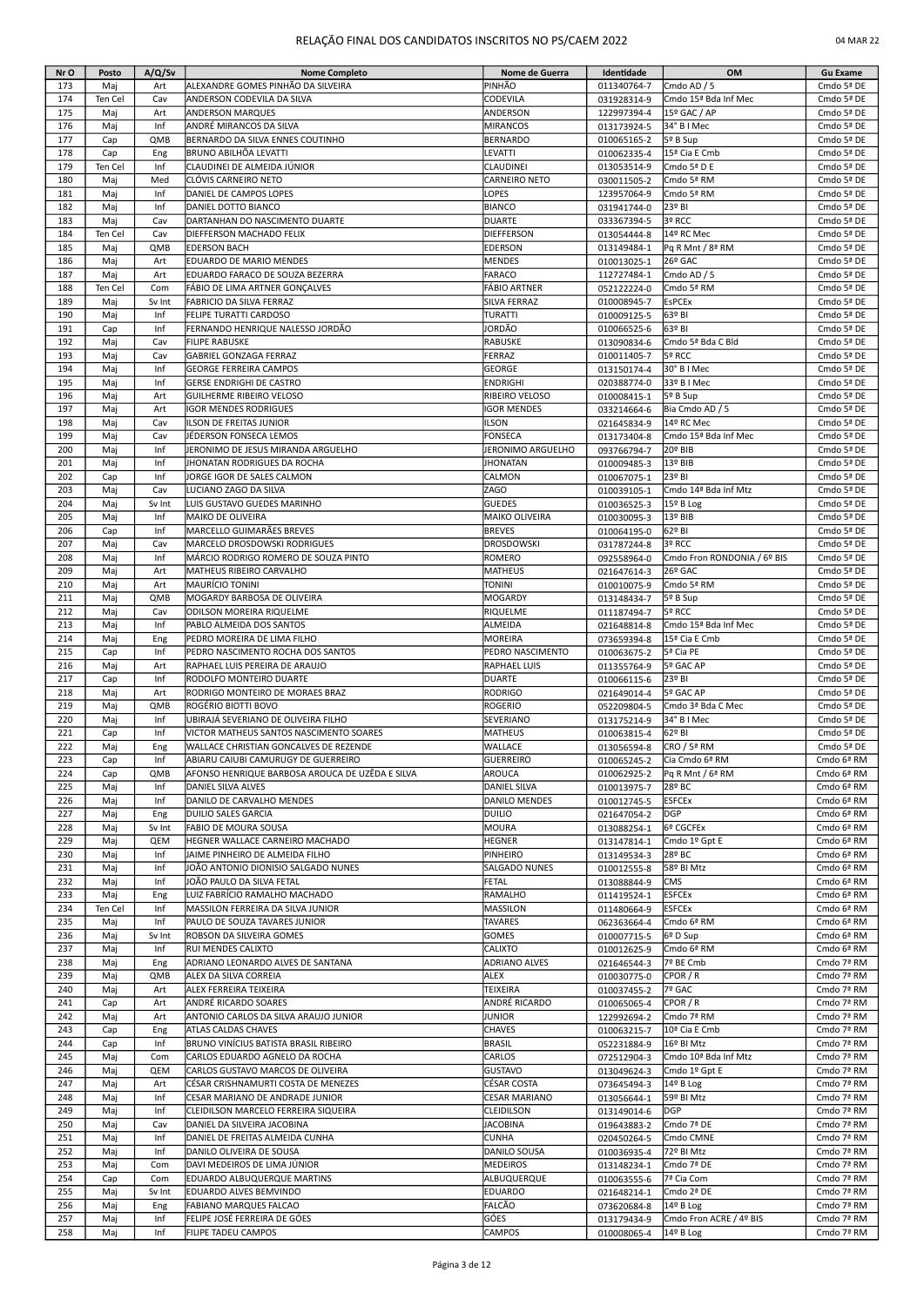| Nr O       | Posto      | A/Q/Sv        | <b>Nome Completo</b>                                    | Nome de Guerra                     | Identidade                 | OM                                | <b>Gu Exame</b>          |
|------------|------------|---------------|---------------------------------------------------------|------------------------------------|----------------------------|-----------------------------------|--------------------------|
| 173        | Maj        | Art           | ALEXANDRE GOMES PINHÃO DA SILVEIRA                      | PINHÃO                             | 011340764-7                | Cmdo AD / 5                       | Cmdo 5ª DE               |
| 174        | Ten Cel    | Cav           | ANDERSON CODEVILA DA SILVA                              | <b>CODEVILA</b>                    | 031928314-9                | Cmdo 15 <sup>ª</sup> Bda Inf Mec  | Cmdo 5ª DE               |
| 175        | Maj        | Art           | <b>ANDERSON MARQUES</b>                                 | ANDERSON                           | 122997394-4                | 15º GAC / AP                      | Cmdo 5ª DE               |
| 176        | Maj        | Inf           | ANDRÉ MIRANCOS DA SILVA                                 | <b>MIRANCOS</b>                    | 013173924-5                | 34° B I Mec                       | Cmdo 5ª DE               |
| 177        | Cap        | QMB           | BERNARDO DA SILVA ENNES COUTINHO                        | <b>BERNARDO</b>                    | 010065165-2                | 5º B Sup                          | Cmdo 5ª DE               |
| 178        | Cap        | Eng           | BRUNO ABILHÔA LEVATTI                                   | LEVATTI                            | 010062335-4                | 15ª Cia E Cmb                     | Cmdo 5ª DE               |
| 179        | Ten Cel    | Inf           | CLAUDINEI DE ALMEIDA JÚNIOR                             | <b>CLAUDINEI</b>                   | 013053514-9                | Cmdo 5ª D E                       | Cmdo 5ª DE               |
| 180        | Maj        | Med           | CLÓVIS CARNEIRO NETO                                    | CARNEIRO NETO                      | 030011505-2                | Cmdo 5ª RM                        | Cmdo 5ª DE               |
| 181        | Maj        | Inf           | DANIEL DE CAMPOS LOPES                                  | LOPES                              | 123957064-9                | Cmdo 5ª RM                        | Cmdo 5ª DE               |
| 182        | Maj        | Inf           | DANIEL DOTTO BIANCO                                     | <b>BIANCO</b>                      | 031941744-0                | 23º BI                            | Cmdo 5ª DE               |
| 183        | Maj        | Cav           | DARTANHAN DO NASCIMENTO DUARTE                          | <b>DUARTE</b>                      | 033367394-5                | 3º RCC                            | Cmdo 5ª DE               |
| 184        | Ten Cel    | Cav           | DIEFFERSON MACHADO FELIX                                | <b>DIEFFERSON</b>                  | 013054444-8                | 14º RC Mec                        | Cmdo 5ª DE               |
| 185        | Maj        | QMB           | <b>EDERSON BACH</b>                                     | <b>EDERSON</b>                     | 013149484-1                | Pq R Mnt / 8ª RM                  | Cmdo 5ª DE               |
| 186        | Maj        | Art           | EDUARDO DE MARIO MENDES                                 | <b>MENDES</b>                      | 010013025-1                | 26º GAC                           | Cmdo 5ª DE               |
| 187        | Maj        | Art           | EDUARDO FARACO DE SOUZA BEZERRA                         | FARACO                             | 112727484-1                | Cmdo AD / 5                       | Cmdo 5ª DE               |
| 188        | Ten Cel    | Com           | FÁBIO DE LIMA ARTNER GONÇALVES                          | <b>FÁBIO ARTNER</b>                | 052122224-0                | Cmdo 5ª RM                        | Cmdo 5ª DE               |
| 189        | Maj        | Sv Int        | FABRICIO DA SILVA FERRAZ                                | SILVA FERRAZ                       | 010008945-7                | <b>EsPCEx</b>                     | Cmdo 5ª DE               |
| 190        | Maj        | Inf           | FELIPE TURATTI CARDOSO                                  | <b>TURATTI</b>                     | 010009125-5                | 63º BI                            | Cmdo 5ª DE               |
| 191        | Cap        | Inf           | FERNANDO HENRIQUE NALESSO JORDÃO                        | JORDÃO                             | 010066525-6                | 63º BI                            | Cmdo 5ª DE               |
| 192        | Maj        | Cav           | <b>FILIPE RABUSKE</b>                                   | <b>RABUSKE</b>                     | 013090834-6                | Cmdo 5ª Bda C Bld                 | Cmdo 5ª DE               |
| 193        | Maj        | Cav           | GABRIEL GONZAGA FERRAZ                                  | FERRAZ                             | 010011405-7                | 5º RCC                            | Cmdo 5ª DE               |
| 194        | Maj        | Inf           | <b>GEORGE FERREIRA CAMPOS</b>                           | <b>GEORGE</b>                      | 013150174-4                | 30° B I Mec                       | Cmdo 5ª DE               |
| 195        |            | Inf           | <b>GERSE ENDRIGHI DE CASTRO</b>                         | <b>ENDRIGHI</b>                    |                            | 33º B I Mec                       | Cmdo 5ª DE               |
| 196        | Maj        | Art           | <b>GUILHERME RIBEIRO VELOSO</b>                         | RIBEIRO VELOSO                     | 020388774-0                |                                   | Cmdo 5ª DE               |
|            | Maj        |               |                                                         |                                    | 010008415-1                | 5º B Sup                          |                          |
| 197<br>198 | Maj        | Art<br>Cav    | <b>IGOR MENDES RODRIGUES</b><br>ILSON DE FREITAS JUNIOR | <b>IGOR MENDES</b><br><b>ILSON</b> | 033214664-6                | Bia Cmdo AD / 5<br>14º RC Mec     | Cmdo 5ª DE               |
| 199        | Maj<br>Maj | Cav           | JÉDERSON FONSECA LEMOS                                  | <b>FONSECA</b>                     | 021645834-9                | Cmdo 15ª Bda Inf Mec              | Cmdo 5ª DE<br>Cmdo 5ª DE |
|            |            | Inf           | JERONIMO DE JESUS MIRANDA ARGUELHO                      |                                    | 013173404-8                |                                   |                          |
| 200<br>201 | Maj        | Inf           |                                                         | JERONIMO ARGUELHO                  | 093766794-7                | 20° BIB<br>13º BIB                | Cmdo 5ª DE<br>Cmdo 5ª DE |
| 202        | Maj        | Inf           | JHONATAN RODRIGUES DA ROCHA                             | <b>JHONATAN</b>                    | 010009485-3                | 23º BI                            | Cmdo 5ª DE               |
|            | Cap        |               | JORGE IGOR DE SALES CALMON                              | <b>CALMON</b>                      | 010067075-1                |                                   |                          |
| 203<br>204 | Maj        | Cav<br>Sv Int | LUCIANO ZAGO DA SILVA<br>LUIS GUSTAVO GUEDES MARINHO    | ZAGO<br><b>GUEDES</b>              | 010039105-1<br>010036525-3 | Cmdo 14ª Bda Inf Mtz<br>15º B Log | Cmdo 5ª DE<br>Cmdo 5ª DE |
| 205        | Maj        |               |                                                         | <b>MAIKO OLIVEIRA</b>              |                            |                                   |                          |
|            | Maj        | Inf           | MAIKO DE OLIVEIRA                                       |                                    | 010030095-3                | 13º BIB                           | Cmdo 5ª DE               |
| 206        | Cap        | Inf           | MARCELLO GUIMARÃES BREVES                               | <b>BREVES</b>                      | 010064195-0                | 62º BI                            | Cmdo 5ª DE               |
| 207        | Maj        | Cav           | MARCELO DROSDOWSKI RODRIGUES                            | <b>DROSDOWSKI</b>                  | 031787244-8                | 3º RCC                            | Cmdo 5ª DE               |
| 208        | Maj        | Inf           | MÁRCIO RODRIGO ROMERO DE SOUZA PINTO                    | ROMERO                             | 092558964-0                | Cmdo Fron RONDONIA / 6º BIS       | Cmdo 5ª DE               |
| 209        | Maj        | Art           | MATHEUS RIBEIRO CARVALHO                                | <b>MATHEUS</b>                     | 021647614-3                | 26º GAC                           | Cmdo 5ª DE               |
| 210        | Maj        | Art           | <b>MAURÍCIO TONINI</b>                                  | <b>TONINI</b>                      | 010010075-9                | Cmdo 5ª RM                        | Cmdo 5ª DE               |
| 211        | Maj        | QMB           | MOGARDY BARBOSA DE OLIVEIRA                             | MOGARDY                            | 013148434-7                | 5º B Sup                          | Cmdo 5ª DE               |
| 212        | Maj        | Cav           | ODILSON MOREIRA RIQUELME                                | RIQUELME                           | 011187494-7                | 5º RCC                            | Cmdo 5ª DE               |
| 213        | Maj        | Inf           | PABLO ALMEIDA DOS SANTOS                                | ALMEIDA                            | 021648814-8                | Cmdo 15 <sup>ª</sup> Bda Inf Mec  | Cmdo 5ª DE               |
| 214        | Maj        | Eng           | PEDRO MOREIRA DE LIMA FILHO                             | <b>MOREIRA</b>                     | 073659394-8                | 15ª Cia E Cmb                     | Cmdo 5ª DE               |
| 215        | Cap        | Inf           | PEDRO NASCIMENTO ROCHA DOS SANTOS                       | PEDRO NASCIMENTO                   | 010063675-2                | 5ª Cia PE                         | Cmdo 5ª DE               |
| 216        | Maj        | Art           | RAPHAEL LUIS PEREIRA DE ARAUJO                          | RAPHAEL LUIS                       | 011355764-9                | 5º GAC AP                         | Cmdo 5ª DE               |
| 217        | Cap        | Inf           | RODOLFO MONTEIRO DUARTE                                 | <b>DUARTE</b>                      | 010066115-6                | 23º BI                            | Cmdo 5ª DE               |
| 218        | Maj        | Art           | RODRIGO MONTEIRO DE MORAES BRAZ                         | <b>RODRIGO</b>                     | 021649014-4                | 5º GAC AP                         | Cmdo 5ª DE               |
| 219        | Maj        | QMB           | ROGÉRIO BIOTTI BOVO                                     | <b>ROGERIO</b>                     | 052209804-5                | Cmdo 3ª Bda C Mec                 | Cmdo 5ª DE               |
| 220        | Maj        | Inf           | UBIRAJÁ SEVERIANO DE OLIVEIRA FILHO                     | SEVERIANO                          | 013175214-9                | 34° B I Mec                       | Cmdo 5ª DE               |
| 221        | Cap        | Inf           | VICTOR MATHEUS SANTOS NASCIMENTO SOARES                 | <b>MATHEUS</b>                     | 010063815-4                | 62º BI                            | Cmdo 5ª DE               |
| 222        | Maj        | Eng           | WALLACE CHRISTIAN GONCALVES DE REZENDE                  | <b>WALLACE</b>                     | 013056594-8                | CRO / 5ª RM                       | Cmdo 5ª DE               |
| 223        | Cap        | Int           | JABIARU CAIUBI CAMURUGY DE GUERREIRO                    | GUERREIRO                          | 010065245-2                | [Cia Cmdo 6ª RM                   | Cmdo 6ª RM               |
| 224        | Cap        | QMB           | AFONSO HENRIQUE BARBOSA AROUCA DE UZÊDA E SILVA         | <b>AROUCA</b>                      | 010062925-2                | Pq R Mnt / 6ª RM                  | Cmdo 6ª RM               |
| 225        | Maj        | Inf           | DANIEL SILVA ALVES                                      | <b>DANIEL SILVA</b>                | 010013975-7                | 28º BC                            | Cmdo 6ª RM               |
| 226        | Maj        | Inf           | DANILO DE CARVALHO MENDES                               | DANILO MENDES                      | 010012745-5                | <b>ESFCEx</b>                     | Cmdo 6ª RM               |
| 227        | Maj        | Eng           | DUILIO SALES GARCIA                                     | <b>DUILIO</b>                      | 021647054-2                | DGP                               | Cmdo 6ª RM               |
| 228        | Maj        | Sv Int        | <b>FABIO DE MOURA SOUSA</b>                             | MOURA                              | 013088254-1                | 6º CGCFEx                         | Cmdo 6ª RM               |
| 229        | Maj        | QEM           | HEGNER WALLACE CARNEIRO MACHADO                         | <b>HEGNER</b>                      | 013147814-1                | Cmdo 1º Gpt E                     | Cmdo 6ª RM               |
| 230        | Maj        | Inf           | JAIME PINHEIRO DE ALMEIDA FILHO                         | PINHEIRO                           | 013149534-3                | 28º BC                            | Cmdo 6ª RM               |
| 231        | Maj        | Inf           | JOÃO ANTONIO DIONISIO SALGADO NUNES                     | <b>SALGADO NUNES</b>               | 010012555-8                | 58º BI Mtz                        | Cmdo 6ª RM               |
| 232        | Maj        | Inf           | JOÃO PAULO DA SILVA FETAL                               | FETAL                              | 013088844-9                | <b>CMS</b>                        | Cmdo 6ª RM               |
| 233        | Maj        | Eng           | LUIZ FABRÍCIO RAMALHO MACHADO                           | RAMALHO                            | 011419524-1                | <b>ESFCEx</b>                     | Cmdo 6ª RM               |
| 234        | Ten Cel    | Inf           | MASSILON FERREIRA DA SILVA JUNIOR                       | MASSILON                           | 011480664-9                | <b>ESFCEx</b>                     | Cmdo 6ª RM               |
| 235        | Maj        | Inf           | PAULO DE SOUZA TAVARES JUNIOR                           | <b>TAVARES</b>                     | 062363664-4                | Cmdo 6ª RM                        | Cmdo 6ª RM               |
| 236        | Maj        | Sv Int        | ROBSON DA SILVEIRA GOMES                                | <b>GOMES</b>                       | 010007715-5                | 6º D Sup                          | Cmdo 6ª RM               |
| 237        | Maj        | Inf           | <b>RUI MENDES CALIXTO</b>                               | <b>CALIXTO</b>                     | 010012625-9                | Cmdo 6ª RM                        | Cmdo 6ª RM               |
| 238        | Maj        | Eng           | ADRIANO LEONARDO ALVES DE SANTANA                       | <b>ADRIANO ALVES</b>               | 021646544-3                | 7º BE Cmb                         | Cmdo 7ª RM               |
| 239        | Maj        | QMB           | ALEX DA SILVA CORREIA                                   | ALEX                               | 010030775-0                | CPOR / R                          | Cmdo 7ª RM               |
| 240        | Maj        | Art           | ALEX FERREIRA TEIXEIRA                                  | <b>TEIXEIRA</b>                    | 010037455-2                | 7º GAC                            | Cmdo 7ª RM               |
| 241        | Cap        | Art           | ANDRÉ RICARDO SOARES                                    | ANDRÉ RICARDO                      | 010065065-4                | CPOR / R                          | Cmdo 7ª RM               |
| 242        | Maj        | Art           | ANTONIO CARLOS DA SILVA ARAUJO JUNIOR                   | <b>JUNIOR</b>                      | 122992694-2                | Cmdo 7ª RM                        | Cmdo 7ª RM               |
| 243        | Cap        | Eng           | ATLAS CALDAS CHAVES                                     | <b>CHAVES</b>                      | 010063215-7                | 10 <sup>ª</sup> Cia E Cmb         | Cmdo 7ª RM               |
| 244        | Cap        | Inf           | BRUNO VINÍCIUS BATISTA BRASIL RIBEIRO                   | <b>BRASIL</b>                      | 052231884-9                | 16º BI Mtz                        | Cmdo 7ª RM               |
| 245        | Maj        | Com           | CARLOS EDUARDO AGNELO DA ROCHA                          | CARLOS                             | 072512904-3                | Cmdo 10 <sup>ª</sup> Bda Inf Mtz  | Cmdo 7ª RM               |
| 246        | Maj        | QEM           | CARLOS GUSTAVO MARCOS DE OLIVEIRA                       | <b>GUSTAVO</b>                     | 013049624-3                | Cmdo 1º Gpt E                     | Cmdo 7ª RM               |
| 247        | Maj        | Art           | CÉSAR CRISHNAMURTI COSTA DE MENEZES                     | CÉSAR COSTA                        | 073645494-3                | 14º B Log                         | Cmdo 7ª RM               |
| 248        | Maj        | Inf           | CESAR MARIANO DE ANDRADE JUNIOR                         | <b>CESAR MARIANO</b>               | 013056644-1                | 59º BI Mtz                        | Cmdo 7ª RM               |
| 249        | Maj        | Inf           | CLEIDILSON MARCELO FERREIRA SIQUEIRA                    | <b>CLEIDILSON</b>                  | 013149014-6                | DGP                               | Cmdo 7ª RM               |
| 250        | Maj        | Cav           | DANIEL DA SILVEIRA JACOBINA                             | <b>JACOBINA</b>                    | 019643883-2                | Cmdo 7ª DE                        | Cmdo 7ª RM               |
| 251        | Maj        | Inf           | DANIEL DE FREITAS ALMEIDA CUNHA                         | <b>CUNHA</b>                       | 020450264-5                | Cmdo CMNE                         | Cmdo 7ª RM               |
| 252        | Maj        | Inf           | DANILO OLIVEIRA DE SOUSA                                | DANILO SOUSA                       | 010036935-4                | 72º BI Mtz                        | Cmdo 7ª RM               |
| 253        | Maj        | Com           | DAVI MEDEIROS DE LIMA JÚNIOR                            | <b>MEDEIROS</b>                    | 013148234-1                | Cmdo 7ª DE                        | Cmdo 7ª RM               |
| 254        | Cap        | Com           | EDUARDO ALBUQUERQUE MARTINS                             | ALBUQUERQUE                        | 010063555-6                | 7ª Cia Com                        | Cmdo 7ª RM               |
| 255        | Maj        | Sv Int        | EDUARDO ALVES BEMVINDO                                  | <b>EDUARDO</b>                     | 021648214-1                | Cmdo 2ª DE                        | Cmdo 7ª RM               |
| 256        | Maj        | Eng           | FABIANO MARQUES FALCAO                                  | FALCÃO                             | 073620684-8                | 14º B Log                         | Cmdo 7ª RM               |
| 257        | Maj        | Inf           | FELIPE JOSÉ FERREIRA DE GÓES                            | GÓES                               | 013179434-9                | Cmdo Fron ACRE / 4º BIS           | Cmdo 7ª RM               |
| 258        | Maj        | Inf           | FILIPE TADEU CAMPOS                                     | CAMPOS                             | 010008065-4                | $149B$ Log                        | Cmdo 7ª RM               |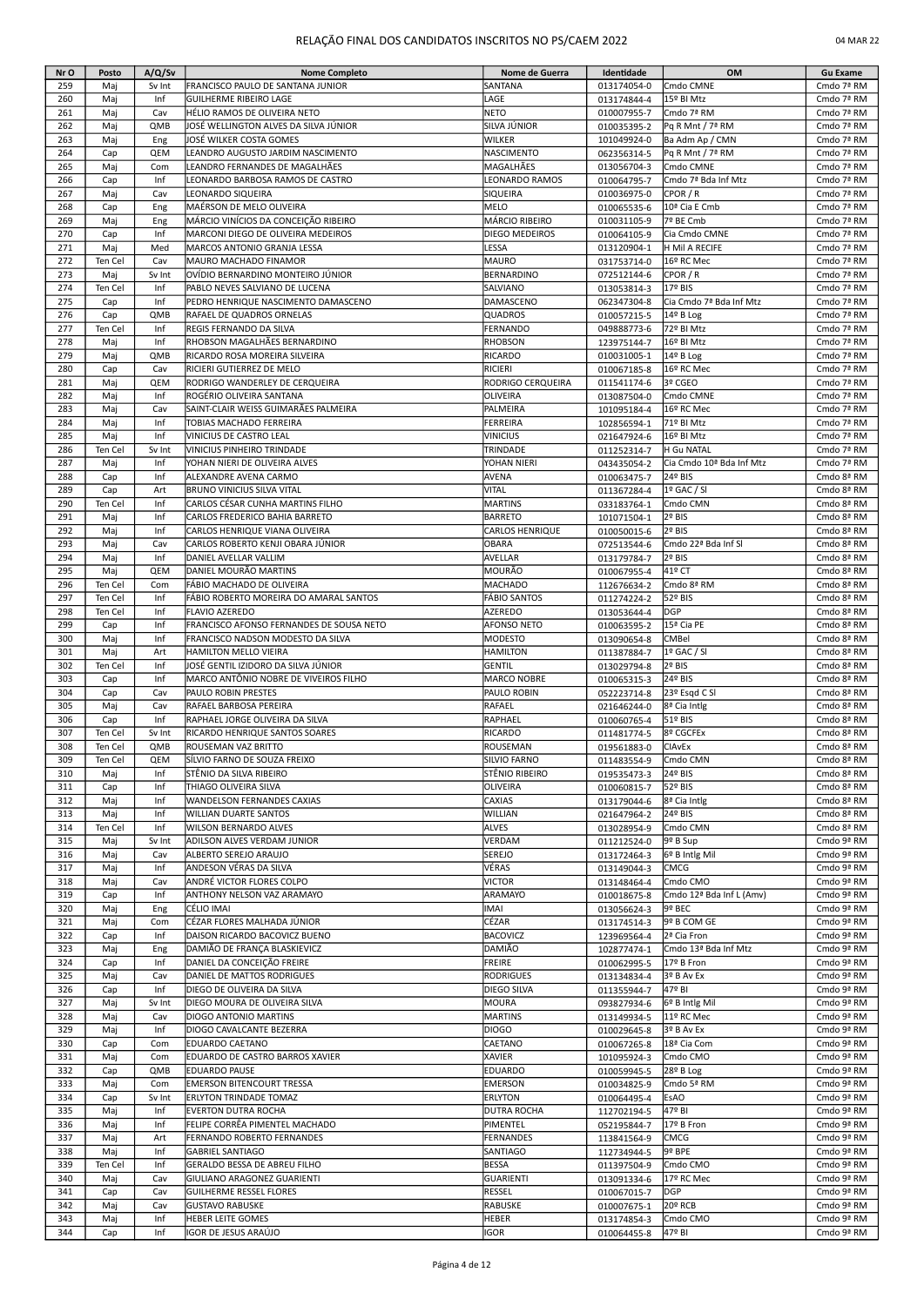| Nr O       | Posto      | A/Q/Sv        | <b>Nome Completo</b>                                                         | Nome de Guerra                    | Identidade                 | OM                                             | <b>Gu Exame</b>          |
|------------|------------|---------------|------------------------------------------------------------------------------|-----------------------------------|----------------------------|------------------------------------------------|--------------------------|
| 259        | Maj        | Sv Int        | FRANCISCO PAULO DE SANTANA JUNIOR                                            | SANTANA                           | 013174054-0                | Cmdo CMNE                                      | Cmdo 7ª RM               |
| 260        | Maj        | Inf           | <b>GUILHERME RIBEIRO LAGE</b>                                                | LAGE                              | 013174844-4                | 15º BI Mtz                                     | Cmdo 7ª RM               |
| 261        | Maj        | Cav           | HÉLIO RAMOS DE OLIVEIRA NETO                                                 | <b>NETO</b>                       | 010007955-7                | Cmdo 7ª RM                                     | Cmdo 7ª RM               |
| 262        | Mai        | QMB           | JOSÉ WELLINGTON ALVES DA SILVA JÚNIOR                                        | SILVA JÚNIOR                      | 010035395-2                | Pq R Mnt / 7ª RM                               | Cmdo 7ª RM               |
| 263        | Maj        | Eng           | JOSÉ WILKER COSTA GOMES                                                      | WILKER                            | 101049924-0                | Ba Adm Ap / CMN                                | Cmdo 7ª RM               |
| 264        | Cap        | QEM           | LEANDRO AUGUSTO JARDIM NASCIMENTO                                            | NASCIMENTO                        | 062356314-5                | Pq R Mnt / 7ª RM                               | Cmdo 7ª RM               |
| 265        | Maj        | Com           | LEANDRO FERNANDES DE MAGALHÃES                                               | MAGALHÃES                         | 013056704-3                | Cmdo CMNE                                      | Cmdo 7ª RM               |
| 266        | Cap        | Inf           | LEONARDO BARBOSA RAMOS DE CASTRO                                             | LEONARDO RAMOS                    | 010064795-7                | Cmdo 7ª Bda Inf Mtz                            | Cmdo 7ª RM               |
| 267        | Maj        | Cav           | LEONARDO SIQUEIRA                                                            | SIQUEIRA                          | 010036975-0                | CPOR / R                                       | Cmdo 7ª RM               |
| 268        | Cap        | Eng           | MAÉRSON DE MELO OLIVEIRA                                                     | MELO                              | 010065535-6                | 10ª Cia E Cmb<br>7º BE Cmb                     | Cmdo 7ª RM               |
| 269<br>270 | Maj<br>Cap | Eng<br>Inf    | MÁRCIO VINÍCIOS DA CONCEIÇÃO RIBEIRO<br>MARCONI DIEGO DE OLIVEIRA MEDEIROS   | MÁRCIO RIBEIRO<br>DIEGO MEDEIROS  | 010031105-9<br>010064105-9 | Cia Cmdo CMNE                                  | Cmdo 7ª RM<br>Cmdo 7ª RM |
| 271        | Maj        | Med           | MARCOS ANTONIO GRANJA LESSA                                                  | LESSA                             | 013120904-1                | H Mil A RECIFE                                 | Cmdo 7ª RM               |
| 272        | Ten Cel    | Cav           | MAURO MACHADO FINAMOR                                                        | MAURO                             | 031753714-0                | 16º RC Mec                                     | Cmdo 7ª RM               |
| 273        | Mai        | Sv Int        | OVÍDIO BERNARDINO MONTEIRO JÚNIOR                                            | BERNARDINO                        | 072512144-6                | CPOR / R                                       | Cmdo 7ª RM               |
| 274        | Ten Cel    | Inf           | PABLO NEVES SALVIANO DE LUCENA                                               | SALVIANO                          | 013053814-3                | 17º BIS                                        | Cmdo 7ª RM               |
| 275        | Cap        | Inf           | PEDRO HENRIQUE NASCIMENTO DAMASCENO                                          | DAMASCENO                         | 062347304-8                | Cia Cmdo 7ª Bda Inf Mtz                        | Cmdo 7ª RM               |
| 276        | Cap        | QMB           | RAFAEL DE QUADROS ORNELAS                                                    | QUADROS                           | 010057215-5                | 14º B Log                                      | Cmdo 7ª RM               |
| 277        | Ten Cel    | Inf           | <b>REGIS FERNANDO DA SILVA</b>                                               | FERNANDO                          | 049888773-6                | 72º BI Mtz                                     | Cmdo 7ª RM               |
| 278        | Mai        | Inf           | RHOBSON MAGALHÃES BERNARDINO                                                 | RHOBSON                           | 123975144-7                | 16º BI Mtz                                     | Cmdo 7ª RM               |
| 279        | Maj        | QMB           | RICARDO ROSA MOREIRA SILVEIRA                                                | RICARDO                           | 010031005-1                | 14º B Log                                      | Cmdo 7ª RM               |
| 280        | Cap        | Cav           | RICIERI GUTIERREZ DE MELO                                                    | RICIERI                           | 010067185-8                | 16º RC Mec                                     | Cmdo 7ª RM               |
| 281        | Maj        | QEM           | RODRIGO WANDERLEY DE CERQUEIRA                                               | RODRIGO CERQUEIRA                 | 011541174-6                | 3º CGEO                                        | Cmdo 7ª RM               |
| 282        | Maj        | Inf           | ROGÉRIO OLIVEIRA SANTANA                                                     | OLIVEIRA                          | 013087504-0                | Cmdo CMNE                                      | Cmdo 7ª RM               |
| 283        | Maj        | Cav           | SAINT-CLAIR WEISS GUIMARÃES PALMEIRA                                         | PALMEIRA                          | 101095184-4                | 16º RC Mec                                     | Cmdo 7ª RM               |
| 284        | Maj        | Inf           | TOBIAS MACHADO FERREIRA                                                      | FERREIRA                          | 102856594-1                | 71º BI Mtz                                     | Cmdo 7ª RM               |
| 285        | Maj        | Inf           | VINICIUS DE CASTRO LEAL                                                      | VINICIUS                          | 021647924-6                | 16º BI Mtz                                     | Cmdo 7ª RM               |
| 286<br>287 | Ten Cel    | Sv Int<br>Inf | VINICIUS PINHEIRO TRINDADE<br>YOHAN NIERI DE OLIVEIRA ALVES                  | TRINDADE<br>YOHAN NIERI           | 011252314-7                | H Gu NATAL<br>Cia Cmdo 10ª Bda Inf Mtz         | Cmdo 7ª RM<br>Cmdo 7ª RM |
| 288        | Maj<br>Cap | Inf           | ALEXANDRE AVENA CARMO                                                        | AVENA                             | 043435054-2<br>010063475-7 | 24º BIS                                        | Cmdo 8ª RM               |
| 289        | Cap        | Art           | <b>BRUNO VINICIUS SILVA VITAL</b>                                            | VITAL                             | 011367284-4                | 1º GAC / SI                                    | Cmdo 8ª RM               |
| 290        | Ten Cel    | Inf           | CARLOS CÉSAR CUNHA MARTINS FILHO                                             | <b>MARTINS</b>                    | 033183764-1                | Cmdo CMN                                       | Cmdo 8ª RM               |
| 291        | Maj        | Inf           | CARLOS FREDERICO BAHIA BARRETO                                               | <b>BARRETO</b>                    | 101071504-1                | 2º BIS                                         | Cmdo 8ª RM               |
| 292        | Maj        | Inf           | CARLOS HENRIQUE VIANA OLIVEIRA                                               | CARLOS HENRIQUE                   | 010050015-6                | 2º BIS                                         | Cmdo 8ª RM               |
| 293        | Mai        | Cav           | CARLOS ROBERTO KENJI OBARA JÚNIOR                                            | OBARA                             | 072513544-6                | Cmdo 22ª Bda Inf Sl                            | Cmdo 8ª RM               |
| 294        | Maj        | Inf           | DANIEL AVELLAR VALLIM                                                        | AVELLAR                           | 013179784-7                | 2º BIS                                         | Cmdo 8ª RM               |
| 295        | Maj        | QEM           | DANIEL MOURÃO MARTINS                                                        | MOURÃO                            | 010067955-4                | 41º CT                                         | Cmdo 8ª RM               |
| 296        | Ten Cel    | Com           | FÁBIO MACHADO DE OLIVEIRA                                                    | <b>MACHADO</b>                    | 112676634-2                | Cmdo 8ª RM                                     | Cmdo 8ª RM               |
| 297        | Ten Cel    | Inf           | FÁBIO ROBERTO MOREIRA DO AMARAL SANTOS                                       | FÁBIO SANTOS                      | 011274224-2                | 52º BIS                                        | Cmdo 8ª RM               |
| 298        | Ten Cel    | Inf           | <b>FLAVIO AZEREDO</b>                                                        | AZEREDO                           | 013053644-4                | DGP                                            | Cmdo 8ª RM               |
| 299        | Cap        | Inf           | FRANCISCO AFONSO FERNANDES DE SOUSA NETO                                     | AFONSO NETO                       | 010063595-2                | 15ª Cia PE                                     | Cmdo 8ª RM               |
| 300        | Maj        | Inf           | FRANCISCO NADSON MODESTO DA SILVA                                            | <b>MODESTO</b>                    | 013090654-8                | <b>CMBel</b>                                   | Cmdo 8ª RM               |
| 301        | Maj        | Art           | HAMILTON MELLO VIEIRA                                                        | HAMILTON                          | 011387884-7                | 1º GAC / SI                                    | Cmdo 8ª RM               |
| 302<br>303 | Ten Cel    | Inf           | JOSÉ GENTIL IZIDORO DA SILVA JÚNIOR<br>MARCO ANTÔNIO NOBRE DE VIVEIROS FILHO | GENTIL                            | 013029794-8                | 2º BIS<br>24º BIS                              | Cmdo 8ª RM<br>Cmdo 8ª RM |
| 304        | Cap<br>Cap | Inf<br>Cav    | PAULO ROBIN PRESTES                                                          | <b>MARCO NOBRE</b><br>PAULO ROBIN | 010065315-3<br>052223714-8 | 23º Esgd C SI                                  | Cmdo 8ª RM               |
| 305        | Maj        | Cav           | RAFAEL BARBOSA PEREIRA                                                       | RAFAEL                            | 021646244-0                | 8ª Cia Intlg                                   | Cmdo 8ª RM               |
| 306        | Cap        | Inf           | RAPHAEL JORGE OLIVEIRA DA SILVA                                              | RAPHAEL                           | 010060765-4                | 51º BIS                                        | Cmdo 8ª RM               |
| 307        | Ten Cel    | Sv Int        | RICARDO HENRIQUE SANTOS SOARES                                               | RICARDO                           | 011481774-5                | 8º CGCFEx                                      | Cmdo 8ª RM               |
| 308        | Ten Cel    | QMB           | ROUSEMAN VAZ BRITTO                                                          | ROUSEMAN                          | 019561883-0                | <b>CIAvEx</b>                                  | Cmdo 8ª RM               |
| 309        | Ten Cel    | QEM           | SILVIO FARNO DE SOUZA FREIXO                                                 | SILVIO FARNO                      | 011483554-9                | Cmdo CMN                                       | Cmdo 8ª RM               |
| 310        | Maj        | Inf           | STÊNIO DA SILVA RIBEIRO                                                      | STÊNIO RIBEIRO                    | 019535473-3                | 24º BIS                                        | Cmdo 8ª RM               |
| 311        | Cap        | Inf           | THIAGO OLIVEIRA SILVA                                                        | OLIVEIRA                          | 010060815-7                | 52º BIS                                        | Cmdo 8ª RM               |
| 312        | Maj        | Inf           | <b>WANDELSON FERNANDES CAXIAS</b>                                            | CAXIAS                            | 013179044-6                | 8ª Cia Intlg                                   | Cmdo 8ª RM               |
| 313        | Maj        | Inf           | <b>WILLIAN DUARTE SANTOS</b>                                                 | WILLIAN                           | 021647964-2                | 24º BIS                                        | Cmdo 8ª RM               |
| 314        | Ten Cel    | Inf           | <b>WILSON BERNARDO ALVES</b>                                                 | ALVES                             | 013028954-9                | Cmdo CMN                                       | Cmdo 8ª RM               |
| 315        | Maj        | Sv Int        | ADILSON ALVES VERDAM JUNIOR                                                  | VERDAM                            | 011212524-0                | 9º B Sup                                       | Cmdo 9ª RM               |
| 316        | Maj        | Cav           | ALBERTO SEREJO ARAUJO                                                        | SEREJO                            | 013172464-3                | 6º B Intlg Mil                                 | Cmdo 9ª RM               |
| 317        | Maj        | Inf           | ANDESON VÉRAS DA SILVA                                                       | VÉRAS                             | 013149044-3                | <b>CMCG</b>                                    | Cmdo 9ª RM               |
| 318<br>319 | Maj        | Cav<br>Inf    | ANDRÉ VICTOR FLORES COLPO<br><b>ANTHONY NELSON VAZ ARAMAYO</b>               | VICTOR<br>ARAMAYO                 | 013148464-4                | Cmdo CMO                                       | Cmdo 9ª RM<br>Cmdo 9ª RM |
| 320        | Cap<br>Maj | Eng           | CÉLIO IMAI                                                                   | IMAI                              | 010018675-8<br>013056624-3 | Cmdo 12 <sup>ª</sup> Bda Inf L (Amv)<br>9º BEC | Cmdo 9ª RM               |
| 321        | Maj        | Com           | CÉZAR FLORES MALHADA JÚNIOR                                                  | CÉZAR                             | 013174514-3                | 9º B COM GE                                    | Cmdo 9ª RM               |
| 322        | Cap        | Inf           | DAISON RICARDO BACOVICZ BUENO                                                | <b>BACOVICZ</b>                   | 123969564-4                | 2ª Cia Fron                                    | Cmdo 9ª RM               |
| 323        | Maj        | Eng           | DAMIÃO DE FRANÇA BLASKIEVICZ                                                 | DAMIÃO                            | 102877474-1                | Cmdo 13ª Bda Inf Mtz                           | Cmdo 9ª RM               |
| 324        | Cap        | Inf           | DANIEL DA CONCEIÇÃO FREIRE                                                   | FREIRE                            | 010062995-5                | 17º B Fron                                     | Cmdo 9ª RM               |
| 325        | Maj        | Cav           | DANIEL DE MATTOS RODRIGUES                                                   | RODRIGUES                         | 013134834-4                | 3º B Av Ex                                     | Cmdo 9ª RM               |
| 326        | Cap        | Inf           | DIEGO DE OLIVEIRA DA SILVA                                                   | DIEGO SILVA                       | 011355944-7                | 47º BI                                         | Cmdo 9ª RM               |
| 327        | Maj        | Sv Int        | DIEGO MOURA DE OLIVEIRA SILVA                                                | MOURA                             | 093827934-6                | 6º B Intlg Mil                                 | Cmdo 9ª RM               |
| 328        | Maj        | Cav           | DIOGO ANTONIO MARTINS                                                        | MARTINS                           | 013149934-5                | 11º RC Mec                                     | Cmdo 9ª RM               |
| 329        | Maj        | Inf           | DIOGO CAVALCANTE BEZERRA                                                     | <b>DIOGO</b>                      | 010029645-8                | 3º B Av Ex                                     | Cmdo 9ª RM               |
| 330        | Cap        | Com           | EDUARDO CAETANO                                                              | CAETANO                           | 010067265-8                | 18ª Cia Com                                    | Cmdo 9ª RM               |
| 331        | Maj        | Com           | EDUARDO DE CASTRO BARROS XAVIER                                              | XAVIER                            | 101095924-3                | Cmdo CMO                                       | Cmdo 9ª RM               |
| 332        | Cap        | QMB           | <b>EDUARDO PAUSE</b>                                                         | EDUARDO                           | 010059945-5                | 28º B Log                                      | Cmdo 9ª RM               |
| 333        | Maj        | Com           | <b>EMERSON BITENCOURT TRESSA</b>                                             | EMERSON                           | 010034825-9                | Cmdo 5ª RM                                     | Cmdo 9ª RM               |
| 334        | Cap        | Sv Int        | <b>ERLYTON TRINDADE TOMAZ</b>                                                | ERLYTON                           | 010064495-4                | <b>EsAO</b><br>47º BI                          | Cmdo 9ª RM               |
| 335        | Maj        | Inf<br>Inf    | EVERTON DUTRA ROCHA<br>FELIPE CORRÊA PIMENTEL MACHADO                        | <b>DUTRA ROCHA</b><br>PIMENTEL    | 112702194-5                |                                                | Cmdo 9ª RM               |
| 336<br>337 | Maj<br>Maj | Art           | FERNANDO ROBERTO FERNANDES                                                   | FERNANDES                         | 052195844-7<br>113841564-9 | 17º B Fron<br><b>CMCG</b>                      | Cmdo 9ª RM<br>Cmdo 9ª RM |
| 338        | Maj        | Inf           | <b>GABRIEL SANTIAGO</b>                                                      | SANTIAGO                          | 112734944-5                | 9º BPE                                         | Cmdo 9ª RM               |
| 339        | Ten Cel    | Inf           | GERALDO BESSA DE ABREU FILHO                                                 | BESSA                             | 011397504-9                | Cmdo CMO                                       | Cmdo 9ª RM               |
| 340        | Maj        | Cav           | GIULIANO ARAGONEZ GUARIENTI                                                  | GUARIENTI                         | 013091334-6                | 17º RC Mec                                     | Cmdo 9ª RM               |
| 341        | Cap        | Cav           | GUILHERME RESSEL FLORES                                                      | RESSEL                            | 010067015-7                | DGP                                            | Cmdo 9ª RM               |
| 342        | Maj        | Cav           | <b>GUSTAVO RABUSKE</b>                                                       | RABUSKE                           | 010007675-1                | 20º RCB                                        | Cmdo 9ª RM               |
| 343        | Maj        | Inf           | HEBER LEITE GOMES                                                            | HEBER                             | 013174854-3                | Cmdo CMO                                       | Cmdo 9ª RM               |
| 344        | Cap        | Inf           | IGOR DE JESUS ARAÚJO                                                         | <b>IGOR</b>                       | 010064455-8                | 47º BI                                         | Cmdo 9ª RM               |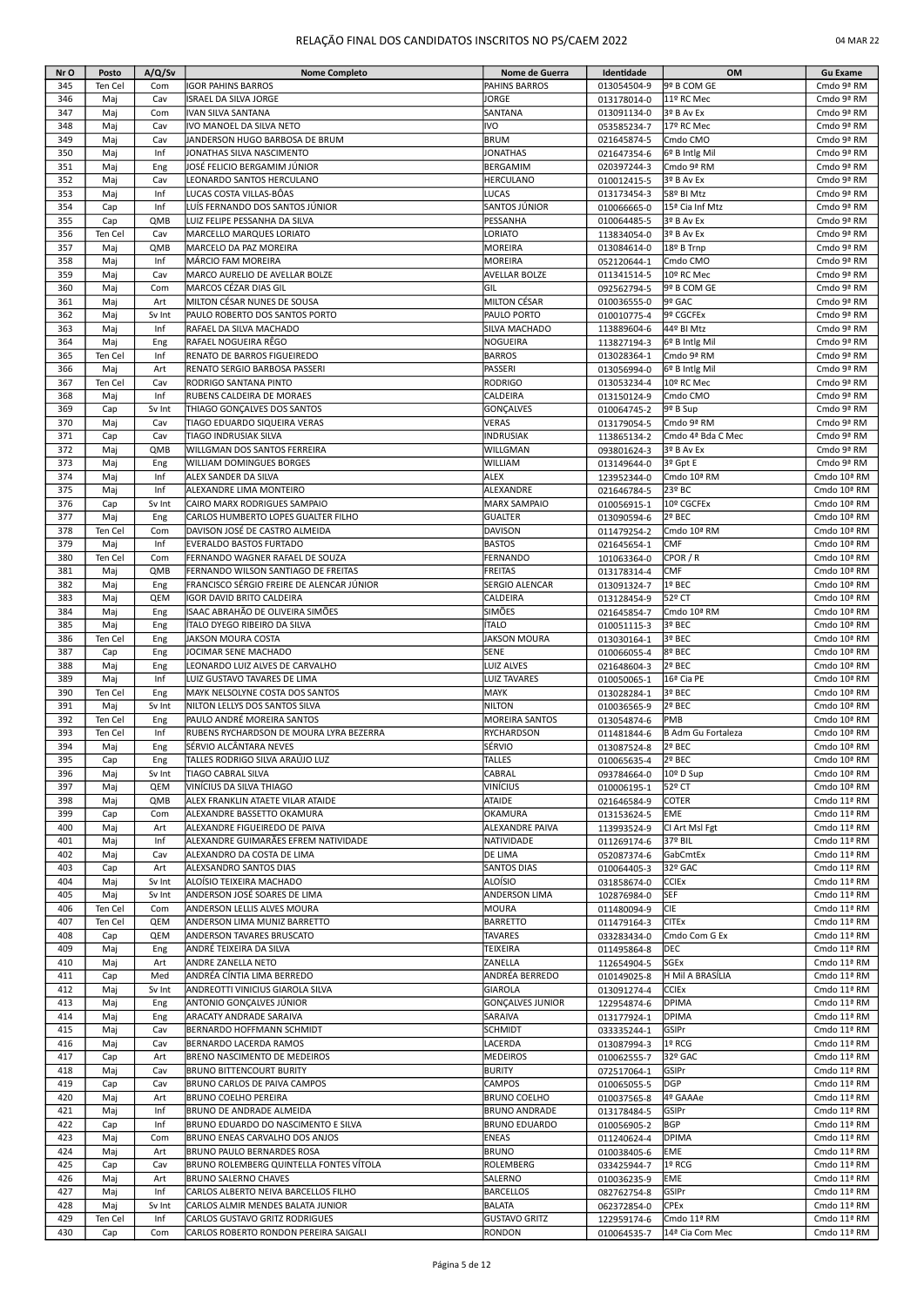| Nr O       | Posto      | A/Q/Sv        | <b>Nome Completo</b>                                             | Nome de Guerra                   | Identidade                 | OM                            | <b>Gu Exame</b>            |
|------------|------------|---------------|------------------------------------------------------------------|----------------------------------|----------------------------|-------------------------------|----------------------------|
| 345        | Ten Cel    | Com           | <b>IGOR PAHINS BARROS</b>                                        | <b>PAHINS BARROS</b>             | 013054504-9                | 9º B COM GE                   | Cmdo 9ª RM                 |
| 346        | Maj        | Cav           | ISRAEL DA SILVA JORGE                                            | <b>JORGE</b>                     | 013178014-0                | 11º RC Mec                    | Cmdo 9ª RM                 |
| 347        | Maj        | Com           | IVAN SILVA SANTANA                                               | SANTANA                          | 013091134-0                | 3º B Av Ex                    | Cmdo 9ª RM                 |
| 348        | Mai        | Cav           | IVO MANOEL DA SILVA NETO                                         | <b>IVO</b>                       | 053585234-7                | 17º RC Mec                    | Cmdo 9ª RM                 |
| 349        | Maj        | Cav           | JANDERSON HUGO BARBOSA DE BRUM                                   | <b>BRUM</b>                      | 021645874-5                | Cmdo CMO                      | Cmdo 9ª RM                 |
| 350        | Maj        | Inf           | JONATHAS SILVA NASCIMENTO                                        | <b>JONATHAS</b>                  | 021647354-6                | 6º B Intlg Mil                | Cmdo 9ª RM                 |
| 351        | Maj        | Eng           | JOSÉ FELICIO BERGAMIM JÚNIOR                                     | <b>BERGAMIM</b>                  | 020397244-3                | Cmdo 9ª RM                    | Cmdo 9ª RM                 |
| 352        | Mai        | Cav           | LEONARDO SANTOS HERCULANO                                        | <b>HERCULANO</b>                 | 010012415-5                | 3º B Av Ex                    | Cmdo 9ª RM                 |
| 353        | Maj        | Inf<br>Inf    | LUCAS COSTA VILLAS-BÔAS                                          | LUCAS                            | 013173454-3                | 58º BI Mtz                    | Cmdo 9ª RM                 |
| 354<br>355 | Cap<br>Cap | QMB           | LUÍS FERNANDO DOS SANTOS JÚNIOR<br>LUIZ FELIPE PESSANHA DA SILVA | SANTOS JÚNIOR<br>PESSANHA        | 010066665-0                | 15ª Cia Inf Mtz<br>3º B Av Ex | Cmdo 9ª RM<br>Cmdo 9ª RM   |
| 356        | Ten Cel    | Cav           | MARCELLO MARQUES LORIATO                                         | LORIATO                          | 010064485-5<br>113834054-0 | 3º B Av Ex                    | Cmdo 9ª RM                 |
| 357        | Maj        | QMB           | MARCELO DA PAZ MOREIRA                                           | MOREIRA                          | 013084614-0                | 18º B Trnp                    | Cmdo 9ª RM                 |
| 358        | Maj        | Inf           | MÁRCIO FAM MOREIRA                                               | MOREIRA                          | 052120644-1                | Cmdo CMO                      | Cmdo 9ª RM                 |
| 359        | Maj        | Cav           | MARCO AURELIO DE AVELLAR BOLZE                                   | <b>AVELLAR BOLZE</b>             | 011341514-5                | 10º RC Mec                    | Cmdo 9ª RM                 |
| 360        | Maj        | Com           | <b>MARCOS CÉZAR DIAS GIL</b>                                     | GIL                              | 092562794-5                | 9º B COM GE                   | Cmdo 9ª RM                 |
| 361        | Maj        | Art           | MILTON CÉSAR NUNES DE SOUSA                                      | <b>MILTON CÉSAR</b>              | 010036555-0                | 9º GAC                        | Cmdo 9ª RM                 |
| 362        | Maj        | Sv Int        | PAULO ROBERTO DOS SANTOS PORTO                                   | PAULO PORTO                      | 010010775-4                | 9º CGCFEx                     | Cmdo 9ª RM                 |
| 363        | Maj        | Inf           | RAFAEL DA SILVA MACHADO                                          | SILVA MACHADO                    | 113889604-6                | 44º BI Mtz                    | Cmdo 9ª RM                 |
| 364        | Maj        | Eng           | RAFAEL NOGUEIRA RÊGO                                             | NOGUEIRA                         | 113827194-3                | 6º B Intlg Mil                | Cmdo 9ª RM                 |
| 365        | Ten Cel    | Inf           | RENATO DE BARROS FIGUEIREDO                                      | <b>BARROS</b>                    | 013028364-1                | Cmdo 9ª RM                    | Cmdo 9ª RM                 |
| 366        | Maj        | Art           | RENATO SERGIO BARBOSA PASSERI                                    | PASSERI                          | 013056994-0                | 6º B Intlg Mil                | Cmdo 9ª RM                 |
| 367        | Ten Cel    | Cav           | RODRIGO SANTANA PINTO                                            | <b>RODRIGO</b>                   | 013053234-4                | 10º RC Mec                    | Cmdo 9ª RM                 |
| 368        | Maj        | Inf           | RUBENS CALDEIRA DE MORAES                                        | CALDEIRA                         | 013150124-9                | Cmdo CMO                      | Cmdo 9ª RM                 |
| 369        | Cap        | Sv Int        | THIAGO GONCALVES DOS SANTOS                                      | <b>GONÇALVES</b>                 | 010064745-2                | 9º B Sup                      | Cmdo 9ª RM                 |
| 370        | Maj        | Cav           | TIAGO EDUARDO SIQUEIRA VERAS<br>TIAGO INDRUSIAK SILVA            | <b>VERAS</b>                     | 013179054-5                | Cmdo 9ª RM                    | Cmdo 9ª RM                 |
| 371        | Cap        | Cav           |                                                                  | <b>INDRUSIAK</b>                 | 113865134-2                | Cmdo 4ª Bda C Mec             | Cmdo 9ª RM                 |
| 372<br>373 | Maj<br>Maj | QMB           | WILLGMAN DOS SANTOS FERREIRA<br><b>WILLIAM DOMINGUES BORGES</b>  | WILLGMAN<br>WILLIAM              | 093801624-3                | 3º B Av Ex<br>3º Gpt E        | Cmdo 9ª RM<br>Cmdo 9ª RM   |
| 374        | Maj        | Eng<br>Inf    | ALEX SANDER DA SILVA                                             | <b>ALEX</b>                      | 013149644-0<br>123952344-0 | Cmdo 10ª RM                   | Cmdo 10ª RM                |
| 375        | Maj        | Inf           | ALEXANDRE LIMA MONTEIRO                                          | ALEXANDRE                        | 021646784-5                | 23º BC                        | Cmdo 10ª RM                |
| 376        | Cap        | Sv Int        | CAIRO MARX RODRIGUES SAMPAIO                                     | <b>MARX SAMPAIO</b>              | 010056915-1                | 10º CGCFEx                    | Cmdo 10ª RM                |
| 377        | Maj        | Eng           | CARLOS HUMBERTO LOPES GUALTER FILHO                              | <b>GUALTER</b>                   | 013090594-6                | 2º BEC                        | Cmdo 10ª RM                |
| 378        | Ten Cel    | Com           | DAVISON JOSÉ DE CASTRO ALMEIDA                                   | <b>DAVISON</b>                   | 011479254-2                | Cmdo 10ª RM                   | Cmdo 10ª RM                |
| 379        | Maj        | Inf           | EVERALDO BASTOS FURTADO                                          | <b>BASTOS</b>                    | 021645654-1                | <b>CMF</b>                    | Cmdo 10ª RM                |
| 380        | Ten Cel    | Com           | FERNANDO WAGNER RAFAEL DE SOUZA                                  | FERNANDO                         | 101063364-0                | CPOR / R                      | Cmdo 10ª RM                |
| 381        | Maj        | QMB           | FERNANDO WILSON SANTIAGO DE FREITAS                              | <b>FREITAS</b>                   | 013178314-4                | <b>CMF</b>                    | Cmdo 10ª RM                |
| 382        | Maj        | Eng           | FRANCISCO SÉRGIO FREIRE DE ALENCAR JÚNIOR                        | SERGIO ALENCAR                   | 013091324-7                | 1º BEC                        | Cmdo 10ª RM                |
| 383        | Maj        | QEM           | IGOR DAVID BRITO CALDEIRA                                        | CALDEIRA                         | 013128454-9                | 52º CT                        | Cmdo 10ª RM                |
| 384        | Maj        | Eng           | ISAAC ABRAHÃO DE OLIVEIRA SIMÕES                                 | <b>SIMÕES</b>                    | 021645854-7                | Cmdo 10ª RM                   | Cmdo 10ª RM                |
| 385        | Maj        | Eng           | ÍTALO DYEGO RIBEIRO DA SILVA                                     | ÍTALO                            | 010051115-3                | 3º BEC                        | Cmdo 10ª RM                |
| 386        | Ten Cel    | Eng           | JAKSON MOURA COSTA                                               | <b>JAKSON MOURA</b>              | 013030164-1                | 3º BEC                        | Cmdo 10ª RM                |
| 387<br>388 | Cap        | Eng           | JOCIMAR SENE MACHADO<br>LEONARDO LUIZ ALVES DE CARVALHO          | <b>SENE</b><br><b>LUIZ ALVES</b> | 010066055-4                | 8º BEC<br>2º BEC              | Cmdo 10ª RM                |
| 389        | Maj<br>Maj | Eng<br>Inf    | LUIZ GUSTAVO TAVARES DE LIMA                                     | <b>LUIZ TAVARES</b>              | 021648604-3<br>010050065-1 | 16ª Cia PE                    | Cmdo 10ª RM<br>Cmdo 10ª RM |
| 390        | Ten Cel    | Eng           | MAYK NELSOLYNE COSTA DOS SANTOS                                  | MAYK                             | 013028284-1                | 3º BEC                        | Cmdo 10ª RM                |
| 391        | Maj        | Sv Int        | NILTON LELLYS DOS SANTOS SILVA                                   | <b>NILTON</b>                    | 010036565-9                | 2º BEC                        | Cmdo 10ª RM                |
| 392        | Ten Cel    | Eng           | PAULO ANDRÉ MOREIRA SANTOS                                       | <b>MOREIRA SANTOS</b>            | 013054874-6                | PMB                           | Cmdo 10ª RM                |
| 393        | Ten Cel    | Inf           | RUBENS RYCHARDSON DE MOURA LYRA BEZERRA                          | <b>RYCHARDSON</b>                | 011481844-6                | B Adm Gu Fortaleza            | Cmdo 10ª RM                |
| 394        | Maj        | Eng           | SÉRVIO ALCÂNTARA NEVES                                           | SÉRVIO                           | 013087524-8                | 2º BEC                        | Cmdo 10ª RM                |
| 395        | Cap        | Eng           | TALLES RODRIGO SILVA ARAUJO LUZ                                  | TALLES                           | 010065635-4                | 12 <sup>e</sup> BEC           | Cmdo 10ª RM                |
| 396        | Maj        | Sv Int        | TIAGO CABRAL SILVA                                               | <b>CABRAL</b>                    | 093784664-0                | 10º D Sup                     | Cmdo 10ª RM                |
| 397        | Maj        | QEM           | VINÍCIUS DA SILVA THIAGO                                         | VINÍCIUS                         | 010006195-1                | 52º CT                        | Cmdo 10ª RM                |
| 398        | Maj        | QMB           | ALEX FRANKLIN ATAETE VILAR ATAIDE                                | ATAIDE                           | 021646584-9                | <b>COTER</b>                  | Cmdo 11ª RM                |
| 399        | Cap        | Com           | ALEXANDRE BASSETTO OKAMURA                                       | OKAMURA                          | 013153624-5                | EME                           | Cmdo 11ª RM                |
| 400        | Maj        | Art           | ALEXANDRE FIGUEIREDO DE PAIVA                                    | ALEXANDRE PAIVA                  | 113993524-9                | CI Art Msl Fgt                | Cmdo 11ª RM                |
| 401        | Maj        | Inf           | ALEXANDRE GUIMARÃES EFREM NATIVIDADE                             | NATIVIDADE                       | 011269174-6                | 37º BIL                       | Cmdo 11ª RM                |
| 402<br>403 | Maj        | Cav           | ALEXANDRO DA COSTA DE LIMA                                       | <b>DE LIMA</b>                   | 052087374-6                | GabCmtEx<br>32º GAC           | Cmdo 11ª RM                |
| 404        | Cap<br>Maj | Art<br>Sv Int | ALEXSANDRO SANTOS DIAS<br>ALOÍSIO TEIXEIRA MACHADO               | <b>SANTOS DIAS</b><br>ALOÍSIO    | 010064405-3<br>031858674-0 | <b>CCIEx</b>                  | Cmdo 11ª RM<br>Cmdo 11ª RM |
| 405        | Maj        | Sv Int        | ANDERSON JOSÉ SOARES DE LIMA                                     | <b>ANDERSON LIMA</b>             | 102876984-0                | SEF                           | Cmdo 11ª RM                |
| 406        | Ten Cel    | Com           | ANDERSON LELLIS ALVES MOURA                                      | <b>MOURA</b>                     | 011480094-9                | <b>CIE</b>                    | Cmdo 11ª RM                |
| 407        | Ten Cel    | QEM           | ANDERSON LIMA MUNIZ BARRETTO                                     | <b>BARRETTO</b>                  | 011479164-3                | <b>CITEx</b>                  | Cmdo 11ª RM                |
| 408        | Cap        | QEM           | ANDERSON TAVARES BRUSCATO                                        | <b>TAVARES</b>                   | 033283434-0                | Cmdo Com G Ex                 | Cmdo 11ª RM                |
| 409        | Maj        | Eng           | ANDRÉ TEIXEIRA DA SILVA                                          | <b>TEIXEIRA</b>                  | 011495864-8                | <b>DEC</b>                    | Cmdo 11ª RM                |
| 410        | Maj        | Art           | ANDRE ZANELLA NETO                                               | ZANELLA                          | 112654904-5                | <b>SGEx</b>                   | Cmdo 11ª RM                |
| 411        | Cap        | Med           | ANDRÉA CÍNTIA LIMA BERREDO                                       | ANDRÉA BERREDO                   | 010149025-8                | H Mil A BRASÍLIA              | Cmdo 11ª RM                |
| 412        | Maj        | Sv Int        | ANDREOTTI VINICIUS GIAROLA SILVA                                 | <b>GIAROLA</b>                   | 013091274-4                | <b>CCIEx</b>                  | Cmdo 11ª RM                |
| 413        | Maj        | Eng           | ANTONIO GONÇALVES JÚNIOR                                         | <b>GONÇALVES JUNIOR</b>          | 122954874-6                | <b>DPIMA</b>                  | Cmdo 11ª RM                |
| 414        | Maj        | Eng           | <b>ARACATY ANDRADE SARAIVA</b>                                   | SARAIVA                          | 013177924-1                | DPIMA                         | Cmdo 11ª RM                |
| 415        | Maj        | Cav           | BERNARDO HOFFMANN SCHMIDT                                        | <b>SCHMIDT</b>                   | 033335244-1                | GSIPr                         | Cmdo 11ª RM                |
| 416        | Maj        | Cav           | <b>BERNARDO LACERDA RAMOS</b>                                    | LACERDA                          | 013087994-3                | 1º RCG                        | Cmdo 11ª RM                |
| 417        | Cap        | Art           | BRENO NASCIMENTO DE MEDEIROS                                     | <b>MEDEIROS</b>                  | 010062555-7                | 32º GAC                       | Cmdo 11ª RM                |
| 418<br>419 | Maj<br>Cap | Cav<br>Cav    | <b>BRUNO BITTENCOURT BURITY</b><br>BRUNO CARLOS DE PAIVA CAMPOS  | <b>BURITY</b><br><b>CAMPOS</b>   | 072517064-1<br>010065055-5 | GSIPr<br><b>DGP</b>           | Cmdo 11ª RM<br>Cmdo 11ª RM |
| 420        | Maj        | Art           | <b>BRUNO COELHO PEREIRA</b>                                      | <b>BRUNO COELHO</b>              | 010037565-8                | 4º GAAAe                      | Cmdo 11ª RM                |
| 421        | Maj        | Inf           | BRUNO DE ANDRADE ALMEIDA                                         | <b>BRUNO ANDRADE</b>             | 013178484-5                | GSIPr                         | Cmdo 11ª RM                |
| 422        | Cap        | Inf           | BRUNO EDUARDO DO NASCIMENTO E SILVA                              | <b>BRUNO EDUARDO</b>             | 010056905-2                | <b>BGP</b>                    | Cmdo 11ª RM                |
| 423        | Maj        | Com           | BRUNO ENEAS CARVALHO DOS ANJOS                                   | <b>ENEAS</b>                     | 011240624-4                | DPIMA                         | Cmdo 11ª RM                |
| 424        | Maj        | Art           | BRUNO PAULO BERNARDES ROSA                                       | <b>BRUNO</b>                     | 010038405-6                | <b>EME</b>                    | Cmdo 11ª RM                |
| 425        | Cap        | Cav           | BRUNO ROLEMBERG QUINTELLA FONTES VÍTOLA                          | ROLEMBERG                        | 033425944-7                | 1º RCG                        | Cmdo 11ª RM                |
| 426        | Maj        | Art           | <b>BRUNO SALERNO CHAVES</b>                                      | SALERNO                          | 010036235-9                | EME                           | Cmdo 11ª RM                |
| 427        | Maj        | Inf           | CARLOS ALBERTO NEIVA BARCELLOS FILHO                             | <b>BARCELLOS</b>                 | 082762754-8                | GSIPr                         | Cmdo 11ª RM                |
| 428        | Maj        | Sv Int        | CARLOS ALMIR MENDES BALATA JUNIOR                                | <b>BALATA</b>                    | 062372854-0                | CPEx                          | Cmdo 11ª RM                |
| 429        | Ten Cel    | Inf           | CARLOS GUSTAVO GRITZ RODRIGUES                                   | <b>GUSTAVO GRITZ</b>             | 122959174-6                | Cmdo 11ª RM                   | Cmdo 11ª RM                |
| 430        | Cap        | Com           | CARLOS ROBERTO RONDON PEREIRA SAIGALI                            | <b>RONDON</b>                    | 010064535-7                | 14ª Cia Com Mec               | Cmdo 11ª RM                |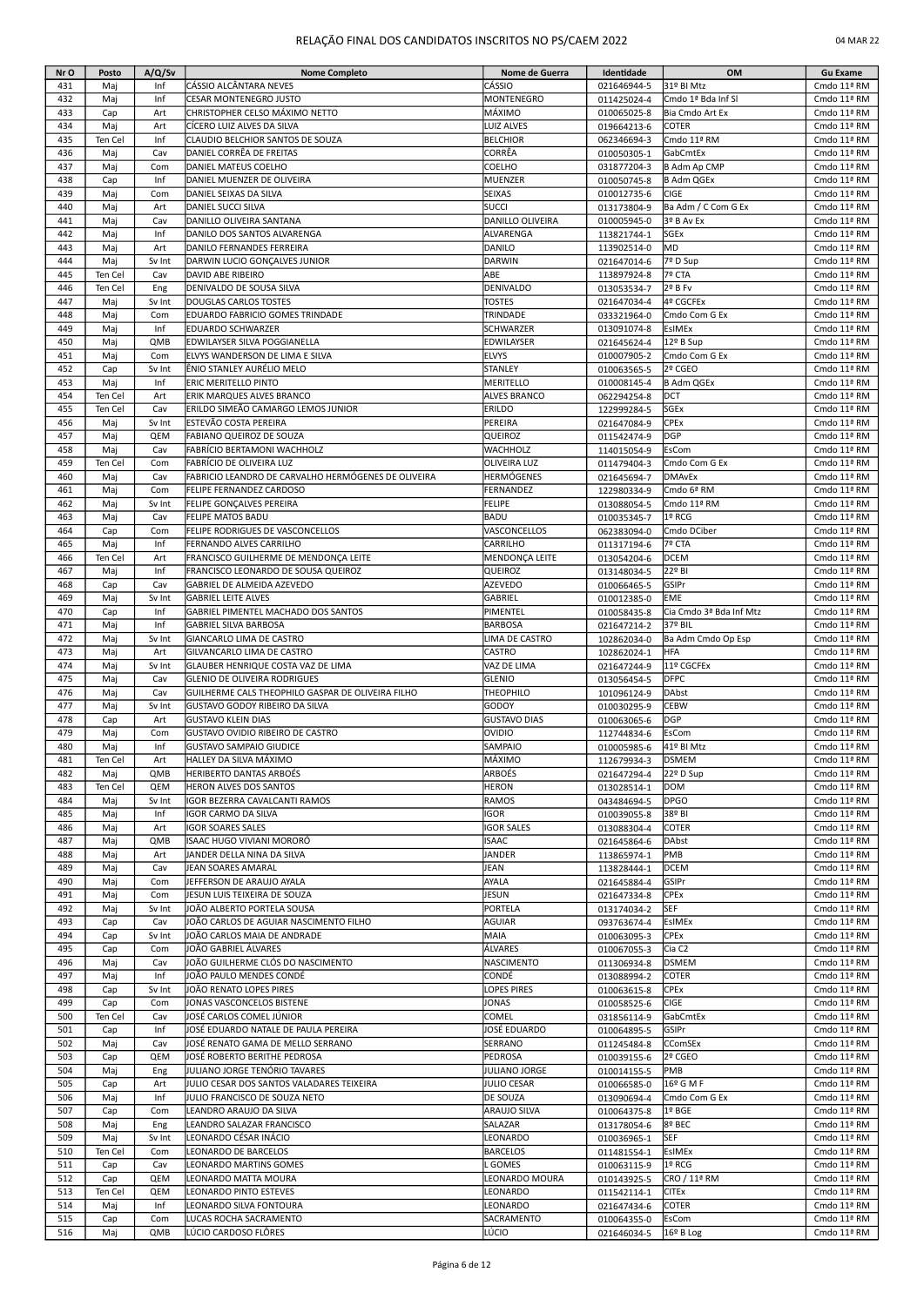| Nr O       | Posto      | A/Q/Sv        | <b>Nome Completo</b>                                        | Nome de Guerra                   | Identidade                 | OM                                | <b>Gu Exame</b>            |
|------------|------------|---------------|-------------------------------------------------------------|----------------------------------|----------------------------|-----------------------------------|----------------------------|
| 431        | Maj        | Inf           | ICÁSSIO ALCÂNTARA NEVES                                     | CÁSSIO                           | 021646944-5                | 31º BI Mtz                        | Cmdo 11ª RM                |
| 432        | Maj        | Inf           | <b>CESAR MONTENEGRO JUSTO</b>                               | MONTENEGRO                       | 011425024-4                | Cmdo 1ª Bda Inf Sl                | Cmdo 11ª RM                |
| 433        | Cap        | Art           | CHRISTOPHER CELSO MÁXIMO NETTO                              | MÁXIMO                           | 010065025-8                | Bia Cmdo Art Ex                   | Cmdo 11ª RM                |
| 434        | Maj        | Art           | CÍCERO LUIZ ALVES DA SILVA                                  | LUIZ ALVES                       | 019664213-6                | <b>COTER</b>                      | Cmdo 11ª RM                |
| 435        | Ten Cel    | Inf           | CLAUDIO BELCHIOR SANTOS DE SOUZA                            | <b>BELCHIOR</b>                  | 062346694-3                | Cmdo 11ª RM                       | Cmdo 11ª RM                |
| 436        | Maj        | Cav           | DANIEL CORRÊA DE FREITAS                                    | CORRÊA                           | 010050305-1                | GabCmtEx                          | Cmdo 11ª RM                |
| 437        | Maj        | Com           | DANIEL MATEUS COELHO                                        | COELHO                           | 031877204-3                | B Adm Ap CMP                      | Cmdo 11ª RM                |
| 438        | Cap        | Inf           | DANIEL MUENZER DE OLIVEIRA                                  | MUENZER                          | 010050745-8                | <b>B Adm QGEx</b>                 | Cmdo 11ª RM                |
| 439        | Maj        | Com           | DANIEL SEIXAS DA SILVA                                      | <b>SEIXAS</b>                    | 010012735-6                | CIGE                              | Cmdo 11ª RM                |
| 440<br>441 | Maj        | Art           | DANIEL SUCCI SILVA                                          | <b>SUCCI</b><br>DANILLO OLIVEIRA | 013173804-9                | Ba Adm / C Com G Ex<br>3º B Av Ex | Cmdo 11ª RM                |
| 442        | Maj<br>Maj | Cav<br>Inf    | DANILLO OLIVEIRA SANTANA<br>DANILO DOS SANTOS ALVARENGA     | ALVARENGA                        | 010005945-0<br>113821744-1 | <b>SGEx</b>                       | Cmdo 11ª RM<br>Cmdo 11ª RM |
| 443        | Maj        | Art           | DANILO FERNANDES FERREIRA                                   | DANILO                           | 113902514-0                | MD                                | Cmdo 11ª RM                |
| 444        | Maj        | Sv Int        | DARWIN LUCIO GONCALVES JUNIOR                               | <b>DARWIN</b>                    | 021647014-6                | 7º D Sup                          | Cmdo 11ª RM                |
| 445        | Ten Cel    | Cav           | DAVID ABE RIBEIRO                                           | ABE                              | 113897924-8                | 7º CTA                            | Cmdo 11ª RM                |
| 446        | Ten Cel    | Eng           | DENIVALDO DE SOUSA SILVA                                    | DENIVALDO                        | 013053534-7                | 2º B Fv                           | Cmdo 11ª RM                |
| 447        | Maj        | Sv Int        | DOUGLAS CARLOS TOSTES                                       | <b>TOSTES</b>                    | 021647034-4                | 4º CGCFEx                         | Cmdo 11ª RM                |
| 448        | Maj        | Com           | EDUARDO FABRICIO GOMES TRINDADE                             | TRINDADE                         | 033321964-0                | Cmdo Com G Ex                     | Cmdo 11ª RM                |
| 449        | Maj        | Inf           | EDUARDO SCHWARZER                                           | SCHWARZER                        | 013091074-8                | <b>EsIMEx</b>                     | Cmdo 11ª RM                |
| 450        | Maj        | QMB           | EDWILAYSER SILVA POGGIANELLA                                | EDWILAYSER                       | 021645624-4                | 12º B Sup                         | Cmdo 11ª RM                |
| 451        | Maj        | Com           | ELVYS WANDERSON DE LIMA E SILVA                             | ELVYS                            | 010007905-2                | Cmdo Com G Ex                     | Cmdo 11ª RM                |
| 452        | Cap        | Sv Int        | ÊNIO STANLEY AURÉLIO MELO                                   | STANLEY                          | 010063565-5                | 2º CGEO                           | Cmdo 11ª RM                |
| 453        | Maj        | Inf           | ERIC MERITELLO PINTO                                        | MERITELLO                        | 010008145-4                | <b>B Adm QGEx</b>                 | Cmdo 11ª RM                |
| 454        | Ten Cel    | Art           | ERIK MARQUES ALVES BRANCO                                   | <b>ALVES BRANCO</b>              | 062294254-8                | DCT                               | Cmdo 11ª RM                |
| 455        | Ten Cel    | Cav           | ERILDO SIMEÃO CAMARGO LEMOS JUNIOR                          | ERILDO                           | 122999284-5                | SGEx                              | Cmdo 11ª RM                |
| 456        | Maj        | Sv Int        | ESTEVÃO COSTA PEREIRA                                       | PEREIRA                          | 021647084-9                | CPEx                              | Cmdo 11ª RM                |
| 457        | Maj        | QEM           | FABIANO QUEIROZ DE SOUZA                                    | QUEIROZ                          | 011542474-9                | <b>DGP</b>                        | Cmdo 11ª RM                |
| 458        | Maj        | Cav           | FABRÍCIO BERTAMONI WACHHOLZ                                 | WACHHOLZ                         | 114015054-9                | EsCom                             | Cmdo 11ª RM                |
| 459        | Ten Cel    | Com           | FABRÍCIO DE OLIVEIRA LUZ                                    | OLIVEIRA LUZ                     | 011479404-3                | Cmdo Com G Ex                     | Cmdo 11ª RM                |
| 460<br>461 | Maj        | Cav           | FABRICIO LEANDRO DE CARVALHO HERMÓGENES DE OLIVEIRA         | HERMÓGENES<br>FERNANDEZ          | 021645694-7                | <b>DMAvEx</b>                     | Cmdo 11ª RM                |
| 462        | Maj<br>Maj | Com<br>Sv Int | FELIPE FERNANDEZ CARDOSO<br><b>FELIPE GONCALVES PEREIRA</b> | <b>FELIPE</b>                    | 122980334-9<br>013088054-5 | Cmdo 6ª RM<br>Cmdo 11ª RM         | Cmdo 11ª RM<br>Cmdo 11ª RM |
| 463        | Maj        | Cav           | <b>FELIPE MATOS BADU</b>                                    | BADU                             | 010035345-7                | 1º RCG                            | Cmdo 11ª RM                |
| 464        | Cap        | Com           | FELIPE RODRIGUES DE VASCONCELLOS                            | VASCONCELLOS                     | 062383094-0                | Cmdo DCiber                       | Cmdo 11ª RM                |
| 465        | Maj        | Inf           | FERNANDO ALVES CARRILHO                                     | CARRILHO                         | 011317194-6                | 7º CTA                            | Cmdo 11ª RM                |
| 466        | Ten Cel    | Art           | FRANCISCO GUILHERME DE MENDONÇA LEITE                       | MENDONÇA LEITE                   | 013054204-6                | <b>DCEM</b>                       | Cmdo 11ª RM                |
| 467        | Maj        | Inf           | FRANCISCO LEONARDO DE SOUSA QUEIROZ                         | QUEIROZ                          | 013148034-5                | 22º BI                            | Cmdo 11ª RM                |
| 468        | Cap        | Cav           | GABRIEL DE ALMEIDA AZEVEDO                                  | AZEVEDO                          | 010066465-5                | GSIPr                             | Cmdo 11ª RM                |
| 469        | Maj        | Sv Int        | <b>GABRIEL LEITE ALVES</b>                                  | GABRIEL                          | 010012385-0                | EME                               | Cmdo 11ª RM                |
| 470        | Cap        | Inf           | GABRIEL PIMENTEL MACHADO DOS SANTOS                         | PIMENTEL                         | 010058435-8                | Cia Cmdo 3ª Bda Inf Mtz           | Cmdo 11ª RM                |
| 471        | Maj        | Inf           | <b>GABRIEL SILVA BARBOSA</b>                                | <b>BARBOSA</b>                   | 021647214-2                | 37º BIL                           | Cmdo 11ª RM                |
| 472        | Maj        | Sv Int        | GIANCARLO LIMA DE CASTRO                                    | LIMA DE CASTRO                   | 102862034-0                | Ba Adm Cmdo Op Esp                | Cmdo 11ª RM                |
| 473        | Maj        | Art           | GILVANCARLO LIMA DE CASTRO                                  | CASTRO                           | 102862024-1                | <b>HFA</b>                        | Cmdo 11ª RM                |
| 474        | Maj        | Sv Int        | GLAUBER HENRIQUE COSTA VAZ DE LIMA                          | VAZ DE LIMA                      | 021647244-9                | 11º CGCFEx                        | Cmdo 11ª RM                |
| 475        | Maj        | Cav           | <b>GLENIO DE OLIVEIRA RODRIGUES</b>                         | <b>GLENIO</b>                    | 013056454-5                | <b>DFPC</b>                       | Cmdo 11ª RM                |
| 476        | Maj        | Cav           | GUILHERME CALS THEOPHILO GASPAR DE OLIVEIRA FILHO           | THEOPHILO                        | 101096124-9                | <b>DAbst</b>                      | Cmdo 11ª RM                |
| 477        | Maj        | Sv Int        | <b>GUSTAVO GODOY RIBEIRO DA SILVA</b>                       | GODOY                            | 010030295-9                | <b>CEBW</b>                       | Cmdo 11ª RM                |
| 478        | Cap        | Art           | <b>GUSTAVO KLEIN DIAS</b>                                   | <b>GUSTAVO DIAS</b>              | 010063065-6                | <b>DGP</b>                        | Cmdo 11ª RM                |
| 479        | Maj        | Com           | GUSTAVO OVIDIO RIBEIRO DE CASTRO                            | OVIDIO                           | 112744834-6                | EsCom                             | Cmdo 11ª RM                |
| 480        | Maj        | Inf           | <b>GUSTAVO SAMPAIO GIUDICE</b>                              | SAMPAIO                          | 010005985-6                | 41º BI Mtz                        | Cmdo 11ª RM                |
| 481        | Ten Cel    | Art           | HALLEY DA SILVA MÁXIMO                                      | MÁXIMO                           | 112679934-3                | <b>DSMEM</b>                      | Cmdo 11ª RM                |
| 482        | Maj        | QMB           | <b>HERIBERTO DANTAS ARBOÉS</b>                              | ARBOÉS                           | 021647294-4                | 22º D Sup                         | Cmdo 11ª RM                |
| 483        | Ten Cel    | QEM           | <b>HERON ALVES DOS SANTOS</b>                               | <b>HERON</b>                     | 013028514-1                | DOM                               | Cmdo 11ª RM                |
| 484        | Maj        | Sv Int        | IGOR BEZERRA CAVALCANTI RAMOS                               | RAMOS                            | 043484694-5                | <b>DPGO</b><br>38º BI             | Cmdo 11ª RM                |
| 485<br>486 | Maj<br>Maj | Inf<br>Art    | IGOR CARMO DA SILVA<br><b>IGOR SOARES SALES</b>             | IGOR<br><b>IGOR SALES</b>        | 010039055-8<br>013088304-4 | COTER                             | Cmdo 11ª RM<br>Cmdo 11ª RM |
| 487        | Maj        | QMB           | ISAAC HUGO VIVIANI MORORÓ                                   | <b>ISAAC</b>                     | 021645864-6                | DAbst                             | Cmdo 11ª RM                |
| 488        | Maj        | Art           | JANDER DELLA NINA DA SILVA                                  | JANDER                           | 113865974-1                | PMB                               | Cmdo 11ª RM                |
| 489        | Maj        | Cav           | JEAN SOARES AMARAL                                          | JEAN                             | 113828444-1                | <b>DCEM</b>                       | Cmdo 11ª RM                |
| 490        | Maj        | Com           | JEFFERSON DE ARAUJO AYALA                                   | AYALA                            | 021645884-4                | GSIPr                             | Cmdo 11ª RM                |
| 491        | Maj        | Com           | IJESUN LUIS TEIXEIRA DE SOUZA                               | JESUN                            | 021647334-8                | CPEx                              | Cmdo 11ª RM                |
| 492        | Maj        | Sv Int        | JOÃO ALBERTO PORTELA SOUSA                                  | PORTELA                          | 013174034-2                | <b>SEF</b>                        | Cmdo 11ª RM                |
| 493        | Cap        | Cav           | JOÃO CARLOS DE AGUIAR NASCIMENTO FILHO                      | AGUIAR                           | 093763674-4                | EsIMEx                            | Cmdo 11ª RM                |
| 494        | Cap        | Sv Int        | JOÃO CARLOS MAIA DE ANDRADE                                 | MAIA                             | 010063095-3                | CPEx                              | Cmdo 11ª RM                |
| 495        | Cap        | Com           | JOÃO GABRIEL ÁLVARES                                        | ÁLVARES                          | 010067055-3                | Cia C <sub>2</sub>                | Cmdo 11ª RM                |
| 496        | Maj        | Cav           | JOÃO GUILHERME CLÓS DO NASCIMENTO                           | NASCIMENTO                       | 011306934-8                | <b>DSMEM</b>                      | Cmdo 11ª RM                |
| 497        | Maj        | Inf           | JOÃO PAULO MENDES CONDÉ                                     | CONDÉ                            | 013088994-2                | COTER                             | Cmdo 11ª RM                |
| 498        | Cap        | Sv Int        | JOÃO RENATO LOPES PIRES                                     | LOPES PIRES                      | 010063615-8                | CPEx                              | Cmdo 11ª RM                |
| 499        | Cap        | Com           | JONAS VASCONCELOS BISTENE                                   | JONAS                            | 010058525-6                | CIGE                              | Cmdo 11ª RM                |
| 500        | Ten Cel    | Cav           | JOSÉ CARLOS COMEL JÚNIOR                                    | COMEL                            | 031856114-9                | GabCmtEx                          | Cmdo 11ª RM                |
| 501        | Cap        | Inf           | JOSÉ EDUARDO NATALE DE PAULA PEREIRA                        | JOSÉ EDUARDO                     | 010064895-5                | GSIPr                             | Cmdo 11ª RM                |
| 502        | Maj        | Cav           | JOSÉ RENATO GAMA DE MELLO SERRANO                           | SERRANO                          | 011245484-8                | <b>CComSEx</b>                    | Cmdo 11ª RM                |
| 503        | Cap        | QEM           | JOSÉ ROBERTO BERITHE PEDROSA                                | PEDROSA                          | 010039155-6                | 2º CGEO                           | Cmdo 11ª RM                |
| 504        | Maj        | Eng           | JULIANO JORGE TENÓRIO TAVARES                               | JULIANO JORGE                    | 010014155-5                | PMB                               | Cmdo 11ª RM                |
| 505        | Cap        | Art           | JULIO CESAR DOS SANTOS VALADARES TEIXEIRA                   | <b>JULIO CESAR</b>               | 010066585-0                | 16º G M F                         | Cmdo 11ª RM                |
| 506<br>507 | Maj        | Inf<br>Com    | JULIO FRANCISCO DE SOUZA NETO                               | DE SOUZA<br>ARAUJO SILVA         | 013090694-4                | Cmdo Com G Ex                     | Cmdo 11ª RM                |
| 508        | Cap        |               | LEANDRO ARAUJO DA SILVA                                     |                                  | 010064375-8                | 1º BGE                            | Cmdo 11ª RM                |
| 509        | Maj<br>Maj | Eng<br>Sv Int | LEANDRO SALAZAR FRANCISCO<br>LEONARDO CÉSAR INÁCIO          | SALAZAR<br>LEONARDO              | 013178054-6<br>010036965-1 | 8º BEC<br><b>SEF</b>              | Cmdo 11ª RM<br>Cmdo 11ª RM |
| 510        | Ten Cel    | Com           | LEONARDO DE BARCELOS                                        | <b>BARCELOS</b>                  | 011481554-1                | <b>EsIMEx</b>                     | Cmdo 11ª RM                |
| 511        | Cap        | Cav           | LEONARDO MARTINS GOMES                                      | GOMES                            | 010063115-9                | 1º RCG                            | Cmdo 11ª RM                |
| 512        | Cap        | QEM           | LEONARDO MATTA MOURA                                        | LEONARDO MOURA                   | 010143925-5                | CRO / 11ª RM                      | Cmdo 11ª RM                |
| 513        | Ten Cel    | QEM           | LEONARDO PINTO ESTEVES                                      | LEONARDO                         | 011542114-1                | CITEx                             | Cmdo 11ª RM                |
| 514        | Maj        | Inf           | LEONARDO SILVA FONTOURA                                     | LEONARDO                         | 021647434-6                | COTER                             | Cmdo 11ª RM                |
| 515        | Cap        | Com           | LUCAS ROCHA SACRAMENTO                                      | SACRAMENTO                       | 010064355-0                | EsCom                             | Cmdo 11ª RM                |
| 516        | Maj        | QMB           | LÚCIO CARDOSO FLÔRES                                        | lúcio                            | 021646034-5                | 16º B Log                         | Cmdo 11ª RM                |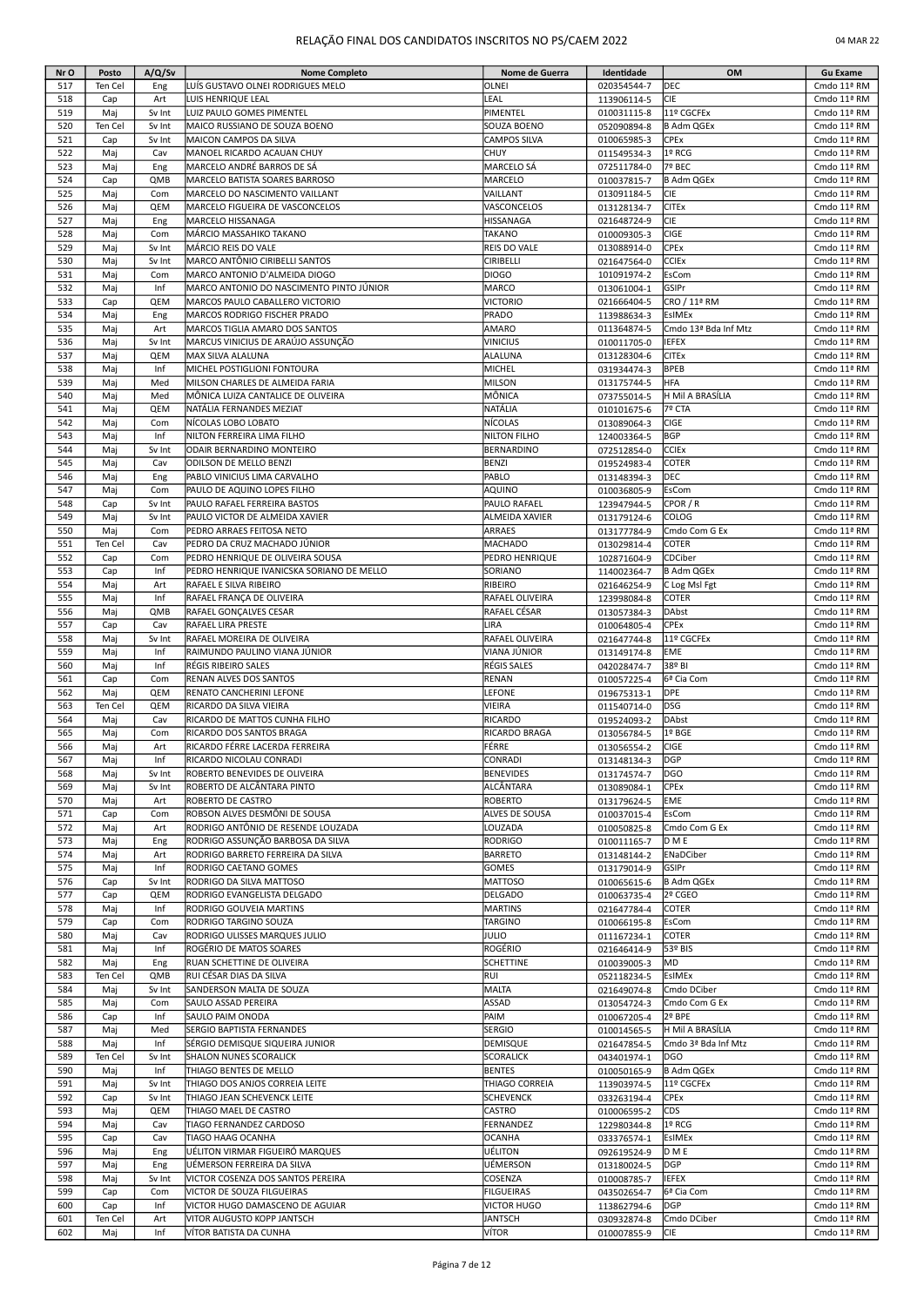| Nr O       | Posto      | A/Q/Sv        | <b>Nome Completo</b>                                                          | Nome de Guerra                   | Identidade                 | OM                                      | <b>Gu Exame</b>            |
|------------|------------|---------------|-------------------------------------------------------------------------------|----------------------------------|----------------------------|-----------------------------------------|----------------------------|
| 517        | Ten Cel    | Eng           | LUÍS GUSTAVO OLNEI RODRIGUES MELO                                             | OLNEI                            | 020354544-7                | DEC                                     | Cmdo 11ª RM                |
| 518<br>519 | Cap<br>Maj | Art<br>Sv Int | LUIS HENRIQUE LEAL<br>LUIZ PAULO GOMES PIMENTEL                               | LEAL<br>PIMENTEL                 | 113906114-5<br>010031115-8 | <b>CIE</b><br>11º CGCFEx                | Cmdo 11ª RM<br>Cmdo 11ª RM |
| 520        | Ten Cel    | Sv Int        | MAICO RUSSIANO DE SOUZA BOENO                                                 | SOUZA BOENO                      | 052090894-8                | <b>B Adm QGEx</b>                       | Cmdo 11ª RM                |
| 521        | Cap        | Sv Int        | MAICON CAMPOS DA SILVA                                                        | <b>CAMPOS SILVA</b>              | 010065985-3                | CPEx                                    | Cmdo 11ª RM                |
| 522        | Maj        | Cav           | MANOEL RICARDO ACAUAN CHUY                                                    | <b>CHUY</b>                      | 011549534-3                | 1º RCG                                  | Cmdo 11ª RM                |
| 523        | Maj        | Eng           | MARCELO ANDRÉ BARROS DE SÁ                                                    | MARCELO SÁ                       | 072511784-0                | 7º BEC                                  | Cmdo 11ª RM                |
| 524        | Cap        | QMB           | MARCELO BATISTA SOARES BARROSO                                                | MARCELO                          | 010037815-7                | <b>B Adm QGEx</b>                       | Cmdo 11ª RM                |
| 525        | Maj        | Com           | MARCELO DO NASCIMENTO VAILLANT                                                | VAILLANT                         | 013091184-5                | CIE                                     | Cmdo 11ª RM                |
| 526<br>527 | Maj<br>Maj | QEM<br>Eng    | MARCELO FIGUEIRA DE VASCONCELOS<br>MARCELO HISSANAGA                          | VASCONCELOS<br><b>HISSANAGA</b>  | 013128134-7<br>021648724-9 | <b>CITEx</b><br>CIE                     | Cmdo 11ª RM<br>Cmdo 11ª RM |
| 528        | Maj        | Com           | MÁRCIO MASSAHIKO TAKANO                                                       | <b>TAKANO</b>                    | 010009305-3                | <b>CIGE</b>                             | Cmdo 11ª RM                |
| 529        | Maj        | Sv Int        | MÁRCIO REIS DO VALE                                                           | REIS DO VALE                     | 013088914-0                | CPEx                                    | Cmdo 11ª RM                |
| 530        | Maj        | Sv Int        | MARCO ANTÔNIO CIRIBELLI SANTOS                                                | CIRIBELLI                        | 021647564-0                | <b>CCIEx</b>                            | Cmdo 11ª RM                |
| 531        | Mai        | Com           | MARCO ANTONIO D'ALMEIDA DIOGO                                                 | <b>DIOGO</b>                     | 101091974-2                | EsCom                                   | Cmdo 11ª RM                |
| 532        | Maj        | Inf           | MARCO ANTONIO DO NASCIMENTO PINTO JÚNIOR                                      | MARCO                            | 013061004-1                | GSIPr                                   | Cmdo 11ª RM                |
| 533        | Cap        | QEM           | MARCOS PAULO CABALLERO VICTORIO                                               | <b>VICTORIO</b>                  | 021666404-5                | CRO / 11ª RM                            | Cmdo 11ª RM                |
| 534<br>535 | Maj        | Eng<br>Art    | MARCOS RODRIGO FISCHER PRADO<br>MARCOS TIGLIA AMARO DOS SANTOS                | PRADO<br>AMARO                   | 113988634-3                | EsIMEx                                  | Cmdo 11ª RM<br>Cmdo 11ª RM |
| 536        | Maj<br>Maj | Sv Int        | MARCUS VINICIUS DE ARAÚJO ASSUNÇÃO                                            | <b>VINICIUS</b>                  | 011364874-5<br>010011705-0 | Cmdo 13ª Bda Inf Mtz<br><b>IEFEX</b>    | Cmdo 11ª RM                |
| 537        | Maj        | QEM           | MAX SILVA ALALUNA                                                             | ALALUNA                          | 013128304-6                | <b>CITEx</b>                            | Cmdo 11ª RM                |
| 538        | Maj        | Inf           | MICHEL POSTIGLIONI FONTOURA                                                   | MICHEL                           | 031934474-3                | <b>BPEB</b>                             | Cmdo 11ª RM                |
| 539        | Maj        | Med           | MILSON CHARLES DE ALMEIDA FARIA                                               | <b>MILSON</b>                    | 013175744-5                | HFA                                     | Cmdo 11ª RM                |
| 540        | Maj        | Med           | MÔNICA LUIZA CANTALICE DE OLIVEIRA                                            | MÔNICA                           | 073755014-5                | H Mil A BRASÍLIA                        | Cmdo 11ª RM                |
| 541        | Maj        | QEM           | NATÁLIA FERNANDES MEZIAT                                                      | NATÁLIA                          | 010101675-6                | 7º CTA                                  | Cmdo 11ª RM                |
| 542        | Maj        | Com           | NÍCOLAS LOBO LOBATO                                                           | NÍCOLAS                          | 013089064-3                | <b>CIGE</b>                             | Cmdo 11ª RM                |
| 543<br>544 | Maj        | Inf           | NILTON FERREIRA LIMA FILHO                                                    | NILTON FILHO                     | 124003364-5                | <b>BGP</b>                              | Cmdo 11ª RM                |
| 545        | Maj<br>Maj | Sv Int<br>Cav | ODAIR BERNARDINO MONTEIRO<br>ODILSON DE MELLO BENZI                           | BERNARDINO<br><b>BENZI</b>       | 072512854-0<br>019524983-4 | <b>CCIEx</b><br>COTER                   | Cmdo 11ª RM<br>Cmdo 11ª RM |
| 546        | Maj        | Eng           | PABLO VINICIUS LIMA CARVALHO                                                  | PABLO                            | 013148394-3                | <b>DEC</b>                              | Cmdo 11ª RM                |
| 547        | Maj        | Com           | PAULO DE AQUINO LOPES FILHO                                                   | AQUINO                           | 010036805-9                | EsCom                                   | Cmdo 11ª RM                |
| 548        | Cap        | Sv Int        | PAULO RAFAEL FERREIRA BASTOS                                                  | PAULO RAFAEL                     | 123947944-5                | CPOR / R                                | Cmdo 11ª RM                |
| 549        | Maj        | Sv Int        | PAULO VICTOR DE ALMEIDA XAVIER                                                | ALMEIDA XAVIER                   | 013179124-6                | COLOG                                   | Cmdo 11ª RM                |
| 550        | Maj        | Com           | PEDRO ARRAES FEITOSA NETO                                                     | <b>ARRAES</b>                    | 013177784-9                | Cmdo Com G Ex                           | Cmdo 11ª RM                |
| 551        | Ten Cel    | Cav           | PEDRO DA CRUZ MACHADO JÚNIOR                                                  | <b>MACHADO</b>                   | 013029814-4                | COTER                                   | Cmdo 11ª RM                |
| 552<br>553 | Cap<br>Cap | Com<br>Inf    | PEDRO HENRIQUE DE OLIVEIRA SOUSA<br>PEDRO HENRIQUE IVANICSKA SORIANO DE MELLO | PEDRO HENRIQUE<br>SORIANO        | 102871604-9                | CDCiber<br><b>B Adm QGEx</b>            | Cmdo 11ª RM<br>Cmdo 11ª RM |
| 554        | Maj        | Art           | RAFAEL E SILVA RIBEIRO                                                        | <b>RIBEIRO</b>                   | 114002364-7<br>021646254-9 | C Log Msl Fgt                           | Cmdo 11ª RM                |
| 555        | Maj        | Inf           | RAFAEL FRANÇA DE OLIVEIRA                                                     | RAFAEL OLIVEIRA                  | 123998084-8                | COTER                                   | Cmdo 11ª RM                |
| 556        | Maj        | QMB           | RAFAEL GONÇALVES CESAR                                                        | RAFAEL CÉSAR                     | 013057384-3                | <b>DAbst</b>                            | Cmdo 11ª RM                |
| 557        | Cap        | Cav           | RAFAEL LIRA PRESTE                                                            | LIRA                             | 010064805-4                | CPEx                                    | Cmdo 11ª RM                |
| 558        | Mai        | Sv Int        | RAFAEL MOREIRA DE OLIVEIRA                                                    | RAFAEL OLIVEIRA                  | 021647744-8                | 11º CGCFEx                              | Cmdo 11ª RM                |
| 559        | Maj        | Inf           | RAIMUNDO PAULINO VIANA JÚNIOR                                                 | VIANA JÚNIOR                     | 013149174-8                | EME                                     | Cmdo 11ª RM                |
| 560<br>561 | Maj        | Inf<br>Com    | RÉGIS RIBEIRO SALES                                                           | RÉGIS SALES                      | 042028474-7                | 38º BI<br>6ª Cia Com                    | Cmdo 11ª RM                |
| 562        | Cap<br>Maj | QEM           | RENAN ALVES DOS SANTOS<br>RENATO CANCHERINI LEFONE                            | <b>RENAN</b><br>LEFONE           | 010057225-4<br>019675313-1 | <b>DPE</b>                              | Cmdo 11ª RM<br>Cmdo 11ª RM |
| 563        | Ten Cel    | QEM           | RICARDO DA SILVA VIEIRA                                                       | VIEIRA                           | 011540714-0                | DSG                                     | Cmdo 11ª RM                |
| 564        | Maj        | Cav           | RICARDO DE MATTOS CUNHA FILHO                                                 | RICARDO                          | 019524093-2                | DAbst                                   | Cmdo 11ª RM                |
| 565        | Maj        | Com           | RICARDO DOS SANTOS BRAGA                                                      | RICARDO BRAGA                    | 013056784-5                | 1º BGE                                  | Cmdo 11ª RM                |
| 566        | Maj        | Art           | RICARDO FÉRRE LACERDA FERREIRA                                                | FÉRRE                            | 013056554-2                | <b>CIGE</b>                             | Cmdo 11ª RM                |
| 567        | Maj        | Inf           | RICARDO NICOLAU CONRADI                                                       | CONRADI                          | 013148134-3                | DGP                                     | Cmdo 11ª RM                |
| 568        | Maj        | Sv Int        | ROBERTO BENEVIDES DE OLIVEIRA                                                 | <b>BENEVIDES</b>                 | 013174574-7                | DGO                                     | Cmdo 11ª RM                |
| 569        | Maj        | Sv Int        | ROBERTO DE ALCÂNTARA PINTO                                                    | ALCÂNTARA                        | 013089084-1                | CPEx                                    | Cmdo 11ª RM                |
| 570<br>571 | Maj<br>Cap | Art<br>Com    | ROBERTO DE CASTRO<br>ROBSON ALVES DESMÔNI DE SOUSA                            | <b>ROBERTO</b><br>ALVES DE SOUSA | 013179624-5<br>010037015-4 | EME<br>EsCom                            | Cmdo 11ª RM<br>Cmdo 11ª RM |
| 572        | Maj        | Art           | RODRIGO ANTÔNIO DE RESENDE LOUZADA                                            | LOUZADA                          | 010050825-8                | Cmdo Com G Ex                           | Cmdo 11ª RM                |
| 573        | Maj        | Eng           | RODRIGO ASSUNÇÃO BARBOSA DA SILVA                                             | <b>RODRIGO</b>                   | 010011165-7                | D M E                                   | Cmdo 11ª RM                |
| 574        | Maj        | Art           | RODRIGO BARRETO FERREIRA DA SILVA                                             | <b>BARRETO</b>                   | 013148144-2                | ENaDCiber                               | Cmdo 11ª RM                |
| 575        | Maj        | Inf           | RODRIGO CAETANO GOMES                                                         | <b>GOMES</b>                     | 013179014-9                | GSIPr                                   | Cmdo 11ª RM                |
| 576        | Cap        | Sv Int        | RODRIGO DA SILVA MATTOSO                                                      | <b>MATTOSO</b>                   | 010065615-6                | <b>B Adm QGEx</b>                       | Cmdo 11ª RM                |
| 577        | Cap        | QEM           | RODRIGO EVANGELISTA DELGADO                                                   | <b>DELGADO</b>                   | 010063735-4                | 2º CGEO                                 | Cmdo 11ª RM                |
| 578        | Maj        | Inf           | RODRIGO GOUVEIA MARTINS                                                       | <b>MARTINS</b>                   | 021647784-4                | COTER                                   | Cmdo 11ª RM                |
| 579<br>580 | Cap<br>Maj | Com<br>Cav    | RODRIGO TARGINO SOUZA<br>RODRIGO ULISSES MARQUES JULIO                        | TARGINO<br>JULIO                 | 010066195-8<br>011167234-1 | EsCom<br><b>COTER</b>                   | Cmdo 11ª RM<br>Cmdo 11ª RM |
| 581        | Maj        | Inf           | ROGÉRIO DE MATOS SOARES                                                       | ROGÉRIO                          | 021646414-9                | 53º BIS                                 | Cmdo 11ª RM                |
| 582        | Maj        | Eng           | RUAN SCHETTINE DE OLIVEIRA                                                    | <b>SCHETTINE</b>                 | 010039005-3                | MD                                      | Cmdo 11ª RM                |
| 583        | Ten Cel    | QMB           | RUI CÉSAR DIAS DA SILVA                                                       | RUI                              | 052118234-5                | EsIMEx                                  | Cmdo 11ª RM                |
| 584        | Maj        | Sv Int        | SANDERSON MALTA DE SOUZA                                                      | MALTA                            | 021649074-8                | Cmdo DCiber                             | Cmdo 11ª RM                |
| 585        | Maj        | Com           | SAULO ASSAD PEREIRA                                                           | ASSAD                            | 013054724-3                | Cmdo Com G Ex                           | Cmdo 11ª RM                |
| 586        | Cap        | Inf           | SAULO PAIM ONODA                                                              | PAIM                             | 010067205-4                | 2º BPE                                  | Cmdo 11ª RM                |
| 587<br>588 | Maj<br>Maj | Med<br>Inf    | SERGIO BAPTISTA FERNANDES<br>SÉRGIO DEMISQUE SIQUEIRA JUNIOR                  | <b>SERGIO</b><br><b>DEMISQUE</b> | 010014565-5<br>021647854-5 | H Mil A BRASÍLIA<br>Cmdo 3ª Bda Inf Mtz | Cmdo 11ª RM<br>Cmdo 11ª RM |
| 589        | Ten Cel    | Sv Int        | SHALON NUNES SCORALICK                                                        | <b>SCORALICK</b>                 | 043401974-1                | <b>DGO</b>                              | Cmdo 11ª RM                |
| 590        | Maj        | Inf           | THIAGO BENTES DE MELLO                                                        | <b>BENTES</b>                    | 010050165-9                | <b>B Adm QGEx</b>                       | Cmdo 11ª RM                |
| 591        | Maj        | Sv Int        | THIAGO DOS ANJOS CORREIA LEITE                                                | THIAGO CORREIA                   | 113903974-5                | 11º CGCFEx                              | Cmdo 11ª RM                |
| 592        | Cap        | Sv Int        | THIAGO JEAN SCHEVENCK LEITE                                                   | <b>SCHEVENCK</b>                 | 033263194-4                | <b>CPEx</b>                             | Cmdo 11ª RM                |
| 593        | Maj        | QEM           | THIAGO MAEL DE CASTRO                                                         | <b>CASTRO</b>                    | 010006595-2                | CDS                                     | Cmdo 11ª RM                |
| 594        | Maj        | Cav           | TIAGO FERNANDEZ CARDOSO                                                       | FERNANDEZ                        | 122980344-8                | 1º RCG                                  | Cmdo 11ª RM                |
| 595<br>596 | Cap<br>Maj | Cav<br>Eng    | TIAGO HAAG OCANHA<br>UÉLITON VIRMAR FIGUEIRÓ MARQUES                          | <b>OCANHA</b><br>UÉLITON         | 033376574-1<br>092619524-9 | EsIMEx<br>D M E                         | Cmdo 11ª RM<br>Cmdo 11ª RM |
| 597        | Maj        | Eng           | UÉMERSON FERREIRA DA SILVA                                                    | UÉMERSON                         | 013180024-5                | <b>DGP</b>                              | Cmdo 11ª RM                |
| 598        | Maj        | Sv Int        | VICTOR COSENZA DOS SANTOS PEREIRA                                             | COSENZA                          | 010008785-7                | <b>IEFEX</b>                            | Cmdo 11ª RM                |
| 599        | Cap        | Com           | VICTOR DE SOUZA FILGUEIRAS                                                    | <b>FILGUEIRAS</b>                | 043502654-7                | 6ª Cia Com                              | Cmdo 11ª RM                |
| 600        | Cap        | Inf           | VICTOR HUGO DAMASCENO DE AGUIAR                                               | <b>VICTOR HUGO</b>               | 113862794-6                | <b>DGP</b>                              | Cmdo 11ª RM                |
| 601        | Ten Cel    | Art           | VITOR AUGUSTO KOPP JANTSCH                                                    | JANTSCH                          | 030932874-8                | Cmdo DCiber                             | Cmdo 11ª RM                |
| 602        | Maj        | Inf           | VÍTOR BATISTA DA CUNHA                                                        | Vítor                            | 010007855-9                | CIE                                     | Cmdo 11ª RM                |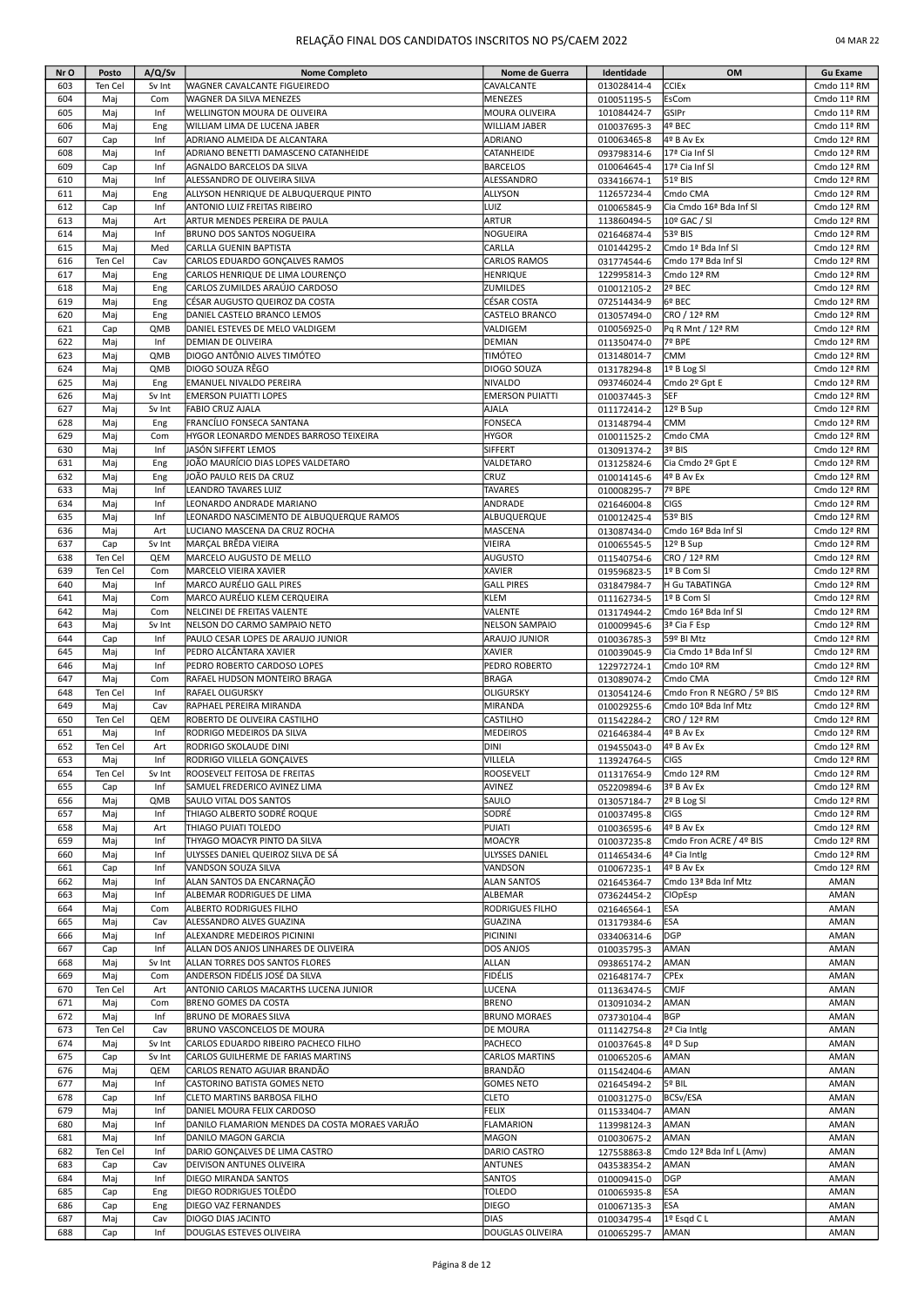| Nr O | Posto      | A/Q/Sv     | <b>Nome Completo</b>                                     | Nome de Guerra         | Identidade                 | OM                         | <b>Gu Exame</b> |
|------|------------|------------|----------------------------------------------------------|------------------------|----------------------------|----------------------------|-----------------|
| 603  | Ten Cel    | Sv Int     | WAGNER CAVALCANTE FIGUEIREDO                             | CAVALCANTE             | 013028414-4                | CCIEx                      | Cmdo 11ª RM     |
| 604  | Mai        | Com        | WAGNER DA SILVA MENEZES                                  | <b>MENEZES</b>         | 010051195-5                | EsCom                      | Cmdo 11ª RM     |
| 605  | Maj        | Inf        | WELLINGTON MOURA DE OLIVEIRA                             | MOURA OLIVEIRA         | 101084424-7                | GSIPr                      | Cmdo 11ª RM     |
| 606  | Maj        | Eng        | WILLIAM LIMA DE LUCENA JABER                             | <b>WILLIAM JABER</b>   | 010037695-3                | 4º BEC                     | Cmdo 11ª RM     |
| 607  | Cap        | Inf        | ADRIANO ALMEIDA DE ALCANTARA                             | ADRIANO                | 010063465-8                | 4º B Av Ex                 | Cmdo 12ª RM     |
| 608  | Maj        | Inf        | ADRIANO BENETTI DAMASCENO CATANHEIDE                     | CATANHEIDE             | 093798314-6                | 17ª Cia Inf Sl             | Cmdo 12ª RM     |
| 609  | Cap        | Inf        | AGNALDO BARCELOS DA SILVA                                | <b>BARCELOS</b>        | 010064645-4                | 17ª Cia Inf Sl             | Cmdo 12ª RM     |
| 610  | Maj        | Inf        | ALESSANDRO DE OLIVEIRA SILVA                             | ALESSANDRO             | 033416674-1                | 51º BIS                    | Cmdo 12ª RM     |
| 611  | Maj        | Eng        | ALLYSON HENRIQUE DE ALBUQUERQUE PINTO                    | ALLYSON                | 112657234-4                | Cmdo CMA                   | Cmdo 12ª RM     |
| 612  | Cap        | Inf        | ANTONIO LUIZ FREITAS RIBEIRO                             | LUIZ                   |                            | Cia Cmdo 16ª Bda Inf Sl    | Cmdo 12ª RM     |
| 613  | Maj        | Art        | ARTUR MENDES PEREIRA DE PAULA                            | <b>ARTUR</b>           | 010065845-9<br>113860494-5 | 10º GAC / SI               | Cmdo 12ª RM     |
| 614  | Maj        | Inf        | <b>BRUNO DOS SANTOS NOGUEIRA</b>                         | NOGUEIRA               | 021646874-4                | 53º BIS                    | Cmdo 12ª RM     |
| 615  |            | Med        |                                                          | CARLLA                 |                            | Cmdo 1ª Bda Inf Sl         |                 |
|      | Mai        |            | CARLLA GUENIN BAPTISTA<br>CARLOS EDUARDO GONCALVES RAMOS | <b>CARLOS RAMOS</b>    | 010144295-2                |                            | Cmdo 12ª RM     |
| 616  | Ten Cel    | Cav        |                                                          |                        | 031774544-6                | Cmdo 17ª Bda Inf Sl        | Cmdo 12ª RM     |
| 617  | Maj        | Eng        | CARLOS HENRIQUE DE LIMA LOURENÇO                         | HENRIQUE               | 122995814-3                | Cmdo 12ª RM                | Cmdo 12ª RM     |
| 618  | Maj        | Eng        | CARLOS ZUMILDES ARAÚJO CARDOSO                           | ZUMILDES               | 010012105-2                | 2º BEC                     | Cmdo 12ª RM     |
| 619  | Maj        | Eng        | CÉSAR AUGUSTO QUEIROZ DA COSTA                           | CÉSAR COSTA            | 072514434-9                | 6º BEC                     | Cmdo 12ª RM     |
| 620  | Maj        | Eng        | DANIEL CASTELO BRANCO LEMOS                              | CASTELO BRANCO         | 013057494-0                | CRO / 12ª RM               | Cmdo 12ª RM     |
| 621  | Cap        | QMB        | DANIEL ESTEVES DE MELO VALDIGEM                          | VALDIGEM               | 010056925-0                | Pq R Mnt / 12ª RM          | Cmdo 12ª RM     |
| 622  | Maj        | Inf        | DEMIAN DE OLIVEIRA                                       | DEMIAN                 | 011350474-0                | 7º BPE                     | Cmdo 12ª RM     |
| 623  | Maj        | QMB        | DIOGO ANTÔNIO ALVES TIMÓTEO                              | TIMÓTEO                | 013148014-7                | CMM                        | Cmdo 12ª RM     |
| 624  | Mai        | QMB        | DIOGO SOUZA RÊGO                                         | DIOGO SOUZA            | 013178294-8                | 1º B Log Sl                | Cmdo 12ª RM     |
| 625  | Maj        | Eng        | EMANUEL NIVALDO PEREIRA                                  | <b>NIVALDO</b>         | 093746024-4                | Cmdo 2º Gpt E              | Cmdo 12ª RM     |
| 626  | Maj        | Sv Int     | <b>EMERSON PUIATTI LOPES</b>                             | <b>EMERSON PUIATTI</b> | 010037445-3                | <b>SEF</b>                 | Cmdo 12ª RM     |
| 627  | Maj        | Sv Int     | FABIO CRUZ AJALA                                         | AJALA                  | 011172414-2                | 12º B Sup                  | Cmdo 12ª RM     |
| 628  | Maj        | Eng        | FRANCÍLIO FONSECA SANTANA                                | FONSECA                | 013148794-4                | <b>CMM</b>                 | Cmdo 12ª RM     |
| 629  | Maj        | Com        | HYGOR LEONARDO MENDES BARROSO TEIXEIRA                   | <b>HYGOR</b>           | 010011525-2                | Cmdo CMA                   | Cmdo 12ª RM     |
| 630  | Maj        | Inf        | JASÓN SIFFERT LEMOS                                      | SIFFERT                | 013091374-2                | 3º BIS                     | Cmdo 12ª RM     |
| 631  | Maj        | Eng        | JOÃO MAURÍCIO DIAS LOPES VALDETARO                       | VALDETARO              | 013125824-6                | Cia Cmdo 2º Gpt E          | Cmdo 12ª RM     |
| 632  | Maj        | Eng        | JOÃO PAULO REIS DA CRUZ                                  | CRUZ                   | 010014145-6                | 4º B Av Ex                 | Cmdo 12ª RM     |
| 633  | Maj        | Inf        | LEANDRO TAVARES LUIZ                                     | <b>TAVARES</b>         | 010008295-7                | 7º BPE                     | Cmdo 12ª RM     |
| 634  | Maj        | Inf        | LEONARDO ANDRADE MARIANO                                 | ANDRADE                | 021646004-8                | <b>CIGS</b>                | Cmdo 12ª RM     |
| 635  | Maj        | Inf        | LEONARDO NASCIMENTO DE ALBUQUERQUE RAMOS                 | ALBUQUERQUE            | 010012425-4                | 53º BIS                    | Cmdo 12ª RM     |
| 636  | Maj        | Art        | LUCIANO MASCENA DA CRUZ ROCHA                            | MASCENA                | 013087434-0                | Cmdo 16ª Bda Inf Sl        | Cmdo 12ª RM     |
| 637  | Cap        | Sv Int     | MARÇAL BRÊDA VIEIRA                                      | VIEIRA                 | 010065545-5                | 12º B Sup                  | Cmdo 12ª RM     |
| 638  | Ten Cel    | QEM        | MARCELO AUGUSTO DE MELLO                                 | AUGUSTO                | 011540754-6                | CRO / 12ª RM               | Cmdo 12ª RM     |
| 639  | Ten Cel    | Com        | MARCELO VIEIRA XAVIER                                    | <b>XAVIER</b>          | 019596823-5                | 1º B Com SI                | Cmdo 12ª RM     |
| 640  | Maj        | Inf        | MARCO AURÉLIO GALL PIRES                                 | <b>GALL PIRES</b>      | 031847984-7                | H Gu TABATINGA             | Cmdo 12ª RM     |
| 641  | Maj        | Com        | MARCO AURÉLIO KLEM CERQUEIRA                             | <b>KLEM</b>            | 011162734-5                | 1º B Com SI                | Cmdo 12ª RM     |
| 642  | Maj        | Com        | NELCINEI DE FREITAS VALENTE                              | VALENTE                | 013174944-2                | Cmdo 16ª Bda Inf SI        | Cmdo 12ª RM     |
| 643  |            | Sv Int     | NELSON DO CARMO SAMPAIO NETO                             | <b>NELSON SAMPAIO</b>  |                            |                            | Cmdo 12ª RM     |
|      | Maj        |            |                                                          |                        | 010009945-6                | 3ª Cia F Esp               |                 |
| 644  | Cap        | Inf        | PAULO CESAR LOPES DE ARAUJO JUNIOR                       | ARAUJO JUNIOR          | 010036785-3                | 59º BI Mtz                 | Cmdo 12ª RM     |
| 645  | Maj        | Inf        | PEDRO ALCÂNTARA XAVIER                                   | <b>XAVIER</b>          | 010039045-9                | Cia Cmdo 1ª Bda Inf Sl     | Cmdo 12ª RM     |
| 646  | Maj        | Inf        | PEDRO ROBERTO CARDOSO LOPES                              | PEDRO ROBERTO          | 122972724-1                | Cmdo 10ª RM                | Cmdo 12ª RM     |
| 647  | Maj        | Com        | RAFAEL HUDSON MONTEIRO BRAGA                             | <b>BRAGA</b>           | 013089074-2                | Cmdo CMA                   | Cmdo 12ª RM     |
| 648  | Ten Cel    | Inf        | RAFAEL OLIGURSKY                                         | OLIGURSKY              | 013054124-6                | Cmdo Fron R NEGRO / 5º BIS | Cmdo 12ª RM     |
| 649  | Maj        | Cav        | RAPHAEL PEREIRA MIRANDA                                  | MIRANDA                | 010029255-6                | Cmdo 10ª Bda Inf Mtz       | Cmdo 12ª RM     |
| 650  | Ten Cel    | QEM        | ROBERTO DE OLIVEIRA CASTILHO                             | CASTILHO               | 011542284-2                | CRO / 12ª RM               | Cmdo 12ª RM     |
| 651  | Maj        | Inf        | RODRIGO MEDEIROS DA SILVA                                | <b>MEDEIROS</b>        | 021646384-4                | 4º B Av Ex                 | Cmdo 12ª RM     |
| 652  | Ten Cel    | Art        | RODRIGO SKOLAUDE DINI                                    | DINI                   | 019455043-0                | 4º B Av Ex                 | Cmdo 12ª RM     |
| 653  | Maj        | Inf        | RODRIGO VILLELA GONÇALVES                                | VILLELA                | 113924764-5                | <b>CIGS</b>                | Cmdo 12ª RM     |
| 654  | Ten Cel    | Sv Int     | ROOSEVELT FEITOSA DE FREITAS                             | <b>ROOSEVELT</b>       | 011317654-9                | Cmdo 12ª RM                | Cmdo 12ª RM     |
| 655  | Cap        | Inf        | SAMUEL FREDERICO AVINEZ LIMA                             | AVINEZ                 | 052209894-6                | 3º B Av Ex                 | Cmdo 12ª RM     |
| 656  | Maj        | QMB        | SAULO VITAL DOS SANTOS                                   | SAULO                  | 013057184-7                | 2º B Log SI                | Cmdo 12ª RM     |
| 657  | Maj        | Inf        | THIAGO ALBERTO SODRÉ ROQUE                               | SODRÉ                  | 010037495-8                | <b>CIGS</b>                | Cmdo 12ª RM     |
| 658  | Maj        | Art        | THIAGO PUIATI TOLEDO                                     | PUIATI                 | 010036595-6                | 4º B Av Ex                 | Cmdo 12ª RM     |
| 659  | Maj        | Inf        | THYAGO MOACYR PINTO DA SILVA                             | <b>MOACYR</b>          | 010037235-8                | Cmdo Fron ACRE / 4º BIS    | Cmdo 12ª RM     |
| 660  | Maj        | Inf        | ULYSSES DANIEL QUEIROZ SILVA DE SÁ                       | ULYSSES DANIEL         | 011465434-6                | 4ª Cia Intlg               | Cmdo 12ª RM     |
| 661  | Cap        | Inf        | VANDSON SOUZA SILVA                                      | VANDSON                | 010067235-1                | 4º B Av Ex                 | Cmdo 12ª RM     |
| 662  | Maj        | Inf        | ALAN SANTOS DA ENCARNAÇÃO                                | <b>ALAN SANTOS</b>     | 021645364-7                | Cmdo 13ª Bda Inf Mtz       | AMAN            |
| 663  | Maj        | Inf        | ALBEMAR RODRIGUES DE LIMA                                | ALBEMAR                | 073624454-2                | <b>CIOpEsp</b>             | AMAN            |
| 664  | Mai        | Com        | ALBERTO RODRIGUES FILHO                                  | RODRIGUES FILHO        | 021646564-1                | <b>ESA</b>                 | AMAN            |
| 665  | Maj        | Cav        | ALESSANDRO ALVES GUAZINA                                 | <b>GUAZINA</b>         | 013179384-6                | <b>ESA</b>                 | AMAN            |
| 666  | Maj        | Inf        | ALEXANDRE MEDEIROS PICININI                              | PICININI               | 033406314-6                | <b>DGP</b>                 | AMAN            |
| 667  | Cap        | Inf        | ALLAN DOS ANJOS LINHARES DE OLIVEIRA                     | DOS ANJOS              | 010035795-3                | AMAN                       | AMAN            |
| 668  | Maj        | Sv Int     | ALLAN TORRES DOS SANTOS FLORES                           | ALLAN                  | 093865174-2                | AMAN                       | AMAN            |
| 669  | Maj        | Com        | ANDERSON FIDÉLIS JOSÉ DA SILVA                           | FIDÉLIS                | 021648174-7                | <b>CPEx</b>                | AMAN            |
| 670  | Ten Cel    | Art        | ANTONIO CARLOS MACARTHS LUCENA JUNIOR                    | LUCENA                 | 011363474-5                | <b>CMJF</b>                | AMAN            |
| 671  | Maj        | Com        | BRENO GOMES DA COSTA                                     | <b>BRENO</b>           | 013091034-2                | AMAN                       | AMAN            |
| 672  | Maj        | Inf        | <b>BRUNO DE MORAES SILVA</b>                             | <b>BRUNO MORAES</b>    | 073730104-4                | BGP                        | AMAN            |
| 673  | Ten Cel    | Cav        | BRUNO VASCONCELOS DE MOURA                               | DE MOURA               | 011142754-8                | 2ª Cia Intlg               | AMAN            |
| 674  | Maj        | Sv Int     | CARLOS EDUARDO RIBEIRO PACHECO FILHO                     | PACHECO                | 010037645-8                | 4º D Sup                   | AMAN            |
| 675  | Cap        | Sv Int     | CARLOS GUILHERME DE FARIAS MARTINS                       | CARLOS MARTINS         | 010065205-6                | AMAN                       | AMAN            |
| 676  | Maj        | QEM        | CARLOS RENATO AGUIAR BRANDÃO                             | <b>BRANDÃO</b>         | 011542404-6                | AMAN                       | AMAN            |
| 677  | Maj        | Inf        | CASTORINO BATISTA GOMES NETO                             | <b>GOMES NETO</b>      | 021645494-2                | 5º BIL                     | AMAN            |
| 678  | Cap        | Inf        | CLETO MARTINS BARBOSA FILHO                              | CLETO                  | 010031275-0                | <b>BCSv/ESA</b>            | AMAN            |
| 679  | Maj        | Inf        | DANIEL MOURA FELIX CARDOSO                               | <b>FELIX</b>           | 011533404-7                | AMAN                       | AMAN            |
| 680  |            | Inf        | DANILO FLAMARION MENDES DA COSTA MORAES VARJÃO           | <b>FLAMARION</b>       |                            | AMAN                       | AMAN            |
| 681  | Maj<br>Maj | Inf        | DANILO MAGON GARCIA                                      | MAGON                  | 113998124-3                | AMAN                       | AMAN            |
| 682  | Ten Cel    | Inf        | DARIO GONÇALVES DE LIMA CASTRO                           | DARIO CASTRO           | 010030675-2<br>127558863-8 | Cmdo 12ª Bda Inf L (Amv)   | AMAN            |
| 683  |            |            |                                                          | ANTUNES                |                            |                            | AMAN            |
|      | Cap        | Cav<br>Inf | DEIVISON ANTUNES OLIVEIRA                                |                        | 043538354-2                | AMAN<br><b>DGP</b>         | AMAN            |
| 684  | Maj        |            | DIEGO MIRANDA SANTOS                                     | SANTOS                 | 010009415-0                |                            |                 |
| 685  | Cap        | Eng        | DIEGO RODRIGUES TOLÊDO                                   | TOLEDO                 | 010065935-8                | <b>ESA</b>                 | AMAN            |
| 686  | Cap        | Eng        | DIEGO VAZ FERNANDES                                      | DIEGO                  | 010067135-3                | <b>ESA</b>                 | AMAN            |
| 687  | Maj        | Cav        | DIOGO DIAS JACINTO                                       | <b>DIAS</b>            | 010034795-4                | 1º Esqd C L                | AMAN            |
| 688  | Cap        | Inf        | DOUGLAS ESTEVES OLIVEIRA                                 | DOUGLAS OLIVEIRA       | 010065295-7                | AMAN                       | AMAN            |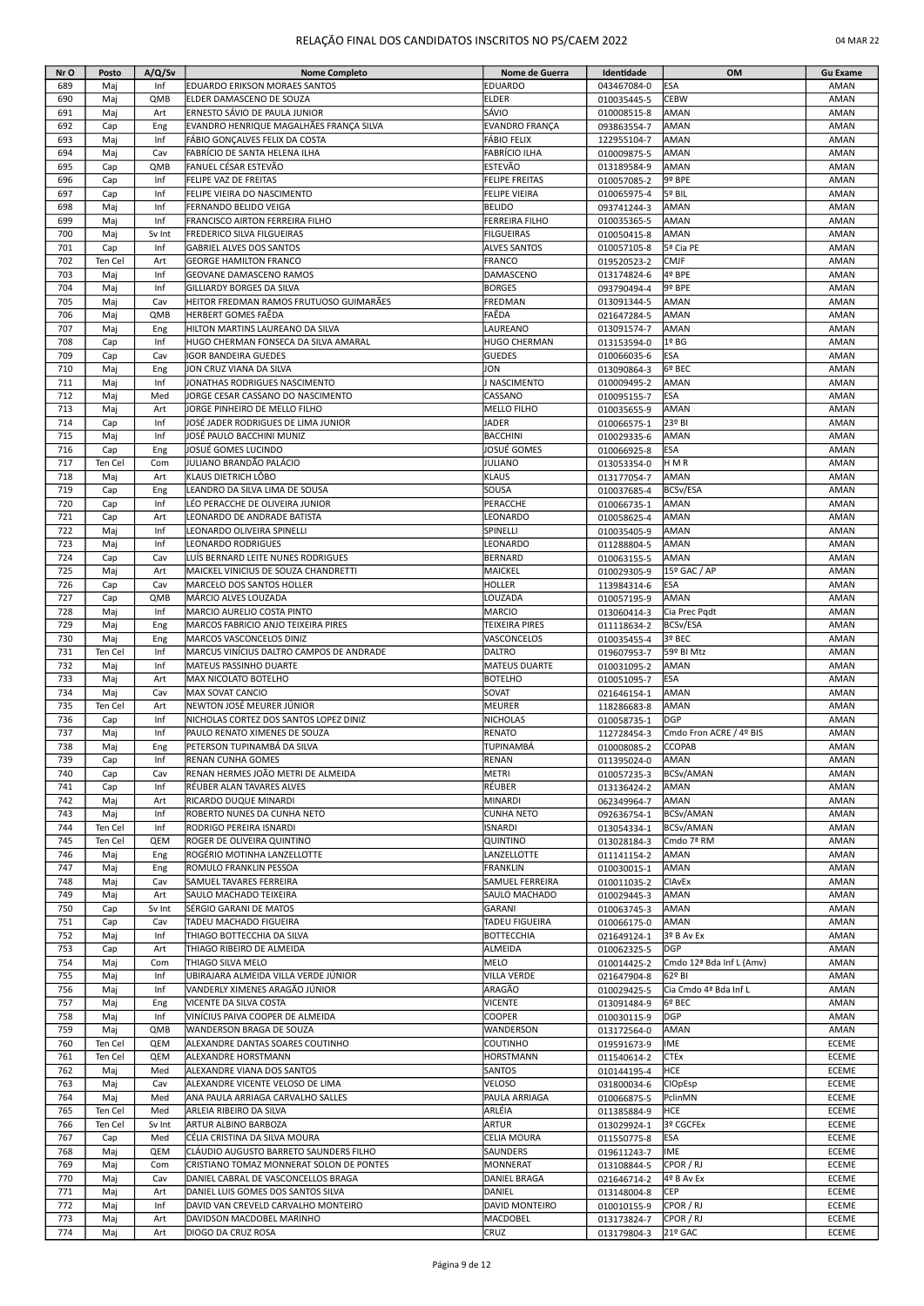# RELAÇÃO FINAL DOS CANDIDATOS INSCRITOS NO PS/CAEM 2022 04 MAR 22

| Nr O       | Posto      | A/Q/Sv     | <b>Nome Completo</b>                                               | Nome de Guerra               | Identidade                 | OM                       | <b>Gu Exame</b> |
|------------|------------|------------|--------------------------------------------------------------------|------------------------------|----------------------------|--------------------------|-----------------|
| 689        | Mai        | Inf        | EDUARDO ERIKSON MORAES SANTOS                                      | EDUARDO                      | 043467084-0                | ESA                      | AMAN            |
| 690        | Maj        | QMB        | ELDER DAMASCENO DE SOUZA                                           | ELDER                        | 010035445-5                | <b>CEBW</b>              | AMAN            |
| 691        | Maj        | Art        | ERNESTO SÁVIO DE PAULA JUNIOR                                      | SÁVIO                        | 010008515-8                | AMAN                     | AMAN            |
| 692        | Cap        | Eng        | EVANDRO HENRIQUE MAGALHÃES FRANÇA SILVA                            | EVANDRO FRANÇA               | 093863554-7                | AMAN                     | AMAN            |
| 693        | Maj        | Inf        | FÁBIO GONCALVES FELIX DA COSTA                                     | FÁBIO FELIX                  | 122955104-7                | AMAN                     | AMAN            |
| 694        | Maj        | Cav        | FABRÍCIO DE SANTA HELENA ILHA                                      | FABRÍCIO ILHA                | 010009875-5                | AMAN                     | AMAN            |
| 695        | Cap        | QMB        | FANUEL CÉSAR ESTEVÃO                                               | ESTEVÃO                      | 013189584-9                | AMAN                     | AMAN            |
| 696        | Cap        | Inf        | FELIPE VAZ DE FREITAS                                              | FELIPE FREITAS               | 010057085-2                | 9º BPE                   | AMAN            |
| 697        | Cap        | Inf        | FELIPE VIEIRA DO NASCIMENTO                                        | FELIPE VIEIRA                | 010065975-4                | 5º BIL                   | AMAN            |
| 698        | Maj        | Inf        | FERNANDO BELIDO VEIGA                                              | BELIDO                       | 093741244-3                | AMAN                     | AMAN            |
| 699        | Maj        | Inf        | FRANCISCO AIRTON FERREIRA FILHO                                    | FERREIRA FILHO               | 010035365-5                | AMAN                     | AMAN            |
| 700        | Maj        | Sv Int     | FREDERICO SILVA FILGUEIRAS                                         | <b>FILGUEIRAS</b>            | 010050415-8                | AMAN                     | AMAN            |
| 701        | Cap        | Inf        | <b>GABRIEL ALVES DOS SANTOS</b>                                    | <b>ALVES SANTOS</b>          | 010057105-8                | 5ª Cia PE                | AMAN            |
| 702        | Ten Cel    | Art        | <b>GEORGE HAMILTON FRANCO</b>                                      | <b>FRANCO</b>                | 019520523-2                | <b>CMJF</b>              | AMAN            |
| 703        | Maj        | Inf        | <b>GEOVANE DAMASCENO RAMOS</b>                                     | DAMASCENO                    | 013174824-6                | 4º BPE                   | AMAN            |
| 704        | Maj        | Inf        | GILLIARDY BORGES DA SILVA                                          | <b>BORGES</b>                | 093790494-4                | 9º BPE                   | AMAN            |
| 705        | Maj        | Cav        | HEITOR FREDMAN RAMOS FRUTUOSO GUIMARÃES                            | FREDMAN                      | 013091344-5                | AMAN                     | AMAN            |
| 706        | Maj        | QMB        | HERBERT GOMES FAÊDA                                                | FAÊDA                        | 021647284-5                | AMAN                     | AMAN            |
| 707        | Maj        | Eng        | HILTON MARTINS LAUREANO DA SILVA                                   | LAUREANO                     | 013091574-7                | AMAN                     | AMAN            |
| 708        | Cap        | Inf        | HUGO CHERMAN FONSECA DA SILVA AMARAL                               | <b>HUGO CHERMAN</b>          | 013153594-0                | 1º BG                    | AMAN            |
| 709        | Cap        | Cav        | <b>IGOR BANDEIRA GUEDES</b>                                        | <b>GUEDES</b>                | 010066035-6                | ESA                      | AMAN            |
| 710        | Maj        | Eng        | JON CRUZ VIANA DA SILVA                                            | JON                          | 013090864-3                | 6º BEC                   | AMAN            |
| 711<br>712 | Maj        | Inf<br>Med | JONATHAS RODRIGUES NASCIMENTO<br>JORGE CESAR CASSANO DO NASCIMENTO | NASCIMENTO<br>CASSANO        | 010009495-2                | AMAN<br><b>ESA</b>       | AMAN<br>AMAN    |
| 713        | Maj<br>Maj | Art        | JORGE PINHEIRO DE MELLO FILHO                                      | MELLO FILHO                  | 010095155-7                | AMAN                     | AMAN            |
| 714        | Cap        | Inf        | JOSÉ JADER RODRIGUES DE LIMA JUNIOR                                | <b>JADER</b>                 | 010035655-9                | 23º BI                   | AMAN            |
| 715        | Maj        | Inf        | JOSÉ PAULO BACCHINI MUNIZ                                          | <b>BACCHINI</b>              | 010066575-1                | AMAN                     | AMAN            |
| 716        | Cap        | Eng        | JOSUÉ GOMES LUCINDO                                                | JOSUÉ GOMES                  | 010029335-6<br>010066925-8 | ESA                      | AMAN            |
| 717        | Ten Cel    | Com        | JULIANO BRANDÃO PALÁCIO                                            | <b>JULIANO</b>               | 013053354-0                | HMR                      | AMAN            |
| 718        | Maj        | Art        | KLAUS DIETRICH LÔBO                                                | KLAUS                        | 013177054-7                | AMAN                     | AMAN            |
| 719        | Cap        | Eng        | EANDRO DA SILVA LIMA DE SOUSA                                      | SOUSA                        | 010037685-4                | <b>BCSv/ESA</b>          | AMAN            |
| 720        | Cap        | Inf        | LÉO PERACCHE DE OLIVEIRA JUNIOR                                    | PERACCHE                     | 010066735-1                | AMAN                     | AMAN            |
| 721        | Cap        | Art        | LEONARDO DE ANDRADE BATISTA                                        | LEONARDO                     | 010058625-4                | AMAN                     | AMAN            |
| 722        | Maj        | Inf        | LEONARDO OLIVEIRA SPINELLI                                         | SPINELLI                     | 010035405-9                | AMAN                     | AMAN            |
| 723        | Maj        | Inf        | LEONARDO RODRIGUES                                                 | LEONARDO                     | 011288804-5                | AMAN                     | AMAN            |
| 724        | Cap        | Cav        | LUÍS BERNARD LEITE NUNES RODRIGUES                                 | <b>BERNARD</b>               | 010063155-5                | AMAN                     | AMAN            |
| 725        | Maj        | Art        | MAICKEL VINICIUS DE SOUZA CHANDRETTI                               | MAICKEL                      | 010029305-9                | 15º GAC / AP             | AMAN            |
| 726        | Cap        | Cav        | MARCELO DOS SANTOS HOLLER                                          | <b>HOLLER</b>                | 113984314-6                | <b>ESA</b>               | AMAN            |
| 727        | Cap        | QMB        | MÁRCIO ALVES LOUZADA                                               | LOUZADA                      | 010057195-9                | AMAN                     | AMAN            |
| 728        | Maj        | Inf        | MARCIO AURELIO COSTA PINTO                                         | MARCIO                       | 013060414-3                | Cia Prec Pqdt            | AMAN            |
| 729        | Maj        | Eng        | MARCOS FABRICIO ANJO TEIXEIRA PIRES                                | TEIXEIRA PIRES               | 011118634-2                | <b>BCSv/ESA</b>          | AMAN            |
| 730        | Maj        | Eng        | MARCOS VASCONCELOS DINIZ                                           | VASCONCELOS                  | 010035455-4                | 3º BEC                   | AMAN            |
| 731        | Ten Cel    | Inf        | MARCUS VINÍCIUS DALTRO CAMPOS DE ANDRADE                           | DALTRO                       | 019607953-7                | 59º BI Mtz               | AMAN            |
| 732        | Maj        | Inf        | MATEUS PASSINHO DUARTE                                             | <b>MATEUS DUARTE</b>         | 010031095-2                | AMAN                     | AMAN            |
| 733        | Maj        | Art        | MAX NICOLATO BOTELHO                                               | <b>BOTELHO</b>               | 010051095-7                | ESA                      | AMAN            |
| 734        | Maj        | Cav        | MAX SOVAT CANCIO                                                   | SOVAT                        | 021646154-1                | AMAN                     | AMAN            |
| 735        | Ten Cel    | Art        | NEWTON JOSÉ MEURER JÚNIOR                                          | MEURER                       | 118286683-8                | AMAN                     | AMAN            |
| 736        | Cap        | Inf        | NICHOLAS CORTEZ DOS SANTOS LOPEZ DINIZ                             | NICHOLAS                     | 010058735-1                | <b>DGP</b>               | AMAN            |
| 737        | Maj        | Inf        | PAULO RENATO XIMENES DE SOUZA                                      | RENATO                       | 112728454-3                | Cmdo Fron ACRE / 4º BIS  | AMAN            |
| 738        | Maj        | Eng        | PETERSON TUPINAMBÁ DA SILVA                                        | TUPINAMBÁ                    | 010008085-2                | <b>CCOPAB</b>            | AMAN            |
| 739        | Cap        | Inf        | <b>IRENAN CUNHA GOMES</b>                                          | <b>RENAN</b>                 | 011395024-0                | <b>AMAN</b>              | AMAN            |
| 740        | Cap        | Cav        | RENAN HERMES JOÃO METRI DE ALMEIDA                                 | METRI                        | 010057235-3                | BCSv/AMAN                | AMAN            |
| 741        | Cap        | Inf        | RÉUBER ALAN TAVARES ALVES                                          | RÉUBER                       | 013136424-2                | AMAN                     | AMAN            |
| 742        | Maj        | Art        | RICARDO DUQUE MINARDI                                              | MINARDI                      | 062349964-7                | AMAN                     | AMAN            |
| 743        | Maj        | Inf        | ROBERTO NUNES DA CUNHA NETO                                        | <b>CUNHA NETO</b>            | 092636754-1                | <b>BCSv/AMAN</b>         | AMAN            |
| 744        | Ten Cel    | Inf        | RODRIGO PEREIRA ISNARDI                                            | <b>ISNARDI</b>               | 013054334-1                | <b>BCSv/AMAN</b>         | AMAN            |
| 745        | Ten Cel    | QEM        | ROGER DE OLIVEIRA QUINTINO                                         | QUINTINO                     | 013028184-3                | Cmdo 7ª RM               | AMAN            |
| 746        | Maj        | Eng        | ROGÉRIO MOTINHA LANZELLOTTE                                        | LANZELLOTTE                  | 011141154-2                | AMAN                     | AMAN            |
| 747        | Maj        | Eng        | ROMULO FRANKLIN PESSOA                                             | <b>FRANKLIN</b>              | 010030015-1                | AMAN                     | AMAN            |
| 748        | Maj        | Cav        | SAMUEL TAVARES FERREIRA                                            | SAMUEL FERREIRA              | 010011035-2                | <b>CIAvEx</b>            | AMAN            |
| 749        | Maj        | Art        | SAULO MACHADO TEIXEIRA                                             | SAULO MACHADO                | 010029445-3                | AMAN                     | AMAN            |
| 750        | Cap        | Sv Int     | SÉRGIO GARANI DE MATOS                                             | GARANI                       | 010063745-3                | AMAN                     | AMAN            |
| 751        | Cap        | Cav        | TADEU MACHADO FIGUEIRA                                             | TADEU FIGUEIRA               | 010066175-0                | AMAN                     | AMAN            |
| 752<br>753 | Maj        | Inf<br>Art | THIAGO BOTTECCHIA DA SILVA                                         | <b>BOTTECCHIA</b><br>ALMEIDA | 021649124-1                | 3º B Av Ex<br><b>DGP</b> | AMAN<br>AMAN    |
| 754        | Cap<br>Maj | Com        | THIAGO RIBEIRO DE ALMEIDA<br>THIAGO SILVA MELO                     | MELO                         | 010062325-5<br>010014425-2 | Cmdo 12ª Bda Inf L (Amv) | AMAN            |
| 755        | Maj        | Inf        | UBIRAJARA ALMEIDA VILLA VERDE JÚNIOR                               | VILLA VERDE                  | 021647904-8                | 62º BI                   | AMAN            |
| 756        | Maj        | Inf        | VANDERLY XIMENES ARAGÃO JÚNIOR                                     | ARAGÃO                       | 010029425-5                | Cia Cmdo 4ª Bda Inf L    | AMAN            |
| 757        | Maj        | Eng        | VICENTE DA SILVA COSTA                                             | VICENTE                      | 013091484-9                | 6º BEC                   | AMAN            |
| 758        | Maj        | Inf        | VINÍCIUS PAIVA COOPER DE ALMEIDA                                   | COOPER                       | 010030115-9                | <b>DGP</b>               | AMAN            |
| 759        | Maj        | QMB        | WANDERSON BRAGA DE SOUZA                                           | WANDERSON                    | 013172564-0                | AMAN                     | AMAN            |
| 760        | Ten Cel    | QEM        | ALEXANDRE DANTAS SOARES COUTINHO                                   | COUTINHO                     | 019591673-9                | ME                       | ECEME           |
| 761        | Ten Cel    | QEM        | ALEXANDRE HORSTMANN                                                | HORSTMANN                    | 011540614-2                | CTEx                     | ECEME           |
| 762        | Maj        | Med        | ALEXANDRE VIANA DOS SANTOS                                         | <b>SANTOS</b>                | 010144195-4                | HCE                      | ECEME           |
| 763        | Maj        | Cav        | ALEXANDRE VICENTE VELOSO DE LIMA                                   | VELOSO                       | 031800034-6                | CIOpEsp                  | <b>ECEME</b>    |
| 764        | Maj        | Med        | ANA PAULA ARRIAGA CARVALHO SALLES                                  | PAULA ARRIAGA                | 010066875-5                | PclinMN                  | <b>ECEME</b>    |
| 765        | Ten Cel    | Med        | ARLEIA RIBEIRO DA SILVA                                            | ARLÉIA                       | 011385884-9                | HCE                      | ECEME           |
| 766        | Ten Cel    | Sv Int     | ARTUR ALBINO BARBOZA                                               | ARTUR                        | 013029924-1                | 3º CGCFEx                | <b>ECEME</b>    |
| 767        | Cap        | Med        | CÉLIA CRISTINA DA SILVA MOURA                                      | CELIA MOURA                  | 011550775-8                | ESA                      | ECEME           |
| 768        | Maj        | QEM        | CLÁUDIO AUGUSTO BARRETO SAUNDERS FILHO                             | SAUNDERS                     | 019611243-7                | IME                      | <b>ECEME</b>    |
| 769        | Maj        | Com        | CRISTIANO TOMAZ MONNERAT SOLON DE PONTES                           | MONNERAT                     | 013108844-5                | CPOR / RJ                | <b>ECEME</b>    |
| 770        | Maj        | Cav        | DANIEL CABRAL DE VASCONCELLOS BRAGA                                | DANIEL BRAGA                 | 021646714-2                | 4º B Av Ex               | ECEME           |
| 771        | Maj        | Art        | DANIEL LUIS GOMES DOS SANTOS SILVA                                 | DANIEL                       | 013148004-8                | CEP                      | ECEME           |
| 772        | Maj        | Inf        | DAVID VAN CREVELD CARVALHO MONTEIRO                                | DAVID MONTEIRO               | 010010155-9                | CPOR / RJ                | ECEME           |
| 773        | Maj        | Art        | DAVIDSON MACDOBEL MARINHO                                          | MACDOBEL                     | 013173824-7                | CPOR / RJ                | <b>ECEME</b>    |
| 774        | Maj        | Art        | DIOGO DA CRUZ ROSA                                                 | CRUZ                         | 013179804-3                | 21º GAC                  | ECEME           |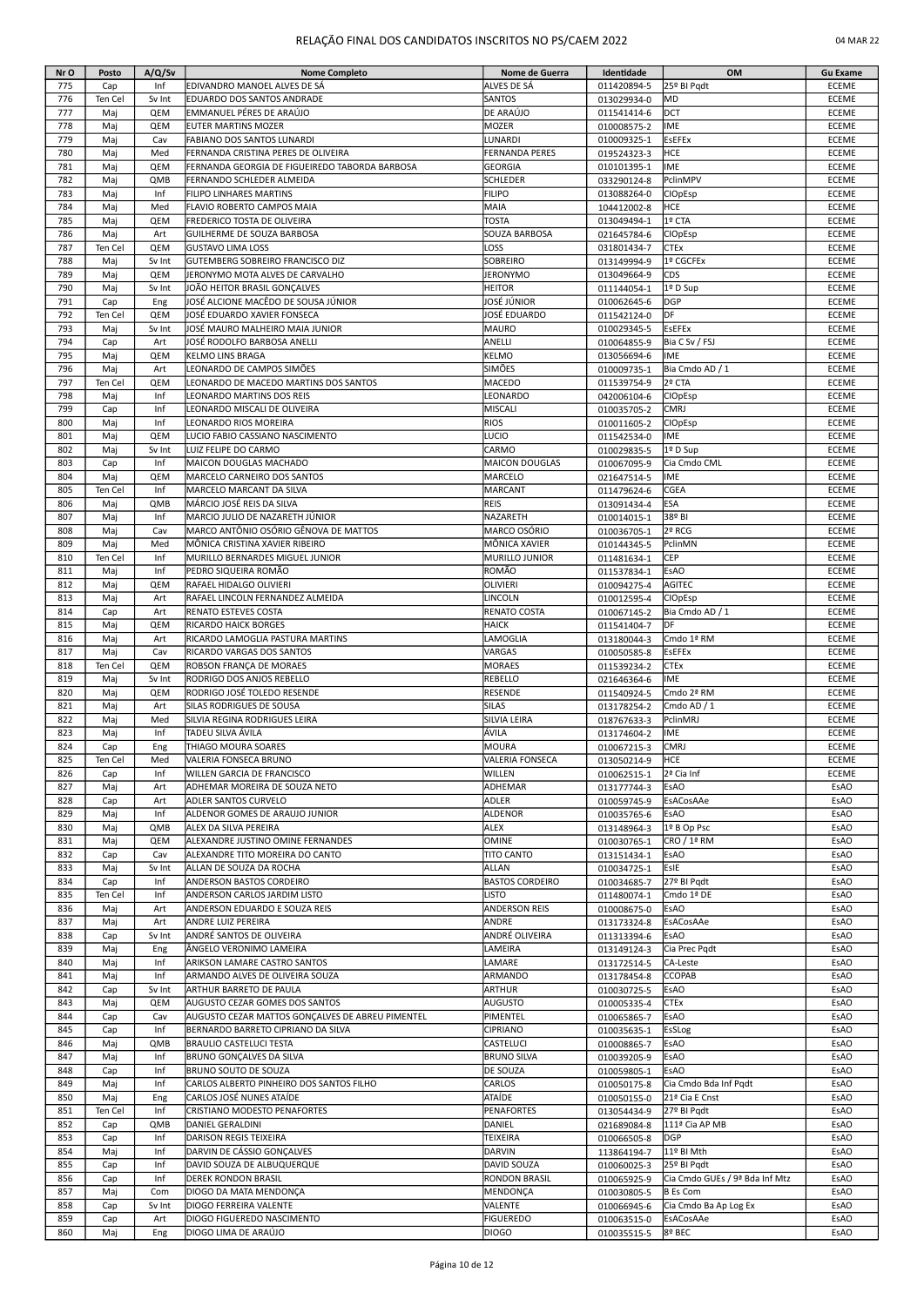|  | 04 MAR 22 |  |
|--|-----------|--|
|--|-----------|--|

| Nr O       | Posto          | A/Q/Sv     | <b>Nome Completo</b>                                            | Nome de Guerra                  | Identidade                 | OM                             | <b>Gu Exame</b>              |
|------------|----------------|------------|-----------------------------------------------------------------|---------------------------------|----------------------------|--------------------------------|------------------------------|
| 775        | Cap            | Inf        | EDIVANDRO MANOEL ALVES DE SÁ                                    | ALVES DE SÁ                     | 011420894-5                | 25º BI Pqdt                    | <b>ECEME</b>                 |
| 776        | Ten Cel        | Sv Int     | EDUARDO DOS SANTOS ANDRADE                                      | SANTOS                          | 013029934-0                | MD                             | ECEME                        |
| 777        | Maj            | QEM        | EMMANUEL PÉRES DE ARAÚJO                                        | DE ARAÚJO                       | 011541414-6                | DCT                            | ECEME                        |
| 778        | Maj            | QEM        | EUTER MARTINS MOZER                                             | <b>MOZER</b>                    | 010008575-2                | IME                            | ECEME                        |
| 779        | Maj            | Cav        | FABIANO DOS SANTOS LUNARDI                                      | LUNARDI                         | 010009325-1                | <b>EsEFEx</b>                  | <b>ECEME</b>                 |
| 780        | Mai            | Med        | FERNANDA CRISTINA PERES DE OLIVEIRA                             | <b>FERNANDA PERES</b>           | 019524323-3                | HCE                            | <b>ECEME</b>                 |
| 781        | Maj            | QEM        | FERNANDA GEORGIA DE FIGUEIREDO TABORDA BARBOSA                  | GEORGIA                         | 010101395-1                | IME                            | ECEME                        |
| 782        | Maj            | QMB        | FERNANDO SCHLEDER ALMEIDA                                       | <b>SCHLEDER</b>                 | 033290124-8                | PclinMPV                       | <b>ECEME</b>                 |
| 783<br>784 | Maj            | Inf<br>Med | FILIPO LINHARES MARTINS                                         | <b>FILIPO</b><br>MAIA           | 013088264-0                | <b>CIOpEsp</b><br>HCE          | <b>ECEME</b><br><b>ECEME</b> |
| 785        | Maj<br>Maj     | QEM        | FLAVIO ROBERTO CAMPOS MAIA<br>FREDERICO TOSTA DE OLIVEIRA       | TOSTA                           | 104412002-8<br>013049494-1 | 1º CTA                         | ECEME                        |
| 786        | Maj            | Art        | GUILHERME DE SOUZA BARBOSA                                      | SOUZA BARBOSA                   | 021645784-6                | <b>CIOpEsp</b>                 | ECEME                        |
| 787        | Ten Cel        | QEM        | <b>GUSTAVO LIMA LOSS</b>                                        | LOSS                            | 031801434-7                | <b>CTEx</b>                    | ECEME                        |
| 788        | Maj            | Sv Int     | GUTEMBERG SOBREIRO FRANCISCO DIZ                                | <b>SOBREIRO</b>                 | 013149994-9                | 1º CGCFEx                      | ECEME                        |
| 789        | Maj            | QEM        | JERONYMO MOTA ALVES DE CARVALHO                                 | <b>JERONYMO</b>                 | 013049664-9                | CDS                            | <b>ECEME</b>                 |
| 790        | Maj            | Sv Int     | JOÃO HEITOR BRASIL GONÇALVES                                    | <b>HEITOR</b>                   | 011144054-1                | 1º D Sup                       | <b>ECEME</b>                 |
| 791        | Cap            | Eng        | JOSÉ ALCIONE MACÊDO DE SOUSA JÚNIOR                             | JOSÉ JÚNIOR                     | 010062645-6                | <b>DGP</b>                     | <b>ECEME</b>                 |
| 792        | Ten Cel        | QEM        | JOSÉ EDUARDO XAVIER FONSECA                                     | JOSÉ EDUARDO                    | 011542124-0                | DF                             | ECEME                        |
| 793        | Maj            | Sv Int     | JOSÉ MAURO MALHEIRO MAIA JUNIOR                                 | MAURO                           | 010029345-5                | <b>EsEFEx</b>                  | ECEME                        |
| 794        | Cap            | Art        | JOSÉ RODOLFO BARBOSA ANELLI                                     | ANELLI                          | 010064855-9                | Bia C Sv / FSJ                 | <b>ECEME</b>                 |
| 795        | Maj            | QEM        | KELMO LINS BRAGA                                                | <b>KELMO</b>                    | 013056694-6                | IME                            | <b>ECEME</b>                 |
| 796        | Maj            | Art        | LEONARDO DE CAMPOS SIMÕES                                       | <b>SIMÕES</b>                   | 010009735-1                | Bia Cmdo AD / 1                | ECEME                        |
| 797        | Ten Cel        | QEM        | LEONARDO DE MACEDO MARTINS DOS SANTOS                           | <b>MACEDO</b>                   | 011539754-9                | 2º CTA                         | ECEME                        |
| 798        | Maj            | Inf        | LEONARDO MARTINS DOS REIS                                       | LEONARDO                        | 042006104-6                | <b>CIOpEsp</b>                 | ECEME                        |
| 799        | Cap            | Inf        | LEONARDO MISCALI DE OLIVEIRA                                    | MISCALI                         | 010035705-2                | CMRJ                           | ECEME                        |
| 800        | Mai            | Inf        | LEONARDO RIOS MOREIRA                                           | <b>RIOS</b>                     | 010011605-2                | <b>CIOpEsp</b>                 | <b>ECEME</b>                 |
| 801        | Maj            | QEM        | LUCIO FABIO CASSIANO NASCIMENTO                                 | LUCIO                           | 011542534-0                | IME                            | <b>ECEME</b>                 |
| 802        | Maj            | Sv Int     | LUIZ FELIPE DO CARMO                                            | CARMO                           | 010029835-5                | 1º D Sup                       | <b>ECEME</b>                 |
| 803        | Cap            | Inf        | MAICON DOUGLAS MACHADO                                          | <b>MAICON DOUGLAS</b>           | 010067095-9                | Cia Cmdo CML                   | <b>ECEME</b>                 |
| 804        | Maj            | QEM        | MARCELO CARNEIRO DOS SANTOS                                     | MARCELO                         | 021647514-5                | IME                            | <b>ECEME</b>                 |
| 805        | Ten Cel        | Inf        | MARCELO MARCANT DA SILVA                                        | <b>MARCANT</b>                  | 011479624-6                | <b>CGEA</b>                    | ECEME                        |
| 806<br>807 | Maj            | QMB<br>Inf | MÁRCIO JOSÉ REIS DA SILVA<br>MARCIO JULIO DE NAZARETH JÚNIOR    | <b>REIS</b><br>NAZARETH         | 013091434-4                | <b>ESA</b><br>38º BI           | ECEME<br>ECEME               |
|            | Maj            |            | MARCO ANTÔNIO OSÓRIO GÊNOVA DE MATTOS                           |                                 | 010014015-1                |                                |                              |
| 808<br>809 | Maj<br>Maj     | Cav<br>Med | MÔNICA CRISTINA XAVIER RIBEIRO                                  | MARCO OSÓRIO<br>MÔNICA XAVIER   | 010036705-1                | 2º RCG<br>PclinMN              | ECEME<br><b>ECEME</b>        |
| 810        | Ten Cel        | Inf        | MURILLO BERNARDES MIGUEL JUNIOR                                 | MURILLO JUNIOR                  | 010144345-5<br>011481634-1 | CEP                            | ECEME                        |
| 811        | Maj            | Inf        | PEDRO SIQUEIRA ROMÃO                                            | ROMÃO                           | 011537834-1                | <b>EsAO</b>                    | <b>ECEME</b>                 |
| 812        | Maj            | QEM        | RAFAEL HIDALGO OLIVIERI                                         | OLIVIERI                        | 010094275-4                | AGITEC                         | <b>ECEME</b>                 |
| 813        | Maj            | Art        | RAFAEL LINCOLN FERNANDEZ ALMEIDA                                | LINCOLN                         | 010012595-4                | <b>CIOpEsp</b>                 | ECEME                        |
| 814        | Cap            | Art        | RENATO ESTEVES COSTA                                            | RENATO COSTA                    | 010067145-2                | Bia Cmdo AD / 1                | ECEME                        |
| 815        | Maj            | QEM        | <b>RICARDO HAICK BORGES</b>                                     | <b>HAICK</b>                    | 011541404-7                | ldf                            | <b>ECEME</b>                 |
| 816        | Maj            | Art        | RICARDO LAMOGLIA PASTURA MARTINS                                | LAMOGLIA                        | 013180044-3                | Cmdo 1ª RM                     | ECEME                        |
| 817        | Maj            | Cav        | RICARDO VARGAS DOS SANTOS                                       | VARGAS                          | 010050585-8                | <b>EsEFEx</b>                  | ECEME                        |
| 818        | Ten Cel        | QEM        | ROBSON FRANÇA DE MORAES                                         | <b>MORAES</b>                   | 011539234-2                | <b>CTEx</b>                    | ECEME                        |
| 819        | Maj            | Sv Int     | RODRIGO DOS ANJOS REBELLO                                       | <b>REBELLO</b>                  | 021646364-6                | IME                            | ECEME                        |
| 820        | Mai            | QEM        | RODRIGO JOSÉ TOLEDO RESENDE                                     | <b>RESENDE</b>                  | 011540924-5                | Cmdo 2ª RM                     | <b>ECEME</b>                 |
| 821        | Maj            | Art        | SILAS RODRIGUES DE SOUSA                                        | SILAS                           | 013178254-2                | Cmdo AD / 1                    | ECEME                        |
| 822        | Maj            | Med        | SILVIA REGINA RODRIGUES LEIRA                                   | SILVIA LEIRA                    | 018767633-3                | PclinMRJ                       | <b>ECEME</b>                 |
| 823        | Maj            | Inf        | TADEU SILVA ÁVILA                                               | ÁVILA                           | 013174604-2                | IME                            | ECEME                        |
| 824        | Cap            | Eng        | THIAGO MOURA SOARES                                             | MOURA                           | 010067215-3                | <b>CMRJ</b>                    | <b>ECEME</b>                 |
| 825        | Ten Cel        | Med        | VALERIA FONSECA BRUNO                                           | VALERIA FONSECA                 | 013050214-9                | <b>HCE</b>                     | <b>ECEME</b>                 |
| 826        | Cap            | Inf        | WILLEN GARCIA DE FRANCISCO                                      | WILLEN                          | 010062515-1                | 2ª Cia Inf                     | ECEME                        |
| 827        | Maj            | Art        | ADHEMAR MOREIRA DE SOUZA NETO                                   | ADHEMAR                         | 013177744-3                | EsAO                           | EsAO                         |
| 828        | Cap            | Art        | <b>ADLER SANTOS CURVELO</b>                                     | <b>ADLER</b>                    | 010059745-9                | EsACosAAe                      | EsAO                         |
| 829        | Maj            | Inf        | ALDENOR GOMES DE ARAUJO JUNIOR                                  | ALDENOR                         | 010035765-6                | <b>EsAO</b>                    | EsAO                         |
| 830        | Maj            | QMB        | ALEX DA SILVA PEREIRA                                           | <b>ALEX</b>                     | 013148964-3                | 1º B Op Psc                    | EsAO                         |
| 831        | Maj            | QEM        | ALEXANDRE JUSTINO OMINE FERNANDES                               | <b>OMINE</b>                    | 010030765-1                | CRO / 1ª RM                    | EsAO                         |
| 832        | Cap            | Cav        | ALEXANDRE TITO MOREIRA DO CANTO                                 | TITO CANTO                      | 013151434-1                | EsAO                           | EsAO                         |
| 833        | Maj            | Sv Int     | ALLAN DE SOUZA DA ROCHA                                         | ALLAN<br><b>BASTOS CORDEIRO</b> | 010034725-1                | EsIE                           | EsAO                         |
| 834<br>835 | Cap<br>Ten Cel | Inf<br>Inf | <b>ANDERSON BASTOS CORDEIRO</b><br>ANDERSON CARLOS JARDIM LISTO | <b>LISTO</b>                    | 010034685-7                | 27º BI Pqdt<br>Cmdo 1ª DE      | EsAO<br>EsAO                 |
| 836        | Maj            | Art        | ANDERSON EDUARDO E SOUZA REIS                                   | <b>ANDERSON REIS</b>            | 011480074-1                | EsAO                           | EsAO                         |
| 837        | Maj            | Art        | ANDRE LUIZ PEREIRA                                              | ANDRE                           | 010008675-0<br>013173324-8 | EsACosAAe                      | EsAO                         |
| 838        | Cap            | Sv Int     | ANDRÉ SANTOS DE OLIVEIRA                                        | ANDRÉ OLIVEIRA                  | 011313394-6                | <b>EsAO</b>                    | EsAO                         |
| 839        | Maj            | Eng        | ÂNGELO VERONIMO LAMEIRA                                         | LAMEIRA                         | 013149124-3                | Cia Prec Pqdt                  | EsAO                         |
| 840        | Mai            | Inf        | <b>ARIKSON LAMARE CASTRO SANTOS</b>                             | LAMARE                          | 013172514-5                | CA-Leste                       | EsAO                         |
| 841        | Maj            | Inf        | ARMANDO ALVES DE OLIVEIRA SOUZA                                 | ARMANDO                         | 013178454-8                | <b>CCOPAB</b>                  | EsAO                         |
| 842        | Cap            | Sv Int     | ARTHUR BARRETO DE PAULA                                         | ARTHUR                          | 010030725-5                | EsAO                           | EsAO                         |
| 843        | Maj            | QEM        | <b>AUGUSTO CEZAR GOMES DOS SANTOS</b>                           | AUGUSTO                         | 010005335-4                | <b>CTEx</b>                    | EsAO                         |
| 844        | Cap            | Cav        | AUGUSTO CEZAR MATTOS GONÇALVES DE ABREU PIMENTEL                | PIMENTEL                        | 010065865-7                | EsAO                           | EsAO                         |
| 845        | Cap            | Inf        | BERNARDO BARRETO CIPRIANO DA SILVA                              | <b>CIPRIANO</b>                 | 010035635-1                | EsSLog                         | EsAO                         |
| 846        | Maj            | QMB        | <b>BRAULIO CASTELUCI TESTA</b>                                  | CASTELUCI                       | 010008865-7                | <b>EsAO</b>                    | EsAO                         |
| 847        | Maj            | Inf        | <b>BRUNO GONÇALVES DA SILVA</b>                                 | <b>BRUNO SILVA</b>              | 010039205-9                | EsAO                           | EsAO                         |
| 848        | Cap            | Inf        | <b>BRUNO SOUTO DE SOUZA</b>                                     | DE SOUZA                        | 010059805-1                | EsAO                           | EsAO                         |
| 849        | Maj            | Inf        | CARLOS ALBERTO PINHEIRO DOS SANTOS FILHO                        | <b>CARLOS</b>                   | 010050175-8                | Cia Cmdo Bda Inf Pqdt          | EsAO                         |
| 850        | Maj            | Eng        | CARLOS JOSÉ NUNES ATAÍDE                                        | ATAÍDE                          | 010050155-0                | 21ª Cia E Cnst                 | EsAO                         |
| 851        | Ten Cel        | Inf        | CRISTIANO MODESTO PENAFORTES                                    | <b>PENAFORTES</b>               | 013054434-9                | 27º BI Pqdt                    | EsAO                         |
| 852        | Cap            | QMB        | DANIEL GERALDINI                                                | DANIEL                          | 021689084-8                | 111ª Cia AP MB                 | EsAO                         |
| 853        | Cap            | Inf        | DARISON REGIS TEIXEIRA                                          | <b>TEIXEIRA</b>                 | 010066505-8                | <b>DGP</b>                     | EsAO                         |
| 854        | Maj            | Inf        | DARVIN DE CÁSSIO GONÇALVES                                      | <b>DARVIN</b>                   | 113864194-7                | 11º BI Mth                     | EsAO                         |
| 855        | Cap            | Inf        | DAVID SOUZA DE ALBUQUERQUE                                      | <b>DAVID SOUZA</b>              | 010060025-3                | 25º BI Padt                    | EsAO                         |
| 856        | Cap            | Inf        | <b>DEREK RONDON BRASIL</b>                                      | <b>RONDON BRASIL</b>            | 010065925-9                | Cia Cmdo GUEs / 9ª Bda Inf Mtz | EsAO                         |
| 857        | Maj            | Com        | DIOGO DA MATA MENDONÇA                                          | MENDONÇA                        | 010030805-5                | <b>B</b> Es Com                | EsAO                         |
| 858        | Cap            | Sv Int     | DIOGO FERREIRA VALENTE                                          | VALENTE                         | 010066945-6                | Cia Cmdo Ba Ap Log Ex          | EsAO                         |
| 859        | Cap            | Art        | DIOGO FIGUEREDO NASCIMENTO                                      | <b>FIGUEREDO</b>                | 010063515-0                | EsACosAAe                      | EsAO                         |
| 860        | Maj            | Eng        | DIOGO LIMA DE ARAÚJO                                            | <b>DIOGO</b>                    | 010035515-5                | 8º BEC                         | EsAO                         |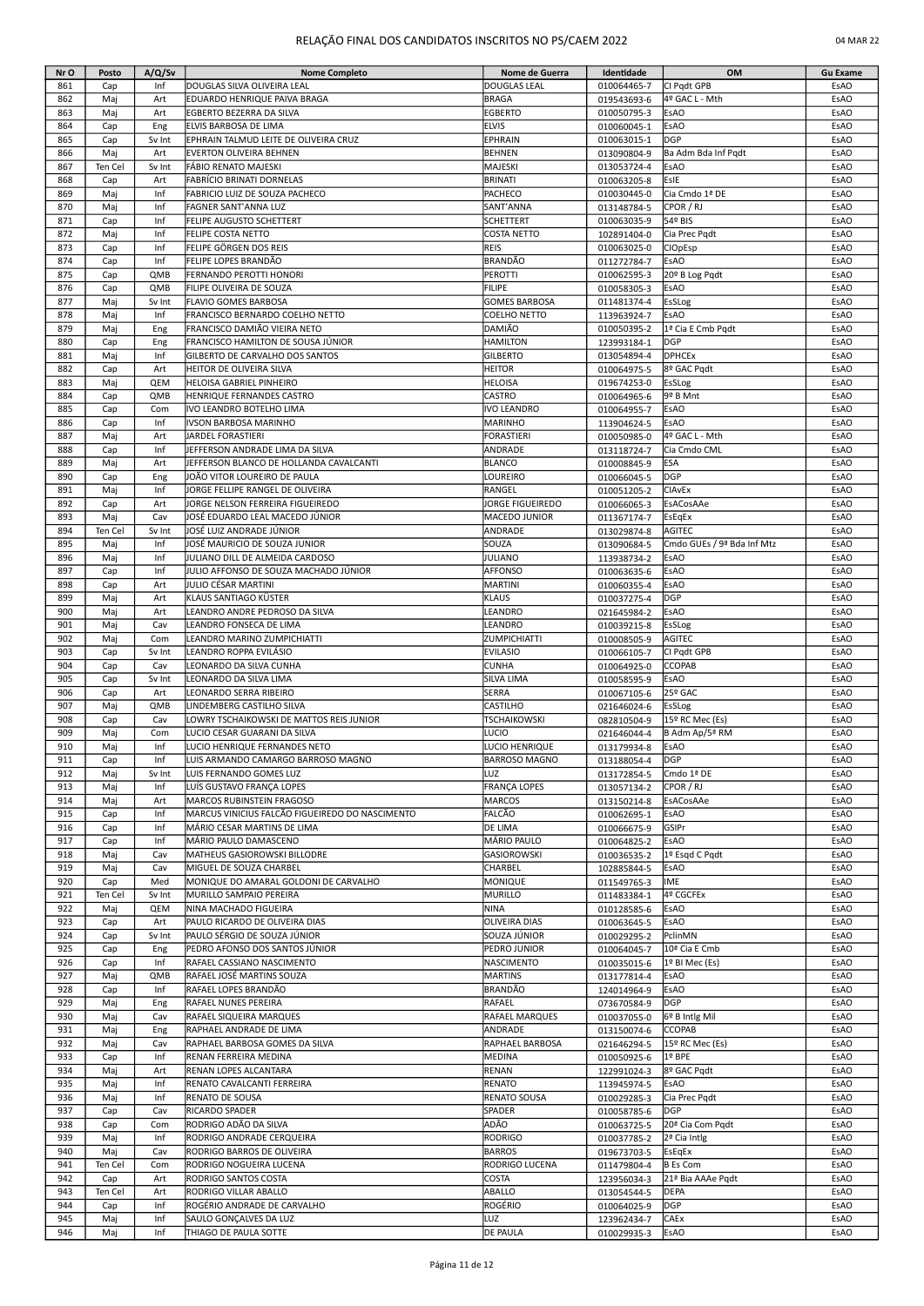|  | 04 MAR 22 |  |
|--|-----------|--|
|--|-----------|--|

| Nr O | Posto      | A/Q/Sv | <b>Nome Completo</b>                            | Nome de Guerra       | Identidade                 | OM                           | <b>Gu Exame</b> |
|------|------------|--------|-------------------------------------------------|----------------------|----------------------------|------------------------------|-----------------|
| 861  | Cap        | Inf    | DOUGLAS SILVA OLIVEIRA LEAL                     | <b>DOUGLAS LEAL</b>  | 010064465-7                | CI Pqdt GPB                  | EsAO            |
| 862  | Maj        | Art    | EDUARDO HENRIQUE PAIVA BRAGA                    | <b>BRAGA</b>         | 019543693-6                | 4º GAC L - Mth               | EsAO            |
|      |            |        |                                                 |                      |                            |                              |                 |
| 863  | Maj        | Art    | EGBERTO BEZERRA DA SILVA                        | <b>EGBERTO</b>       | 010050795-3                | <b>EsAO</b>                  | EsAO            |
| 864  | Cap        | Eng    | ELVIS BARBOSA DE LIMA                           | <b>ELVIS</b>         | 010060045-1                | <b>EsAO</b>                  | EsAO            |
| 865  | Cap        | Sv Int | EPHRAIN TALMUD LEITE DE OLIVEIRA CRUZ           | <b>EPHRAIN</b>       | 010063015-1                | <b>DGP</b>                   | EsAO            |
| 866  | Maj        | Art    | EVERTON OLIVEIRA BEHNEN                         | <b>BEHNEN</b>        | 013090804-9                | Ba Adm Bda Inf Pqdt          | EsAO            |
| 867  | Ten Cel    | Sv Int | FÁBIO RENATO MAJESKI                            | MAJESKI              | 013053724-4                | EsAO                         | EsAO            |
| 868  | Cap        | Art    | FABRÍCIO BRINATI DORNELAS                       | <b>BRINATI</b>       | 010063205-8                | EsIE                         | EsAO            |
| 869  | Maj        | Inf    | FABRICIO LUIZ DE SOUZA PACHECO                  | PACHECO              | 010030445-0                | Cia Cmdo 1ª DE               | EsAO            |
| 870  | Maj        | Inf    | FAGNER SANT'ANNA LUZ                            | SANT'ANNA            | 013148784-5                | CPOR / RJ                    | EsAO            |
| 871  | Cap        | Inf    | FELIPE AUGUSTO SCHETTERT                        | <b>SCHETTERT</b>     | 010063035-9                | 54º BIS                      | EsAO            |
| 872  | Maj        | Inf    | <b>FELIPE COSTA NETTO</b>                       | <b>COSTA NETTO</b>   | 102891404-0                | Cia Prec Pgdt                | EsAO            |
| 873  | Cap        | Inf    | FELIPE GÖRGEN DOS REIS                          | <b>REIS</b>          | 010063025-0                | <b>CIOpEsp</b>               | EsAO            |
| 874  |            | Inf    | FELIPE LOPES BRANDÃO                            | <b>BRANDÃO</b>       |                            |                              | EsAO            |
|      | Cap        |        |                                                 |                      | 011272784-7                | <b>EsAO</b>                  |                 |
| 875  | Cap        | QMB    | FERNANDO PEROTTI HONORI                         | <b>PEROTTI</b>       | 010062595-3                | 20º B Log Pqdt               | <b>EsAO</b>     |
| 876  | Cap        | QMB    | FILIPE OLIVEIRA DE SOUZA                        | <b>FILIPE</b>        | 010058305-3                | EsAO                         | EsAO            |
| 877  | Maj        | Sv Int | <b>FLAVIO GOMES BARBOSA</b>                     | <b>GOMES BARBOSA</b> | 011481374-4                | EsSLog                       | EsAO            |
| 878  | Maj        | Inf    | FRANCISCO BERNARDO COELHO NETTO                 | <b>COELHO NETTO</b>  | 113963924-7                | EsAO                         | EsAO            |
| 879  | Maj        | Eng    | FRANCISCO DAMIÃO VIEIRA NETO                    | DAMIÃO               | 010050395-2                | 1ª Cia E Cmb Pgdt            | EsAO            |
| 880  | Cap        | Eng    | FRANCISCO HAMILTON DE SOUSA JÚNIOR              | <b>HAMILTON</b>      | 123993184-1                | DGP                          | EsAO            |
| 881  | Maj        | Inf    | GILBERTO DE CARVALHO DOS SANTOS                 | <b>GILBERTO</b>      | 013054894-4                | <b>DPHCEx</b>                | EsAO            |
| 882  | Cap        | Art    | HEITOR DE OLIVEIRA SILVA                        | <b>HEITOR</b>        | 010064975-5                | 8º GAC Pqdt                  | EsAO            |
| 883  | Maj        | QEM    | <b>HELOISA GABRIEL PINHEIRO</b>                 | <b>HELOISA</b>       | 019674253-0                | EsSLog                       | EsAO            |
| 884  | Cap        | QMB    | <b>HENRIQUE FERNANDES CASTRO</b>                | <b>CASTRO</b>        | 010064965-6                | 9º B Mnt                     | EsAO            |
| 885  | Cap        | Com    | IVO LEANDRO BOTELHO LIMA                        | <b>IVO LEANDRO</b>   | 010064955-7                | <b>EsAO</b>                  | EsAO            |
| 886  | Cap        | Inf    | IVSON BARBOSA MARINHO                           | MARINHO              | 113904624-5                | <b>EsAO</b>                  | EsAO            |
| 887  | Maj        | Art    | JARDEL FORASTIERI                               | <b>FORASTIERI</b>    | 010050985-0                | 4º GAC L - Mth               | EsAO            |
|      |            |        |                                                 |                      |                            |                              |                 |
| 888  | Cap        | Inf    | JEFFERSON ANDRADE LIMA DA SILVA                 | ANDRADE              | 013118724-7                | Cia Cmdo CML                 | EsAO            |
| 889  | Maj        | Art    | JEFFERSON BLANCO DE HOLLANDA CAVALCANTI         | <b>BLANCO</b>        | 010008845-9                | ESA                          | EsAO            |
| 890  | Cap        | Eng    | JOÃO VITOR LOUREIRO DE PAULA                    | LOUREIRO             | 010066045-5                | DGP                          | EsAO            |
| 891  | Maj        | Inf    | JORGE FELLIPE RANGEL DE OLIVEIRA                | RANGEL               | 010051205-2                | <b>CIAvEx</b>                | EsAO            |
| 892  | Cap        | Art    | JORGE NELSON FERREIRA FIGUEIREDO                | JORGE FIGUEIREDO     | 010066065-3                | EsACosAAe                    | EsAO            |
| 893  | Maj        | Cav    | JOSÉ EDUARDO LEAL MACEDO JÚNIOR                 | MACEDO JUNIOR        | 011367174-7                | <b>EsEgEx</b>                | EsAO            |
| 894  | Ten Cel    | Sv Int | JOSÉ LUIZ ANDRADE JÚNIOR                        | ANDRADE              | 013029874-8                | <b>AGITEC</b>                | EsAO            |
| 895  | Maj        | Inf    | JOSÉ MAURICIO DE SOUZA JUNIOR                   | SOUZA                | 013090684-5                | Cmdo GUEs / 9ª Bda Inf Mtz   | EsAO            |
| 896  | Maj        | Inf    | JULIANO DILL DE ALMEIDA CARDOSO                 | JULIANO              | 113938734-2                | EsAO                         | EsAO            |
| 897  | Cap        | Inf    | JULIO AFFONSO DE SOUZA MACHADO JÚNIOR           | <b>AFFONSO</b>       | 010063635-6                | EsAO                         | EsAO            |
| 898  | Cap        | Art    | JULIO CÉSAR MARTINI                             | MARTINI              | 010060355-4                | EsAO                         | EsAO            |
| 899  | Maj        | Art    | KLAUS SANTIAGO KÜSTER                           | <b>KLAUS</b>         | 010037275-4                | DGP                          | EsAO            |
| 900  | Maj        | Art    | LEANDRO ANDRE PEDROSO DA SILVA                  | LEANDRO              | 021645984-2                | EsAO                         | EsAO            |
| 901  | Maj        | Cav    | LEANDRO FONSECA DE LIMA                         | LEANDRO              |                            | EsSLog                       | EsAO            |
| 902  |            |        |                                                 | <b>ZUMPICHIATTI</b>  | 010039215-8                | <b>AGITEC</b>                | EsAO            |
|      | Maj        | Com    | LEANDRO MARINO ZUMPICHIATTI                     |                      | 010008505-9                |                              |                 |
| 903  | Cap        | Sv Int | LEANDRO ROPPA EVILÁSIO                          | <b>EVILASIO</b>      | 010066105-7                | CI Pqdt GPB                  | EsAO            |
| 904  | Cap        | Cav    | LEONARDO DA SILVA CUNHA                         | <b>CUNHA</b>         | 010064925-0                | <b>CCOPAB</b>                | <b>EsAO</b>     |
| 905  | Cap        | Sv Int | LEONARDO DA SILVA LIMA                          | SILVA LIMA           | 010058595-9                | EsAO                         | EsAO            |
| 906  | Cap        | Art    | LEONARDO SERRA RIBEIRO                          | <b>SERRA</b>         | 010067105-6                | 25º GAC                      | EsAO            |
| 907  | Maj        | QMB    | LINDEMBERG CASTILHO SILVA                       | <b>CASTILHO</b>      | 021646024-6                | <b>EsSLog</b>                | EsAO            |
| 908  | Cap        | Cav    | LOWRY TSCHAIKOWSKI DE MATTOS REIS JUNIOR        | <b>TSCHAIKOWSKI</b>  | 082810504-9                | 15º RC Mec (Es)              | EsAO            |
| 909  | Maj        | Com    | LUCIO CESAR GUARANI DA SILVA                    | LUCIO                | 021646044-4                | B Adm Ap/5ª RM               | EsAO            |
| 910  | Maj        | Inf    | LUCIO HENRIQUE FERNANDES NETO                   | LUCIO HENRIQUE       | 013179934-8                | <b>EsAO</b>                  | EsAO            |
| 911  | Cap        | Int    | ILUIS ARMANDO CAMARGO BARROSO MAGNO             | BARROSO MAGNO        | 013188054-4                | IDGP                         | ESAO            |
| 912  | Maj        | Sv Int | LUIS FERNANDO GOMES LUZ                         | LUZ                  | 013172854-5                | Cmdo 1ª DE                   | EsAO            |
| 913  | Maj        | Inf    | LUÍS GUSTAVO FRANÇA LOPES                       | <b>FRANÇA LOPES</b>  | 013057134-2                | CPOR / RJ                    | EsAO            |
| 914  | Maj        | Art    | <b>MARCOS RUBINSTEIN FRAGOSO</b>                | <b>MARCOS</b>        | 013150214-8                | EsACosAAe                    | EsAO            |
| 915  | Cap        | Inf    | MARCUS VINICIUS FALCÃO FIGUEIREDO DO NASCIMENTO | FALCÃO               | 010062695-1                | <b>EsAO</b>                  | EsAO            |
| 916  |            | Inf    | MÁRIO CESAR MARTINS DE LIMA                     | <b>DE LIMA</b>       |                            | GSIPr                        | EsAO            |
| 917  | Cap<br>Cap | Inf    | MÁRIO PAULO DAMASCENO                           | MÁRIO PAULO          | 010066675-9<br>010064825-2 | EsAO                         | EsAO            |
|      |            |        |                                                 |                      |                            |                              |                 |
| 918  | Maj        | Cav    | MATHEUS GASIOROWSKI BILLODRE                    | <b>GASIOROWSKI</b>   | 010036535-2                | 1º Esgd C Pgdt               | EsAO            |
| 919  | Maj        | Cav    | MIGUEL DE SOUZA CHARBEL                         | CHARBEL              | 102885844-5                | <b>EsAO</b>                  | EsAO            |
| 920  | Cap        | Med    | MONIQUE DO AMARAL GOLDONI DE CARVALHO           | MONIQUE              | 011549765-3                | IME                          | EsAO            |
| 921  | Ten Cel    | Sv Int | MURILLO SAMPAIO PEREIRA                         | <b>MURILLO</b>       | 011483384-1                | 4º CGCFEx                    | EsAO            |
| 922  | Maj        | QEM    | NINA MACHADO FIGUEIRA                           | <b>NINA</b>          | 010128585-6                | EsAO                         | EsAO            |
| 923  | Cap        | Art    | PAULO RICARDO DE OLIVEIRA DIAS                  | <b>OLIVEIRA DIAS</b> | 010063645-5                | EsAO                         | EsAO            |
| 924  | Cap        | Sv Int | PAULO SÉRGIO DE SOUZA JÚNIOR                    | SOUZA JÚNIOR         | 010029295-2                | PclinMN                      | EsAO            |
| 925  | Cap        | Eng    | PEDRO AFONSO DOS SANTOS JÚNIOR                  | PEDRO JUNIOR         | 010064045-7                | 10ª Cia E Cmb                | EsAO            |
| 926  | Cap        | Inf    | RAFAEL CASSIANO NASCIMENTO                      | <b>NASCIMENTO</b>    | 010035015-6                | 1º BI Mec (Es)               | EsAO            |
| 927  | Maj        | QMB    | RAFAEL JOSÉ MARTINS SOUZA                       | <b>MARTINS</b>       | 013177814-4                | EsAO                         | EsAO            |
| 928  | Cap        | Inf    | RAFAEL LOPES BRANDÃO                            | <b>BRANDÃO</b>       | 124014964-9                | EsAO                         | EsAO            |
| 929  | Maj        | Eng    | RAFAEL NUNES PEREIRA                            | RAFAEL               | 073670584-9                | DGP                          | EsAO            |
| 930  | Maj        | Cav    | RAFAEL SIQUEIRA MARQUES                         | RAFAEL MARQUES       | 010037055-0                | 6º B Intlg Mil               | EsAO            |
| 931  | Maj        | Eng    | RAPHAEL ANDRADE DE LIMA                         | ANDRADE              | 013150074-6                | <b>CCOPAB</b>                | EsAO            |
| 932  |            |        |                                                 | RAPHAEL BARBOSA      |                            |                              | EsAO            |
|      | Maj        | Cav    | RAPHAEL BARBOSA GOMES DA SILVA                  |                      | 021646294-5                | 15º RC Mec (Es)              |                 |
| 933  | Cap        | Inf    | RENAN FERREIRA MEDINA                           | MEDINA               | 010050925-6                | 1º BPE                       | EsAO            |
| 934  | Maj        | Art    | RENAN LOPES ALCANTARA                           | <b>RENAN</b>         | 122991024-3                | 8º GAC Pqdt                  | EsAO            |
| 935  | Maj        | Inf    | RENATO CAVALCANTI FERREIRA                      | <b>RENATO</b>        | 113945974-5                | <b>EsAO</b>                  | EsAO            |
| 936  | Maj        | Inf    | RENATO DE SOUSA                                 | <b>RENATO SOUSA</b>  | 010029285-3                | Cia Prec Pqdt                | EsAO            |
| 937  | Cap        | Cav    | RICARDO SPADER                                  | SPADER               | 010058785-6                | <b>DGP</b>                   | EsAO            |
| 938  | Cap        | Com    | RODRIGO ADÃO DA SILVA                           | ADÃO                 | 010063725-5                | 20 <sup>ª</sup> Cia Com Pqdt | EsAO            |
| 939  | Maj        | Inf    | RODRIGO ANDRADE CERQUEIRA                       | <b>RODRIGO</b>       | 010037785-2                | 2ª Cia Intlg                 | EsAO            |
| 940  | Maj        | Cav    | RODRIGO BARROS DE OLIVEIRA                      | <b>BARROS</b>        | 019673703-5                | <b>EsEgEx</b>                | EsAO            |
| 941  | Ten Cel    | Com    | RODRIGO NOGUEIRA LUCENA                         | RODRIGO LUCENA       | 011479804-4                | <b>B</b> Es Com              | EsAO            |
| 942  | Cap        | Art    | RODRIGO SANTOS COSTA                            | <b>COSTA</b>         | 123956034-3                | 21ª Bia AAAe Pqdt            | EsAO            |
| 943  | Ten Cel    | Art    | RODRIGO VILLAR ABALLO                           | ABALLO               | 013054544-5                | DEPA                         | EsAO            |
| 944  | Cap        | Inf    | ROGÉRIO ANDRADE DE CARVALHO                     | ROGÉRIO              | 010064025-9                | <b>DGP</b>                   | EsAO            |
| 945  | Maj        | Inf    | SAULO GONÇALVES DA LUZ                          | LUZ                  | 123962434-7                | CAEx                         | EsAO            |
| 946  | Maj        | Inf    | THIAGO DE PAULA SOTTE                           | <b>DE PAULA</b>      | 010029935-3                | EsAO                         | EsAO            |
|      |            |        |                                                 |                      |                            |                              |                 |